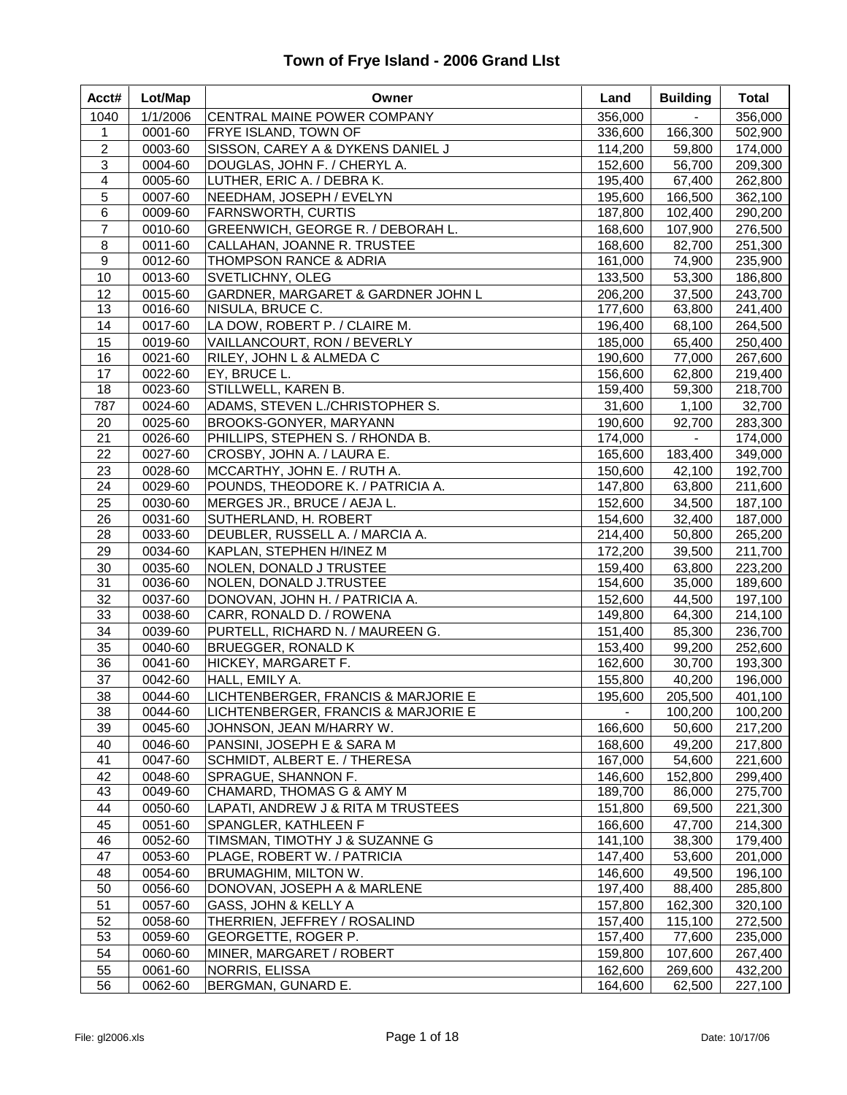| Acct#                   | Lot/Map            | Owner                                                       | Land               | <b>Building</b>  | <b>Total</b>       |
|-------------------------|--------------------|-------------------------------------------------------------|--------------------|------------------|--------------------|
| 1040                    | 1/1/2006           | CENTRAL MAINE POWER COMPANY                                 | 356,000            |                  | 356,000            |
| 1                       | 0001-60            | <b>FRYE ISLAND, TOWN OF</b>                                 | 336,600            | 166,300          | 502,900            |
| $\overline{c}$          | 0003-60            | SISSON, CAREY A & DYKENS DANIEL J                           | 114,200            | 59,800           | 174,000            |
| 3                       | 0004-60            | DOUGLAS, JOHN F. / CHERYL A.                                | 152,600            | 56,700           | 209,300            |
| $\overline{\mathbf{4}}$ | 0005-60            | LUTHER, ERIC A. / DEBRA K.                                  | 195,400            | 67,400           | 262,800            |
| 5                       | 0007-60            | NEEDHAM, JOSEPH / EVELYN                                    | 195,600            | 166,500          | 362,100            |
| 6                       | 0009-60            | <b>FARNSWORTH, CURTIS</b>                                   | 187,800            | 102,400          | 290,200            |
| $\overline{7}$          | 0010-60            | GREENWICH, GEORGE R. / DEBORAH L.                           | 168,600            | 107,900          | 276,500            |
| $\bf 8$                 | 0011-60            | CALLAHAN, JOANNE R. TRUSTEE                                 | 168,600            | 82,700           | 251,300            |
| $\boldsymbol{9}$        | 0012-60            | THOMPSON RANCE & ADRIA                                      | 161,000            | 74,900           | 235,900            |
| 10                      | 0013-60            | SVETLICHNY, OLEG                                            | 133,500            | 53,300           | 186,800            |
| 12                      | 0015-60            | GARDNER, MARGARET & GARDNER JOHN L                          | 206,200            | 37,500           | 243,700            |
| 13                      | 0016-60            | NISULA, BRUCE C.                                            | 177,600            | 63,800           | 241,400            |
| 14                      | 0017-60            | LA DOW, ROBERT P. / CLAIRE M.                               | 196,400            | 68,100           | 264,500            |
| 15                      | 0019-60            | VAILLANCOURT, RON / BEVERLY                                 | 185,000            | 65,400           | 250,400            |
| 16                      | 0021-60            | RILEY, JOHN L & ALMEDA C                                    | 190,600            | 77,000           | 267,600            |
| 17                      | 0022-60            | EY, BRUCE L.                                                | 156,600            | 62,800           | 219,400            |
| 18                      | 0023-60            | STILLWELL, KAREN B.                                         | 159,400            | 59,300           | 218,700            |
| 787                     | 0024-60            | ADAMS, STEVEN L./CHRISTOPHER S.                             | 31,600             | 1,100            | 32,700             |
| 20                      | 0025-60            | BROOKS-GONYER, MARYANN                                      | 190,600            | 92,700           | 283,300            |
| 21                      | 0026-60            | PHILLIPS, STEPHEN S. / RHONDA B.                            | 174,000            | $\blacksquare$   | 174,000            |
| 22                      | 0027-60            | CROSBY, JOHN A. / LAURA E.                                  | 165,600            | 183,400          | 349,000            |
| 23                      | 0028-60            | MCCARTHY, JOHN E. / RUTH A.                                 | 150,600            | 42,100           | 192,700            |
| 24                      | 0029-60            | POUNDS, THEODORE K. / PATRICIA A.                           | 147,800            | 63,800           | 211,600            |
| 25                      | 0030-60            | MERGES JR., BRUCE / AEJA L.                                 | 152,600            | 34,500           | 187,100            |
| 26                      | 0031-60            | SUTHERLAND, H. ROBERT                                       | 154,600            | 32,400           | 187,000            |
| 28<br>29                | 0033-60<br>0034-60 | DEUBLER, RUSSELL A. / MARCIA A.<br>KAPLAN, STEPHEN H/INEZ M | 214,400<br>172,200 | 50,800<br>39,500 | 265,200<br>211,700 |
| 30                      | 0035-60            | NOLEN, DONALD J TRUSTEE                                     | 159,400            |                  |                    |
| 31                      | 0036-60            | NOLEN, DONALD J.TRUSTEE                                     | 154,600            | 63,800<br>35,000 | 223,200<br>189,600 |
| 32                      | 0037-60            | DONOVAN, JOHN H. / PATRICIA A.                              | 152,600            | 44,500           | 197,100            |
| 33                      | 0038-60            | CARR, RONALD D. / ROWENA                                    | 149,800            | 64,300           | 214,100            |
| 34                      | 0039-60            | PURTELL, RICHARD N. / MAUREEN G.                            | 151,400            | 85,300           | 236,700            |
| 35                      | 0040-60            | <b>BRUEGGER, RONALD K</b>                                   | 153,400            | 99,200           | 252,600            |
| 36                      | 0041-60            | HICKEY, MARGARET F.                                         | 162,600            | 30,700           | 193,300            |
| 37                      | 0042-60            | HALL, EMILY A.                                              | 155,800            | 40,200           | 196,000            |
| 38                      | 0044-60            | LICHTENBERGER, FRANCIS & MARJORIE E                         | 195,600            | 205,500          | 401,100            |
| 38                      | 0044-60            | LICHTENBERGER, FRANCIS & MARJORIE E                         | $\blacksquare$     | 100,200          | 100,200            |
| 39                      | 0045-60            | JOHNSON, JEAN M/HARRY W.                                    | 166,600            | 50,600           | 217,200            |
| 40                      | 0046-60            | PANSINI, JOSEPH E & SARA M                                  | 168,600            | 49,200           | 217,800            |
| 41                      | 0047-60            | SCHMIDT, ALBERT E. / THERESA                                | 167,000            | 54,600           | 221,600            |
| 42                      | 0048-60            | SPRAGUE, SHANNON F.                                         | 146,600            | 152,800          | 299,400            |
| 43                      | 0049-60            | CHAMARD, THOMAS G & AMY M                                   | 189,700            | 86,000           | 275,700            |
| 44                      | 0050-60            | LAPATI, ANDREW J & RITA M TRUSTEES                          | 151,800            | 69,500           | 221,300            |
| 45                      | 0051-60            | SPANGLER, KATHLEEN F                                        | 166,600            | 47,700           | 214,300            |
| 46                      | 0052-60            | TIMSMAN, TIMOTHY J & SUZANNE G                              | 141,100            | 38,300           | 179,400            |
| 47                      | 0053-60            | PLAGE, ROBERT W. / PATRICIA                                 | 147,400            | 53,600           | 201,000            |
| 48                      | 0054-60            | <b>BRUMAGHIM, MILTON W.</b>                                 | 146,600            | 49,500           | 196,100            |
| 50                      | 0056-60            | DONOVAN, JOSEPH A & MARLENE                                 | 197,400            | 88,400           | 285,800            |
| 51                      | 0057-60            | GASS, JOHN & KELLY A                                        | 157,800            | 162,300          | 320,100            |
| 52                      | 0058-60            | THERRIEN, JEFFREY / ROSALIND                                | 157,400            | 115,100          | 272,500            |
| 53                      | 0059-60            | GEORGETTE, ROGER P.                                         | 157,400            | 77,600           | 235,000            |
| 54                      | 0060-60            | MINER, MARGARET / ROBERT                                    | 159,800            | 107,600          | 267,400            |
| 55                      | 0061-60            | NORRIS, ELISSA                                              | 162,600            | 269,600          | 432,200            |
| 56                      | 0062-60            | BERGMAN, GUNARD E.                                          | 164,600            | 62,500           | 227,100            |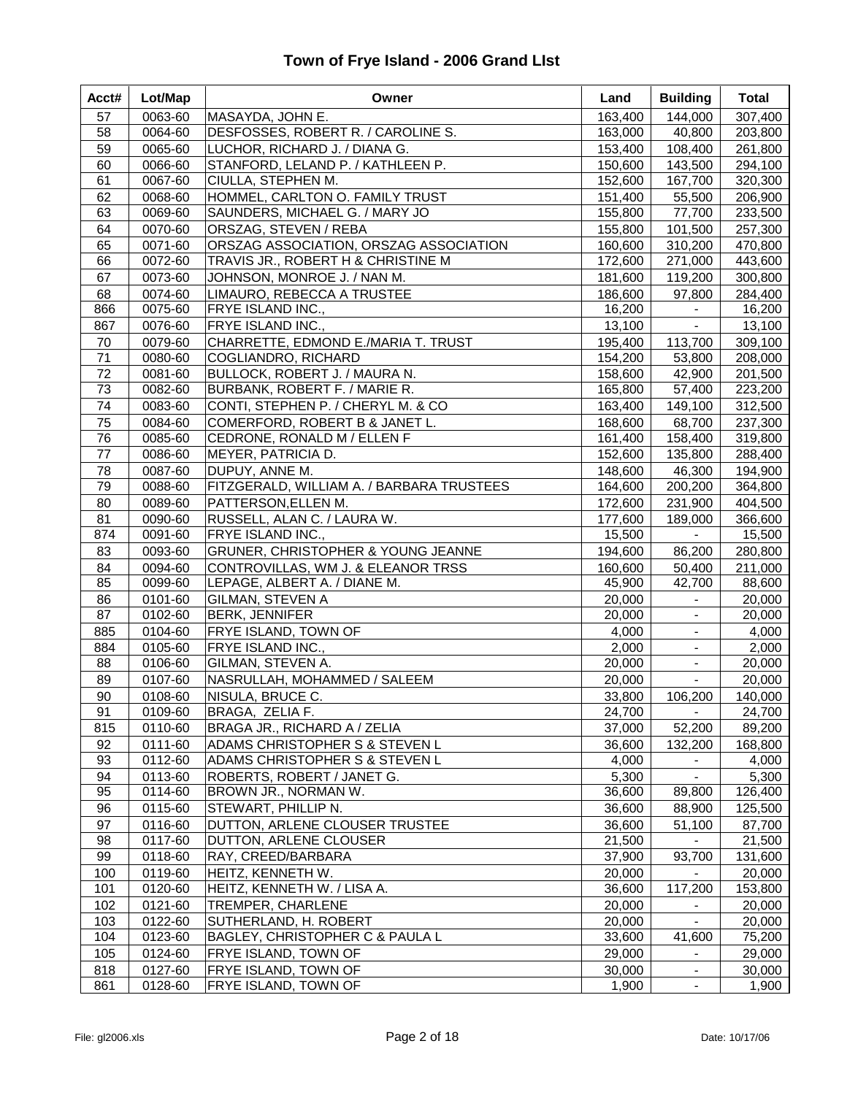| Acct# | Lot/Map | Owner                                     | Land    | <b>Building</b> | <b>Total</b> |
|-------|---------|-------------------------------------------|---------|-----------------|--------------|
| 57    | 0063-60 | MASAYDA, JOHN E.                          | 163,400 | 144,000         | 307,400      |
| 58    | 0064-60 | DESFOSSES, ROBERT R. / CAROLINE S.        | 163,000 | 40,800          | 203,800      |
| 59    | 0065-60 | LUCHOR, RICHARD J. / DIANA G.             | 153,400 | 108,400         | 261,800      |
| 60    | 0066-60 | STANFORD, LELAND P. / KATHLEEN P.         | 150,600 | 143,500         | 294,100      |
| 61    | 0067-60 | CIULLA, STEPHEN M.                        | 152,600 | 167,700         | 320,300      |
| 62    | 0068-60 | HOMMEL, CARLTON O. FAMILY TRUST           | 151,400 | 55,500          | 206,900      |
| 63    | 0069-60 | SAUNDERS, MICHAEL G. / MARY JO            | 155,800 | 77,700          | 233,500      |
| 64    | 0070-60 | ORSZAG, STEVEN / REBA                     | 155,800 | 101,500         | 257,300      |
| 65    | 0071-60 | ORSZAG ASSOCIATION, ORSZAG ASSOCIATION    | 160,600 | 310,200         | 470,800      |
| 66    | 0072-60 | TRAVIS JR., ROBERT H & CHRISTINE M        | 172,600 | 271,000         | 443,600      |
| 67    | 0073-60 | JOHNSON, MONROE J. / NAN M.               | 181,600 | 119,200         | 300,800      |
| 68    | 0074-60 | LIMAURO, REBECCA A TRUSTEE                | 186,600 | 97,800          | 284,400      |
| 866   | 0075-60 | FRYE ISLAND INC.,                         | 16,200  | $\blacksquare$  | 16,200       |
| 867   | 0076-60 | FRYE ISLAND INC.,                         | 13,100  | $\blacksquare$  | 13,100       |
| 70    | 0079-60 | CHARRETTE, EDMOND E./MARIA T. TRUST       | 195,400 | 113,700         | 309,100      |
| 71    | 0080-60 | COGLIANDRO, RICHARD                       | 154,200 | 53,800          | 208,000      |
| 72    | 0081-60 | BULLOCK, ROBERT J. / MAURA N.             | 158,600 | 42,900          | 201,500      |
| 73    | 0082-60 | BURBANK, ROBERT F. / MARIE R.             | 165,800 | 57,400          | 223,200      |
| 74    | 0083-60 | CONTI, STEPHEN P. / CHERYL M. & CO        | 163,400 | 149,100         | 312,500      |
| 75    | 0084-60 | COMERFORD, ROBERT B & JANET L.            | 168,600 | 68,700          | 237,300      |
| 76    | 0085-60 | CEDRONE, RONALD M / ELLEN F               | 161,400 | 158,400         | 319,800      |
| 77    | 0086-60 | MEYER, PATRICIA D.                        | 152,600 | 135,800         | 288,400      |
| 78    | 0087-60 | DUPUY, ANNE M.                            | 148,600 | 46,300          | 194,900      |
| 79    | 0088-60 | FITZGERALD, WILLIAM A. / BARBARA TRUSTEES | 164,600 | 200,200         | 364,800      |
| 80    | 0089-60 | PATTERSON, ELLEN M.                       | 172,600 | 231,900         | 404,500      |
| 81    | 0090-60 | RUSSELL, ALAN C. / LAURA W.               | 177,600 | 189,000         | 366,600      |
| 874   | 0091-60 | FRYE ISLAND INC.,                         | 15,500  | $\blacksquare$  | 15,500       |
| 83    | 0093-60 | GRUNER, CHRISTOPHER & YOUNG JEANNE        | 194,600 | 86,200          | 280,800      |
| 84    | 0094-60 | CONTROVILLAS, WM J. & ELEANOR TRSS        | 160,600 | 50,400          | 211,000      |
| 85    | 0099-60 | LEPAGE, ALBERT A. / DIANE M.              | 45,900  | 42,700          | 88,600       |
| 86    | 0101-60 | GILMAN, STEVEN A                          | 20,000  | $\blacksquare$  | 20,000       |
| 87    | 0102-60 | <b>BERK, JENNIFER</b>                     | 20,000  | $\blacksquare$  | 20,000       |
| 885   | 0104-60 | FRYE ISLAND, TOWN OF                      | 4,000   |                 | 4,000        |
| 884   | 0105-60 | FRYE ISLAND INC.,                         | 2,000   | $\blacksquare$  | 2,000        |
| 88    | 0106-60 | GILMAN, STEVEN A.                         | 20,000  | $\blacksquare$  | 20,000       |
| 89    | 0107-60 | NASRULLAH, MOHAMMED / SALEEM              | 20,000  | $\blacksquare$  | 20,000       |
| 90    | 0108-60 | NISULA, BRUCE C.                          | 33,800  | 106,200         | 140,000      |
| 91    | 0109-60 | BRAGA, ZELIA F.                           | 24,700  | $\blacksquare$  | 24,700       |
| 815   | 0110-60 | BRAGA JR., RICHARD A / ZELIA              | 37,000  | 52,200          | 89,200       |
| 92    | 0111-60 | ADAMS CHRISTOPHER S & STEVEN L            | 36,600  | 132,200         | 168,800      |
| 93    | 0112-60 | ADAMS CHRISTOPHER S & STEVEN L            | 4,000   | $\blacksquare$  | 4,000        |
| 94    | 0113-60 | ROBERTS, ROBERT / JANET G.                | 5,300   |                 | 5,300        |
| 95    | 0114-60 | BROWN JR., NORMAN W.                      | 36,600  | 89,800          | 126,400      |
| 96    | 0115-60 | STEWART, PHILLIP N.                       | 36,600  | 88,900          | 125,500      |
| 97    | 0116-60 | DUTTON, ARLENE CLOUSER TRUSTEE            | 36,600  | 51,100          | 87,700       |
| 98    | 0117-60 | DUTTON, ARLENE CLOUSER                    | 21,500  |                 | 21,500       |
| 99    | 0118-60 | RAY, CREED/BARBARA                        | 37,900  | 93,700          | 131,600      |
| 100   | 0119-60 | HEITZ, KENNETH W.                         | 20,000  |                 | 20,000       |
| 101   | 0120-60 | HEITZ, KENNETH W. / LISA A.               | 36,600  | 117,200         | 153,800      |
| 102   | 0121-60 | TREMPER, CHARLENE                         | 20,000  |                 | 20,000       |
| 103   | 0122-60 | SUTHERLAND, H. ROBERT                     | 20,000  |                 | 20,000       |
| 104   | 0123-60 | BAGLEY, CHRISTOPHER C & PAULA L           | 33,600  | 41,600          | 75,200       |
| 105   | 0124-60 | FRYE ISLAND, TOWN OF                      | 29,000  | $\blacksquare$  | 29,000       |
| 818   | 0127-60 | FRYE ISLAND, TOWN OF                      | 30,000  | $\blacksquare$  | 30,000       |
| 861   | 0128-60 | FRYE ISLAND, TOWN OF                      | 1,900   | $\blacksquare$  | 1,900        |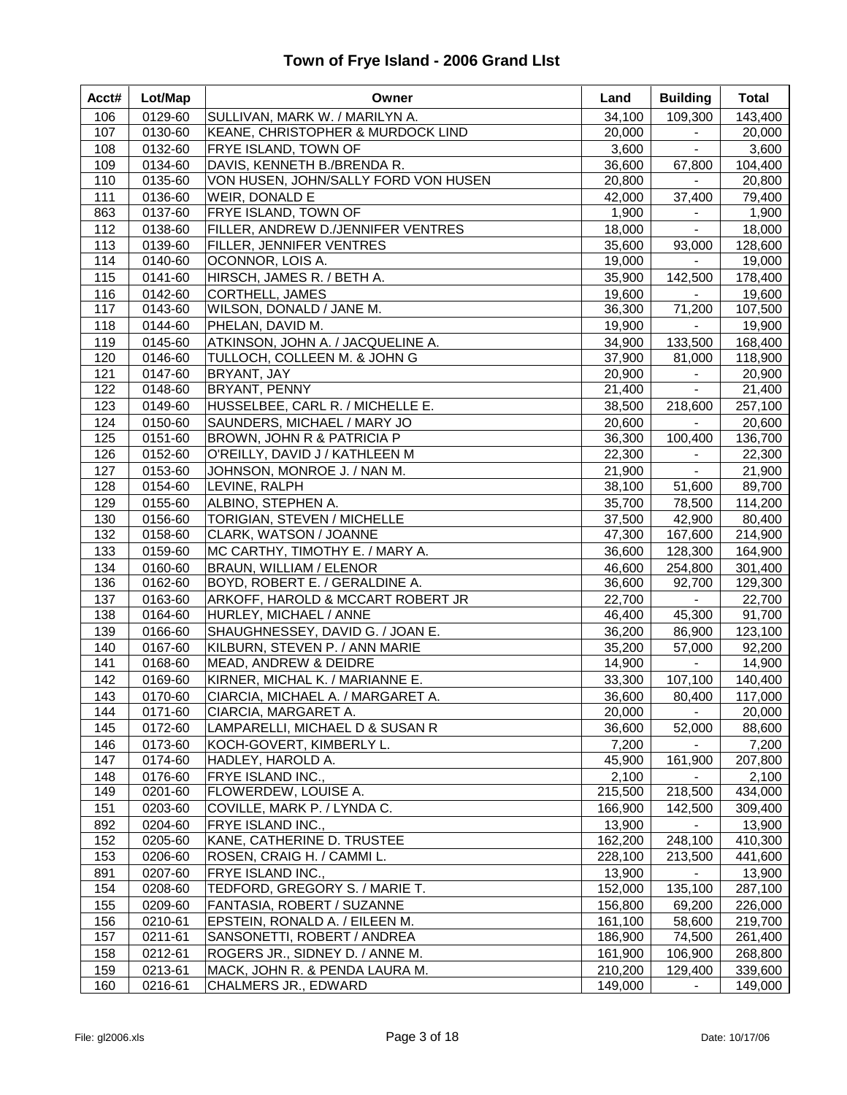| Acct#      | Lot/Map            | Owner                                                            | Land             | <b>Building</b>     | <b>Total</b>       |
|------------|--------------------|------------------------------------------------------------------|------------------|---------------------|--------------------|
| 106        | 0129-60            | SULLIVAN, MARK W. / MARILYN A.                                   | 34,100           | 109,300             | 143,400            |
| 107        | 0130-60            | KEANE, CHRISTOPHER & MURDOCK LIND                                | 20,000           | $\blacksquare$      | 20,000             |
| 108        | 0132-60            | FRYE ISLAND, TOWN OF                                             | 3,600            | $\omega_{\rm c}$    | 3,600              |
| 109        | 0134-60            | DAVIS, KENNETH B./BRENDA R.                                      | 36,600           | 67,800              | 104,400            |
| 110        | 0135-60            | VON HUSEN, JOHN/SALLY FORD VON HUSEN                             | 20,800           | $\sim$              | 20,800             |
| 111        | 0136-60            | WEIR, DONALD E                                                   | 42,000           | 37,400              | 79,400             |
| 863        | 0137-60            | FRYE ISLAND, TOWN OF                                             | 1,900            |                     | 1,900              |
| 112        | 0138-60            | FILLER, ANDREW D./JENNIFER VENTRES                               | 18,000           | $\blacksquare$      | 18,000             |
| 113        | 0139-60            | FILLER, JENNIFER VENTRES                                         | 35,600           | 93,000              | 128,600            |
| 114        | 0140-60            | OCONNOR, LOIS A.                                                 | 19,000           | $\sim$              | 19,000             |
| 115        | 0141-60            | HIRSCH, JAMES R. / BETH A.                                       | 35,900           | 142,500             | 178,400            |
| 116        | 0142-60            | <b>CORTHELL, JAMES</b>                                           | 19,600           | $\sim$              | 19,600             |
| 117        | 0143-60            | WILSON, DONALD / JANE M.                                         | 36,300           | 71,200              | 107,500            |
| 118        | 0144-60            | PHELAN, DAVID M.                                                 | 19,900           | $\sim$              | 19,900             |
| 119        | 0145-60            | ATKINSON, JOHN A. / JACQUELINE A.                                | 34,900           | 133,500             | 168,400            |
| 120        | 0146-60            | TULLOCH, COLLEEN M. & JOHN G                                     | 37,900           | 81,000              | 118,900            |
| 121        | 0147-60            | BRYANT, JAY                                                      | 20,900           | $\omega_{\rm{eff}}$ | 20,900             |
| 122        | 0148-60            | BRYANT, PENNY                                                    | 21,400           | $\omega_{\rm c}$    | 21,400             |
| 123        | 0149-60            | HUSSELBEE, CARL R. / MICHELLE E.                                 | 38,500           | 218,600             | 257,100            |
| 124        | 0150-60            | SAUNDERS, MICHAEL / MARY JO                                      | 20,600           | $\sim$              | 20,600             |
| 125        | 0151-60            | BROWN, JOHN R & PATRICIA P                                       | 36,300           | 100,400             | 136,700            |
| 126        | 0152-60            | O'REILLY, DAVID J / KATHLEEN M                                   | 22,300           | $\blacksquare$      | 22,300             |
| 127        | 0153-60            | JOHNSON, MONROE J. / NAN M.                                      | 21,900           | $\sim$              | 21,900             |
| 128        | 0154-60            | LEVINE, RALPH                                                    | 38,100           | 51,600              | 89,700             |
| 129        | 0155-60            | ALBINO, STEPHEN A.                                               | 35,700           | 78,500              | 114,200            |
| 130        | 0156-60            | TORIGIAN, STEVEN / MICHELLE                                      | 37,500           | 42,900              | 80,400             |
| 132        | 0158-60            | CLARK, WATSON / JOANNE                                           | 47,300           | 167,600             | 214,900            |
| 133        | 0159-60            | MC CARTHY, TIMOTHY E. / MARY A.                                  | 36,600           | 128,300             | 164,900            |
| 134<br>136 | 0160-60<br>0162-60 | <b>BRAUN, WILLIAM / ELENOR</b><br>BOYD, ROBERT E. / GERALDINE A. | 46,600<br>36,600 | 254,800<br>92,700   | 301,400<br>129,300 |
| 137        | 0163-60            | ARKOFF, HAROLD & MCCART ROBERT JR                                | 22,700           | $\sim$              | 22,700             |
| 138        | 0164-60            | HURLEY, MICHAEL / ANNE                                           | 46,400           | 45,300              | 91,700             |
| 139        | 0166-60            | SHAUGHNESSEY, DAVID G. / JOAN E.                                 | 36,200           | 86,900              | 123,100            |
| 140        | 0167-60            | KILBURN, STEVEN P. / ANN MARIE                                   | 35,200           | 57,000              | 92,200             |
| 141        | 0168-60            | MEAD, ANDREW & DEIDRE                                            | 14,900           | $\sim$              | 14,900             |
| 142        | 0169-60            | KIRNER, MICHAL K. / MARIANNE E.                                  | 33,300           | 107,100             | 140,400            |
| 143        | 0170-60            | CIARCIA, MICHAEL A. / MARGARET A.                                | 36,600           | 80,400              | 117,000            |
| 144        | 0171-60            | CIARCIA, MARGARET A.                                             | 20,000           | $\blacksquare$      | 20,000             |
| 145        | 0172-60            | LAMPARELLI, MICHAEL D & SUSAN R                                  | 36,600           | 52,000              | 88,600             |
| 146        | 0173-60            | KOCH-GOVERT, KIMBERLY L.                                         | 7,200            |                     | 7,200              |
| 147        | 0174-60            | HADLEY, HAROLD A.                                                | 45,900           | 161,900             | 207,800            |
| 148        | 0176-60            | FRYE ISLAND INC.,                                                | 2,100            |                     | 2,100              |
| 149        | 0201-60            | FLOWERDEW, LOUISE A.                                             | 215,500          | 218,500             | 434,000            |
| 151        | 0203-60            | COVILLE, MARK P. / LYNDA C.                                      | 166,900          | 142,500             | 309,400            |
| 892        | 0204-60            | FRYE ISLAND INC.,                                                | 13,900           |                     | 13,900             |
| 152        | 0205-60            | KANE, CATHERINE D. TRUSTEE                                       | 162,200          | 248,100             | 410,300            |
| 153        | 0206-60            | ROSEN, CRAIG H. / CAMMI L.                                       | 228,100          | 213,500             | 441,600            |
| 891        | 0207-60            | FRYE ISLAND INC.,                                                | 13,900           |                     | 13,900             |
| 154        | 0208-60            | TEDFORD, GREGORY S. / MARIE T.                                   | 152,000          | 135,100             | 287,100            |
| 155        | 0209-60            | FANTASIA, ROBERT / SUZANNE                                       | 156,800          | 69,200              | 226,000            |
| 156        | 0210-61            | EPSTEIN, RONALD A. / EILEEN M.                                   | 161,100          | 58,600              | 219,700            |
| 157        | 0211-61            | SANSONETTI, ROBERT / ANDREA                                      | 186,900          | 74,500              | 261,400            |
| 158        | 0212-61            | ROGERS JR., SIDNEY D. / ANNE M.                                  | 161,900          | 106,900             | 268,800            |
| 159        | 0213-61            | MACK, JOHN R. & PENDA LAURA M.                                   | 210,200          | 129,400             | 339,600            |
| 160        | 0216-61            | CHALMERS JR., EDWARD                                             | 149,000          | $\blacksquare$      | 149,000            |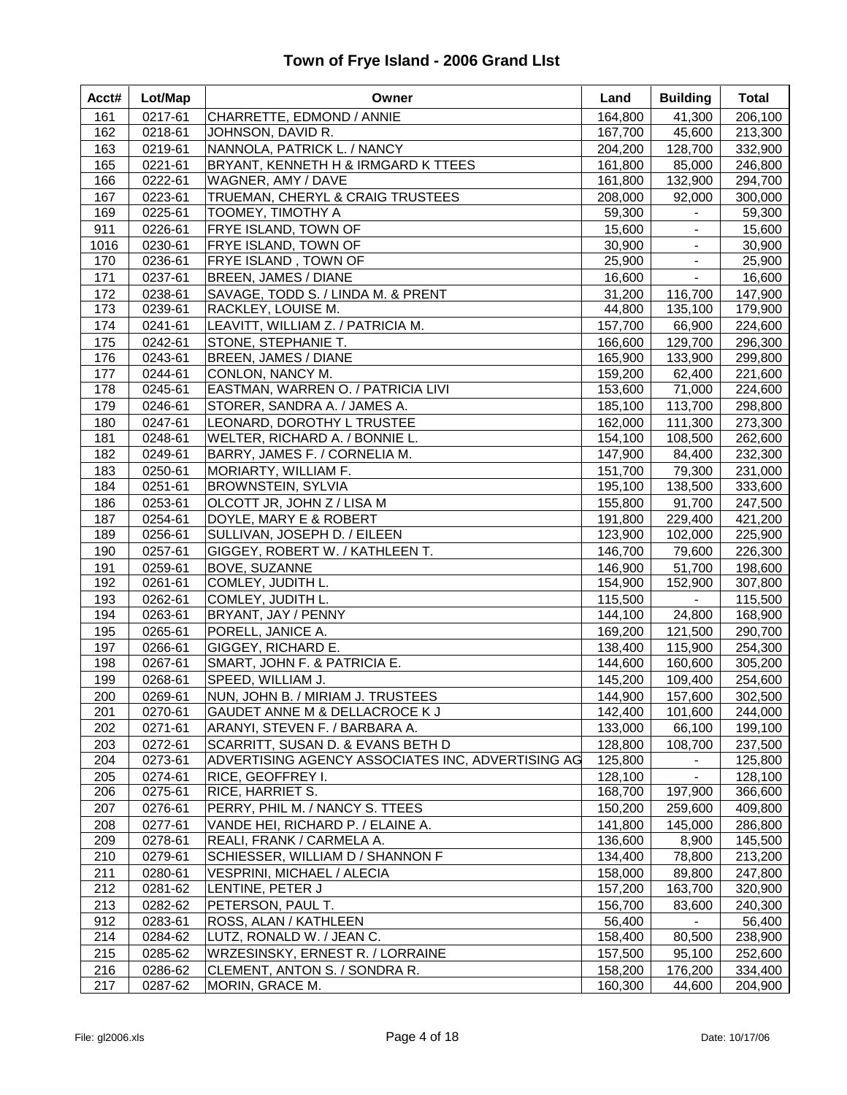| Acct#      | Lot/Map            | Owner                                                          | Land               | <b>Building</b>           | <b>Total</b>       |
|------------|--------------------|----------------------------------------------------------------|--------------------|---------------------------|--------------------|
| 161        | 0217-61            | CHARRETTE, EDMOND / ANNIE                                      | 164,800            | 41,300                    | 206,100            |
| 162        | 0218-61            | JOHNSON, DAVID R.                                              | 167,700            | 45,600                    | 213,300            |
| 163        | 0219-61            | NANNOLA, PATRICK L. / NANCY                                    | 204,200            | 128,700                   | 332,900            |
| 165        | 0221-61            | BRYANT, KENNETH H & IRMGARD K TTEES                            | 161,800            | 85,000                    | 246,800            |
| 166        | 0222-61            | WAGNER, AMY / DAVE                                             | 161,800            | 132,900                   | 294,700            |
| 167        | 0223-61            | TRUEMAN, CHERYL & CRAIG TRUSTEES                               | 208,000            | 92,000                    | 300,000            |
| 169        | 0225-61            | TOOMEY, TIMOTHY A                                              | 59,300             |                           | 59,300             |
| 911        | 0226-61            | FRYE ISLAND, TOWN OF                                           | 15,600             | $\blacksquare$            | 15,600             |
| 1016       | 0230-61            | FRYE ISLAND, TOWN OF                                           | 30,900             | $\blacksquare$            | 30,900             |
| 170        | 0236-61            | FRYE ISLAND, TOWN OF                                           | 25,900             | $\blacksquare$            | 25,900             |
| 171        | 0237-61            | BREEN, JAMES / DIANE                                           | 16,600             | $\blacksquare$            | 16,600             |
| 172        | 0238-61            | SAVAGE, TODD S. / LINDA M. & PRENT                             | 31,200             | 116,700                   | 147,900            |
| 173        | 0239-61            | RACKLEY, LOUISE M.                                             | 44,800             | 135,100                   | 179,900            |
| 174        | 0241-61            | LEAVITT, WILLIAM Z. / PATRICIA M.                              | 157,700            | 66,900                    | 224,600            |
| 175        | 0242-61            | STONE, STEPHANIE T.                                            | 166,600            | 129,700                   | 296,300            |
| 176        | 0243-61            | BREEN, JAMES / DIANE                                           | 165,900            | 133,900                   | 299,800            |
| 177        | 0244-61            | CONLON, NANCY M.                                               | 159,200            | 62,400                    | 221,600            |
| 178        | 0245-61            | EASTMAN, WARREN O. / PATRICIA LIVI                             | 153,600            | 71,000                    | 224,600            |
| 179        | 0246-61            | STORER, SANDRA A. / JAMES A.                                   | 185,100            | 113,700                   | 298,800            |
| 180        | 0247-61            | LEONARD, DOROTHY L TRUSTEE                                     | 162,000            | 111,300                   | 273,300            |
| 181        | 0248-61            | WELTER, RICHARD A. / BONNIE L.                                 | 154,100            | 108,500                   | 262,600            |
| 182        | 0249-61            | BARRY, JAMES F. / CORNELIA M.                                  | 147,900            | 84,400                    | 232,300            |
| 183        | 0250-61            | MORIARTY, WILLIAM F.                                           | 151,700            | 79,300                    | 231,000            |
| 184        | 0251-61            | <b>BROWNSTEIN, SYLVIA</b>                                      | 195,100            | 138,500                   | 333,600            |
| 186        | 0253-61            | OLCOTT JR, JOHN Z / LISA M                                     | 155,800            | 91,700                    | 247,500            |
| 187        | 0254-61            | DOYLE, MARY E & ROBERT                                         | 191,800            | 229,400                   | 421,200            |
| 189        | 0256-61            | SULLIVAN, JOSEPH D. / EILEEN                                   | 123,900            | 102,000                   | 225,900            |
| 190        | 0257-61            | GIGGEY, ROBERT W. / KATHLEEN T.                                | 146,700            | 79,600                    | 226,300            |
| 191        | 0259-61            | BOVE, SUZANNE                                                  | 146,900            | 51,700                    | 198,600            |
| 192        | 0261-61            | COMLEY, JUDITH L.                                              | 154,900            | 152,900                   | 307,800            |
| 193        | 0262-61            | COMLEY, JUDITH L.                                              | 115,500            | $\blacksquare$            | 115,500            |
| 194        | 0263-61            | BRYANT, JAY / PENNY                                            | 144,100            | 24,800                    | 168,900            |
| 195        | 0265-61            | PORELL, JANICE A.                                              | 169,200            | 121,500                   | 290,700            |
| 197        | 0266-61            | GIGGEY, RICHARD E.                                             | 138,400            | 115,900                   | 254,300            |
| 198        | 0267-61            | SMART, JOHN F. & PATRICIA E.                                   | 144,600            | 160,600                   | 305,200            |
| 199        | 0268-61            | SPEED, WILLIAM J.                                              | 145,200            | 109,400                   | 254,600            |
| 200        | 0269-61            | NUN, JOHN B. / MIRIAM J. TRUSTEES                              | 144,900            | 157,600                   | 302,500            |
| 201        | 0270-61            | GAUDET ANNE M & DELLACROCE K J                                 | 142,400            | 101,600                   | 244,000            |
| 202        | 0271-61            | ARANYI, STEVEN F. / BARBARA A.                                 | 133,000            | 66,100                    | 199,100            |
| 203        | 0272-61            | SCARRITT, SUSAN D. & EVANS BETH D                              | 128,800            | 108,700                   | 237,500            |
| 204        | 0273-61            | ADVERTISING AGENCY ASSOCIATES INC, ADVERTISING AG              | 125,800            |                           | 125,800            |
| 205<br>206 | 0274-61<br>0275-61 | RICE, GEOFFREY I.                                              | 128,100<br>168,700 | $\blacksquare$<br>197,900 | 128,100<br>366,600 |
|            |                    | RICE, HARRIET S.                                               | 150,200            | 259,600                   | 409,800            |
| 207        | 0276-61            | PERRY, PHIL M. / NANCY S. TTEES                                | 141,800            |                           |                    |
| 208<br>209 | 0277-61<br>0278-61 | VANDE HEI, RICHARD P. / ELAINE A.<br>REALI, FRANK / CARMELA A. | 136,600            | 145,000<br>8,900          | 286,800<br>145,500 |
| 210        | 0279-61            | SCHIESSER, WILLIAM D / SHANNON F                               | 134,400            | 78,800                    | 213,200            |
| 211        | 0280-61            | <b>VESPRINI, MICHAEL / ALECIA</b>                              | 158,000            | 89,800                    | 247,800            |
| 212        | 0281-62            |                                                                | 157,200            | 163,700                   | 320,900            |
|            |                    | LENTINE, PETER J                                               |                    |                           |                    |
| 213        | 0282-62            | PETERSON, PAUL T.                                              | 156,700            | 83,600                    | 240,300            |
| 912<br>214 | 0283-61<br>0284-62 | ROSS, ALAN / KATHLEEN<br>LUTZ, RONALD W. / JEAN C.             | 56,400<br>158,400  | 80,500                    | 56,400<br>238,900  |
|            |                    |                                                                | 157,500            |                           |                    |
| 215        | 0285-62<br>0286-62 | WRZESINSKY, ERNEST R. / LORRAINE                               |                    | 95,100                    | 252,600            |
| 216<br>217 | 0287-62            | CLEMENT, ANTON S. / SONDRA R.<br>MORIN, GRACE M.               | 158,200<br>160,300 | 176,200<br>44,600         | 334,400<br>204,900 |
|            |                    |                                                                |                    |                           |                    |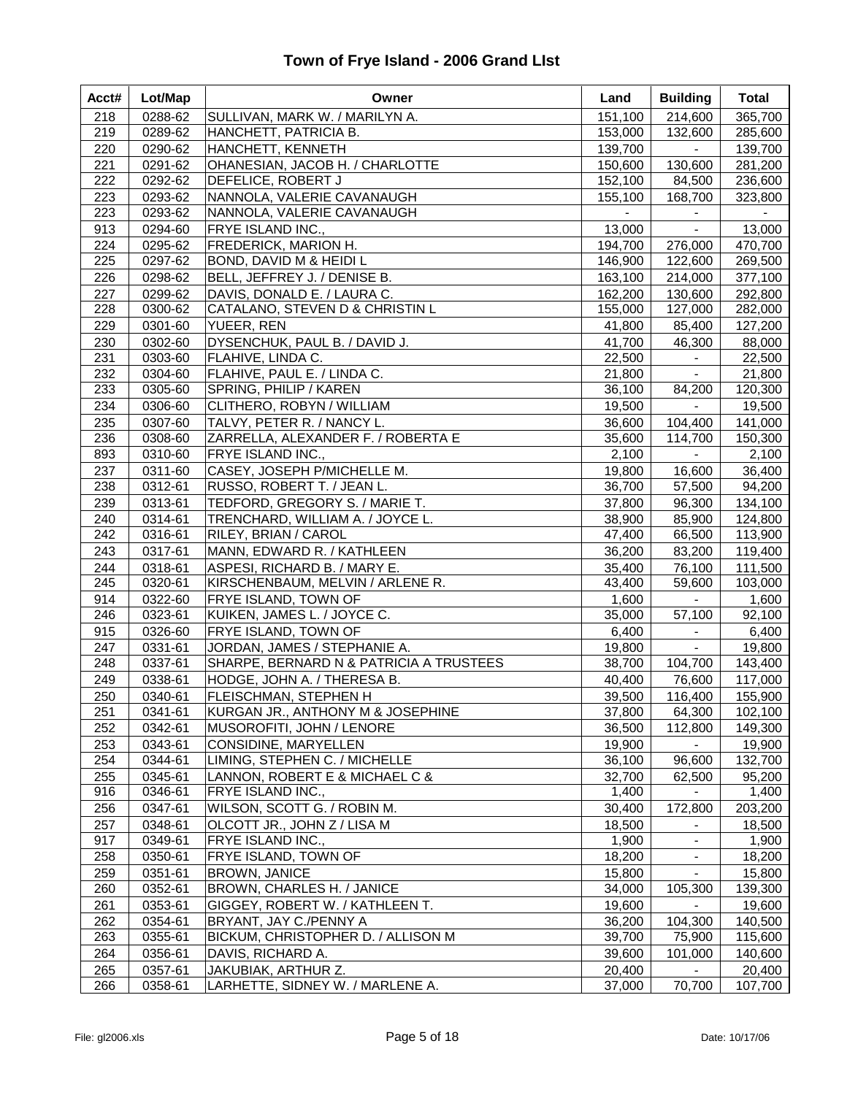| 151,100<br>214,600<br>218<br>0288-62<br>SULLIVAN, MARK W. / MARILYN A.<br>365,700<br>219<br>0289-62<br>HANCHETT, PATRICIA B.<br>153,000<br>132,600<br>285,600<br>220<br>0290-62<br>HANCHETT, KENNETH<br>139,700<br>139,700<br>$\sim$<br>OHANESIAN, JACOB H. / CHARLOTTE<br>150,600<br>130,600<br>281,200<br>221<br>0291-62<br>222<br>0292-62<br>DEFELICE, ROBERT J<br>152,100<br>84,500<br>236,600<br>223<br>0293-62<br>NANNOLA, VALERIE CAVANAUGH<br>155,100<br>168,700<br>323,800<br>223<br>NANNOLA, VALERIE CAVANAUGH<br>0293-62<br>913<br>0294-60<br>13,000<br>FRYE ISLAND INC.,<br>13,000<br>$\blacksquare$<br>0295-62<br>FREDERICK, MARION H.<br>470,700<br>224<br>194,700<br>276,000<br>225<br>0297-62<br>146,900<br>122,600<br>269,500<br>BOND, DAVID M & HEIDI L<br>226<br>0298-62<br>BELL, JEFFREY J. / DENISE B.<br>163,100<br>214,000<br>377,100<br>162,200<br>130,600<br>292,800<br>227<br>0299-62<br>DAVIS, DONALD E. / LAURA C.<br>228<br>CATALANO, STEVEN D & CHRISTIN L<br>155,000<br>127,000<br>282,000<br>0300-62<br>229<br>0301-60<br>YUEER, REN<br>41,800<br>85,400<br>127,200<br>230<br>DYSENCHUK, PAUL B. / DAVID J.<br>41,700<br>46,300<br>0302-60<br>88,000<br>231<br>0303-60<br>FLAHIVE, LINDA C.<br>22,500<br>22,500<br>232<br>FLAHIVE, PAUL E. / LINDA C.<br>21,800<br>0304-60<br>21,800<br>$\equiv$<br>233<br>0305-60<br>SPRING, PHILIP / KAREN<br>84,200<br>120,300<br>36,100<br>234<br>0306-60<br>CLITHERO, ROBYN / WILLIAM<br>19,500<br>$\omega_{\rm{max}}$<br>19,500<br>TALVY, PETER R. / NANCY L.<br>36,600<br>104,400<br>141,000<br>235<br>0307-60<br>236<br>ZARRELLA, ALEXANDER F. / ROBERTA E<br>35,600<br>114,700<br>150,300<br>0308-60<br>893<br>0310-60<br><b>FRYE ISLAND INC.,</b><br>2,100<br>2,100<br>$\blacksquare$<br>237<br>0311-60<br>CASEY, JOSEPH P/MICHELLE M.<br>19,800<br>16,600<br>36,400<br>238<br>36,700<br>57,500<br>94,200<br>0312-61<br>RUSSO, ROBERT T. / JEAN L.<br>0313-61<br>TEDFORD, GREGORY S. / MARIE T.<br>96,300<br>134,100<br>239<br>37,800<br>240<br>0314-61<br>TRENCHARD, WILLIAM A. / JOYCE L.<br>38,900<br>85,900<br>124,800<br>242<br>0316-61<br>RILEY, BRIAN / CAROL<br>47,400<br>66,500<br>113,900<br>243<br>0317-61<br>MANN, EDWARD R. / KATHLEEN<br>36,200<br>83,200<br>119,400<br>111,500<br>244<br>0318-61<br>ASPESI, RICHARD B. / MARY E.<br>35,400<br>76,100<br>245<br>0320-61<br>43,400<br>59,600<br>103,000<br>KIRSCHENBAUM, MELVIN / ARLENE R.<br>914<br>0322-60<br><b>FRYE ISLAND, TOWN OF</b><br>1,600<br>1,600<br>$\sim$<br>246<br>0323-61<br>KUIKEN, JAMES L. / JOYCE C.<br>35,000<br>57,100<br>92,100<br>915<br>0326-60<br>FRYE ISLAND, TOWN OF<br>6,400<br>6,400<br>JORDAN, JAMES / STEPHANIE A.<br>247<br>0331-61<br>19,800<br>19,800<br>$\blacksquare$<br>SHARPE, BERNARD N & PATRICIA A TRUSTEES<br>104,700<br>248<br>0337-61<br>38,700<br>143,400<br>249<br>0338-61<br>HODGE, JOHN A. / THERESA B.<br>40,400<br>76,600<br>117,000<br>155,900<br>250<br>0340-61<br>FLEISCHMAN, STEPHEN H<br>39,500<br>116,400<br>251<br>0341-61<br>KURGAN JR., ANTHONY M & JOSEPHINE<br>37,800<br>64,300<br>102,100<br>149,300<br>252<br>0342-61<br>MUSOROFITI, JOHN / LENORE<br>36,500<br>112,800<br>0343-61<br>19,900<br>253<br><b>CONSIDINE, MARYELLEN</b><br>19,900<br>254<br>0344-61<br>LIMING, STEPHEN C. / MICHELLE<br>36,100<br>96,600<br>132,700<br>255<br>0345-61<br>LANNON, ROBERT E & MICHAEL C &<br>32,700<br>62,500<br>95,200<br>916<br>0346-61<br>FRYE ISLAND INC.,<br>1,400<br>1,400<br>256<br>0347-61<br>WILSON, SCOTT G. / ROBIN M.<br>30,400<br>172,800<br>203,200<br>OLCOTT JR., JOHN Z / LISA M<br>18,500<br>257<br>0348-61<br>18,500<br>1,900<br>917<br>0349-61<br>FRYE ISLAND INC.,<br>1,900<br>258<br>0350-61<br>FRYE ISLAND, TOWN OF<br>18,200<br>18,200<br>259<br>0351-61<br><b>BROWN, JANICE</b><br>15,800<br>15,800<br>105,300<br>260<br>0352-61<br>BROWN, CHARLES H. / JANICE<br>34,000<br>139,300<br>261<br>0353-61<br>GIGGEY, ROBERT W. / KATHLEEN T.<br>19,600<br>19,600<br>262<br>BRYANT, JAY C./PENNY A<br>36,200<br>104,300<br>140,500<br>0354-61<br>BICKUM, CHRISTOPHER D. / ALLISON M<br>263<br>0355-61<br>39,700<br>75,900<br>115,600<br>264<br>0356-61<br>DAVIS, RICHARD A.<br>39,600<br>101,000<br>140,600<br>265<br>0357-61<br>JAKUBIAK, ARTHUR Z.<br>20,400<br>20,400 | Acct# | Lot/Map | Owner                            | Land   | <b>Building</b> | <b>Total</b> |
|----------------------------------------------------------------------------------------------------------------------------------------------------------------------------------------------------------------------------------------------------------------------------------------------------------------------------------------------------------------------------------------------------------------------------------------------------------------------------------------------------------------------------------------------------------------------------------------------------------------------------------------------------------------------------------------------------------------------------------------------------------------------------------------------------------------------------------------------------------------------------------------------------------------------------------------------------------------------------------------------------------------------------------------------------------------------------------------------------------------------------------------------------------------------------------------------------------------------------------------------------------------------------------------------------------------------------------------------------------------------------------------------------------------------------------------------------------------------------------------------------------------------------------------------------------------------------------------------------------------------------------------------------------------------------------------------------------------------------------------------------------------------------------------------------------------------------------------------------------------------------------------------------------------------------------------------------------------------------------------------------------------------------------------------------------------------------------------------------------------------------------------------------------------------------------------------------------------------------------------------------------------------------------------------------------------------------------------------------------------------------------------------------------------------------------------------------------------------------------------------------------------------------------------------------------------------------------------------------------------------------------------------------------------------------------------------------------------------------------------------------------------------------------------------------------------------------------------------------------------------------------------------------------------------------------------------------------------------------------------------------------------------------------------------------------------------------------------------------------------------------------------------------------------------------------------------------------------------------------------------------------------------------------------------------------------------------------------------------------------------------------------------------------------------------------------------------------------------------------------------------------------------------------------------------------------------------------------------------------------------------------------------------------------------------------------------------------------------------------------------------------------------------------------------------------------------------------------------------------------------------------------------------------------------------------------------------------------------------------------------------------------------------------------------------------------------------------------------------------------------------------------------------------------------------------------------------------------------------------------------------------------------------------------------|-------|---------|----------------------------------|--------|-----------------|--------------|
|                                                                                                                                                                                                                                                                                                                                                                                                                                                                                                                                                                                                                                                                                                                                                                                                                                                                                                                                                                                                                                                                                                                                                                                                                                                                                                                                                                                                                                                                                                                                                                                                                                                                                                                                                                                                                                                                                                                                                                                                                                                                                                                                                                                                                                                                                                                                                                                                                                                                                                                                                                                                                                                                                                                                                                                                                                                                                                                                                                                                                                                                                                                                                                                                                                                                                                                                                                                                                                                                                                                                                                                                                                                                                                                                                                                                                                                                                                                                                                                                                                                                                                                                                                                                                                                                                              |       |         |                                  |        |                 |              |
|                                                                                                                                                                                                                                                                                                                                                                                                                                                                                                                                                                                                                                                                                                                                                                                                                                                                                                                                                                                                                                                                                                                                                                                                                                                                                                                                                                                                                                                                                                                                                                                                                                                                                                                                                                                                                                                                                                                                                                                                                                                                                                                                                                                                                                                                                                                                                                                                                                                                                                                                                                                                                                                                                                                                                                                                                                                                                                                                                                                                                                                                                                                                                                                                                                                                                                                                                                                                                                                                                                                                                                                                                                                                                                                                                                                                                                                                                                                                                                                                                                                                                                                                                                                                                                                                                              |       |         |                                  |        |                 |              |
|                                                                                                                                                                                                                                                                                                                                                                                                                                                                                                                                                                                                                                                                                                                                                                                                                                                                                                                                                                                                                                                                                                                                                                                                                                                                                                                                                                                                                                                                                                                                                                                                                                                                                                                                                                                                                                                                                                                                                                                                                                                                                                                                                                                                                                                                                                                                                                                                                                                                                                                                                                                                                                                                                                                                                                                                                                                                                                                                                                                                                                                                                                                                                                                                                                                                                                                                                                                                                                                                                                                                                                                                                                                                                                                                                                                                                                                                                                                                                                                                                                                                                                                                                                                                                                                                                              |       |         |                                  |        |                 |              |
|                                                                                                                                                                                                                                                                                                                                                                                                                                                                                                                                                                                                                                                                                                                                                                                                                                                                                                                                                                                                                                                                                                                                                                                                                                                                                                                                                                                                                                                                                                                                                                                                                                                                                                                                                                                                                                                                                                                                                                                                                                                                                                                                                                                                                                                                                                                                                                                                                                                                                                                                                                                                                                                                                                                                                                                                                                                                                                                                                                                                                                                                                                                                                                                                                                                                                                                                                                                                                                                                                                                                                                                                                                                                                                                                                                                                                                                                                                                                                                                                                                                                                                                                                                                                                                                                                              |       |         |                                  |        |                 |              |
|                                                                                                                                                                                                                                                                                                                                                                                                                                                                                                                                                                                                                                                                                                                                                                                                                                                                                                                                                                                                                                                                                                                                                                                                                                                                                                                                                                                                                                                                                                                                                                                                                                                                                                                                                                                                                                                                                                                                                                                                                                                                                                                                                                                                                                                                                                                                                                                                                                                                                                                                                                                                                                                                                                                                                                                                                                                                                                                                                                                                                                                                                                                                                                                                                                                                                                                                                                                                                                                                                                                                                                                                                                                                                                                                                                                                                                                                                                                                                                                                                                                                                                                                                                                                                                                                                              |       |         |                                  |        |                 |              |
|                                                                                                                                                                                                                                                                                                                                                                                                                                                                                                                                                                                                                                                                                                                                                                                                                                                                                                                                                                                                                                                                                                                                                                                                                                                                                                                                                                                                                                                                                                                                                                                                                                                                                                                                                                                                                                                                                                                                                                                                                                                                                                                                                                                                                                                                                                                                                                                                                                                                                                                                                                                                                                                                                                                                                                                                                                                                                                                                                                                                                                                                                                                                                                                                                                                                                                                                                                                                                                                                                                                                                                                                                                                                                                                                                                                                                                                                                                                                                                                                                                                                                                                                                                                                                                                                                              |       |         |                                  |        |                 |              |
|                                                                                                                                                                                                                                                                                                                                                                                                                                                                                                                                                                                                                                                                                                                                                                                                                                                                                                                                                                                                                                                                                                                                                                                                                                                                                                                                                                                                                                                                                                                                                                                                                                                                                                                                                                                                                                                                                                                                                                                                                                                                                                                                                                                                                                                                                                                                                                                                                                                                                                                                                                                                                                                                                                                                                                                                                                                                                                                                                                                                                                                                                                                                                                                                                                                                                                                                                                                                                                                                                                                                                                                                                                                                                                                                                                                                                                                                                                                                                                                                                                                                                                                                                                                                                                                                                              |       |         |                                  |        |                 |              |
|                                                                                                                                                                                                                                                                                                                                                                                                                                                                                                                                                                                                                                                                                                                                                                                                                                                                                                                                                                                                                                                                                                                                                                                                                                                                                                                                                                                                                                                                                                                                                                                                                                                                                                                                                                                                                                                                                                                                                                                                                                                                                                                                                                                                                                                                                                                                                                                                                                                                                                                                                                                                                                                                                                                                                                                                                                                                                                                                                                                                                                                                                                                                                                                                                                                                                                                                                                                                                                                                                                                                                                                                                                                                                                                                                                                                                                                                                                                                                                                                                                                                                                                                                                                                                                                                                              |       |         |                                  |        |                 |              |
|                                                                                                                                                                                                                                                                                                                                                                                                                                                                                                                                                                                                                                                                                                                                                                                                                                                                                                                                                                                                                                                                                                                                                                                                                                                                                                                                                                                                                                                                                                                                                                                                                                                                                                                                                                                                                                                                                                                                                                                                                                                                                                                                                                                                                                                                                                                                                                                                                                                                                                                                                                                                                                                                                                                                                                                                                                                                                                                                                                                                                                                                                                                                                                                                                                                                                                                                                                                                                                                                                                                                                                                                                                                                                                                                                                                                                                                                                                                                                                                                                                                                                                                                                                                                                                                                                              |       |         |                                  |        |                 |              |
|                                                                                                                                                                                                                                                                                                                                                                                                                                                                                                                                                                                                                                                                                                                                                                                                                                                                                                                                                                                                                                                                                                                                                                                                                                                                                                                                                                                                                                                                                                                                                                                                                                                                                                                                                                                                                                                                                                                                                                                                                                                                                                                                                                                                                                                                                                                                                                                                                                                                                                                                                                                                                                                                                                                                                                                                                                                                                                                                                                                                                                                                                                                                                                                                                                                                                                                                                                                                                                                                                                                                                                                                                                                                                                                                                                                                                                                                                                                                                                                                                                                                                                                                                                                                                                                                                              |       |         |                                  |        |                 |              |
|                                                                                                                                                                                                                                                                                                                                                                                                                                                                                                                                                                                                                                                                                                                                                                                                                                                                                                                                                                                                                                                                                                                                                                                                                                                                                                                                                                                                                                                                                                                                                                                                                                                                                                                                                                                                                                                                                                                                                                                                                                                                                                                                                                                                                                                                                                                                                                                                                                                                                                                                                                                                                                                                                                                                                                                                                                                                                                                                                                                                                                                                                                                                                                                                                                                                                                                                                                                                                                                                                                                                                                                                                                                                                                                                                                                                                                                                                                                                                                                                                                                                                                                                                                                                                                                                                              |       |         |                                  |        |                 |              |
|                                                                                                                                                                                                                                                                                                                                                                                                                                                                                                                                                                                                                                                                                                                                                                                                                                                                                                                                                                                                                                                                                                                                                                                                                                                                                                                                                                                                                                                                                                                                                                                                                                                                                                                                                                                                                                                                                                                                                                                                                                                                                                                                                                                                                                                                                                                                                                                                                                                                                                                                                                                                                                                                                                                                                                                                                                                                                                                                                                                                                                                                                                                                                                                                                                                                                                                                                                                                                                                                                                                                                                                                                                                                                                                                                                                                                                                                                                                                                                                                                                                                                                                                                                                                                                                                                              |       |         |                                  |        |                 |              |
|                                                                                                                                                                                                                                                                                                                                                                                                                                                                                                                                                                                                                                                                                                                                                                                                                                                                                                                                                                                                                                                                                                                                                                                                                                                                                                                                                                                                                                                                                                                                                                                                                                                                                                                                                                                                                                                                                                                                                                                                                                                                                                                                                                                                                                                                                                                                                                                                                                                                                                                                                                                                                                                                                                                                                                                                                                                                                                                                                                                                                                                                                                                                                                                                                                                                                                                                                                                                                                                                                                                                                                                                                                                                                                                                                                                                                                                                                                                                                                                                                                                                                                                                                                                                                                                                                              |       |         |                                  |        |                 |              |
|                                                                                                                                                                                                                                                                                                                                                                                                                                                                                                                                                                                                                                                                                                                                                                                                                                                                                                                                                                                                                                                                                                                                                                                                                                                                                                                                                                                                                                                                                                                                                                                                                                                                                                                                                                                                                                                                                                                                                                                                                                                                                                                                                                                                                                                                                                                                                                                                                                                                                                                                                                                                                                                                                                                                                                                                                                                                                                                                                                                                                                                                                                                                                                                                                                                                                                                                                                                                                                                                                                                                                                                                                                                                                                                                                                                                                                                                                                                                                                                                                                                                                                                                                                                                                                                                                              |       |         |                                  |        |                 |              |
|                                                                                                                                                                                                                                                                                                                                                                                                                                                                                                                                                                                                                                                                                                                                                                                                                                                                                                                                                                                                                                                                                                                                                                                                                                                                                                                                                                                                                                                                                                                                                                                                                                                                                                                                                                                                                                                                                                                                                                                                                                                                                                                                                                                                                                                                                                                                                                                                                                                                                                                                                                                                                                                                                                                                                                                                                                                                                                                                                                                                                                                                                                                                                                                                                                                                                                                                                                                                                                                                                                                                                                                                                                                                                                                                                                                                                                                                                                                                                                                                                                                                                                                                                                                                                                                                                              |       |         |                                  |        |                 |              |
|                                                                                                                                                                                                                                                                                                                                                                                                                                                                                                                                                                                                                                                                                                                                                                                                                                                                                                                                                                                                                                                                                                                                                                                                                                                                                                                                                                                                                                                                                                                                                                                                                                                                                                                                                                                                                                                                                                                                                                                                                                                                                                                                                                                                                                                                                                                                                                                                                                                                                                                                                                                                                                                                                                                                                                                                                                                                                                                                                                                                                                                                                                                                                                                                                                                                                                                                                                                                                                                                                                                                                                                                                                                                                                                                                                                                                                                                                                                                                                                                                                                                                                                                                                                                                                                                                              |       |         |                                  |        |                 |              |
|                                                                                                                                                                                                                                                                                                                                                                                                                                                                                                                                                                                                                                                                                                                                                                                                                                                                                                                                                                                                                                                                                                                                                                                                                                                                                                                                                                                                                                                                                                                                                                                                                                                                                                                                                                                                                                                                                                                                                                                                                                                                                                                                                                                                                                                                                                                                                                                                                                                                                                                                                                                                                                                                                                                                                                                                                                                                                                                                                                                                                                                                                                                                                                                                                                                                                                                                                                                                                                                                                                                                                                                                                                                                                                                                                                                                                                                                                                                                                                                                                                                                                                                                                                                                                                                                                              |       |         |                                  |        |                 |              |
|                                                                                                                                                                                                                                                                                                                                                                                                                                                                                                                                                                                                                                                                                                                                                                                                                                                                                                                                                                                                                                                                                                                                                                                                                                                                                                                                                                                                                                                                                                                                                                                                                                                                                                                                                                                                                                                                                                                                                                                                                                                                                                                                                                                                                                                                                                                                                                                                                                                                                                                                                                                                                                                                                                                                                                                                                                                                                                                                                                                                                                                                                                                                                                                                                                                                                                                                                                                                                                                                                                                                                                                                                                                                                                                                                                                                                                                                                                                                                                                                                                                                                                                                                                                                                                                                                              |       |         |                                  |        |                 |              |
|                                                                                                                                                                                                                                                                                                                                                                                                                                                                                                                                                                                                                                                                                                                                                                                                                                                                                                                                                                                                                                                                                                                                                                                                                                                                                                                                                                                                                                                                                                                                                                                                                                                                                                                                                                                                                                                                                                                                                                                                                                                                                                                                                                                                                                                                                                                                                                                                                                                                                                                                                                                                                                                                                                                                                                                                                                                                                                                                                                                                                                                                                                                                                                                                                                                                                                                                                                                                                                                                                                                                                                                                                                                                                                                                                                                                                                                                                                                                                                                                                                                                                                                                                                                                                                                                                              |       |         |                                  |        |                 |              |
|                                                                                                                                                                                                                                                                                                                                                                                                                                                                                                                                                                                                                                                                                                                                                                                                                                                                                                                                                                                                                                                                                                                                                                                                                                                                                                                                                                                                                                                                                                                                                                                                                                                                                                                                                                                                                                                                                                                                                                                                                                                                                                                                                                                                                                                                                                                                                                                                                                                                                                                                                                                                                                                                                                                                                                                                                                                                                                                                                                                                                                                                                                                                                                                                                                                                                                                                                                                                                                                                                                                                                                                                                                                                                                                                                                                                                                                                                                                                                                                                                                                                                                                                                                                                                                                                                              |       |         |                                  |        |                 |              |
|                                                                                                                                                                                                                                                                                                                                                                                                                                                                                                                                                                                                                                                                                                                                                                                                                                                                                                                                                                                                                                                                                                                                                                                                                                                                                                                                                                                                                                                                                                                                                                                                                                                                                                                                                                                                                                                                                                                                                                                                                                                                                                                                                                                                                                                                                                                                                                                                                                                                                                                                                                                                                                                                                                                                                                                                                                                                                                                                                                                                                                                                                                                                                                                                                                                                                                                                                                                                                                                                                                                                                                                                                                                                                                                                                                                                                                                                                                                                                                                                                                                                                                                                                                                                                                                                                              |       |         |                                  |        |                 |              |
|                                                                                                                                                                                                                                                                                                                                                                                                                                                                                                                                                                                                                                                                                                                                                                                                                                                                                                                                                                                                                                                                                                                                                                                                                                                                                                                                                                                                                                                                                                                                                                                                                                                                                                                                                                                                                                                                                                                                                                                                                                                                                                                                                                                                                                                                                                                                                                                                                                                                                                                                                                                                                                                                                                                                                                                                                                                                                                                                                                                                                                                                                                                                                                                                                                                                                                                                                                                                                                                                                                                                                                                                                                                                                                                                                                                                                                                                                                                                                                                                                                                                                                                                                                                                                                                                                              |       |         |                                  |        |                 |              |
|                                                                                                                                                                                                                                                                                                                                                                                                                                                                                                                                                                                                                                                                                                                                                                                                                                                                                                                                                                                                                                                                                                                                                                                                                                                                                                                                                                                                                                                                                                                                                                                                                                                                                                                                                                                                                                                                                                                                                                                                                                                                                                                                                                                                                                                                                                                                                                                                                                                                                                                                                                                                                                                                                                                                                                                                                                                                                                                                                                                                                                                                                                                                                                                                                                                                                                                                                                                                                                                                                                                                                                                                                                                                                                                                                                                                                                                                                                                                                                                                                                                                                                                                                                                                                                                                                              |       |         |                                  |        |                 |              |
|                                                                                                                                                                                                                                                                                                                                                                                                                                                                                                                                                                                                                                                                                                                                                                                                                                                                                                                                                                                                                                                                                                                                                                                                                                                                                                                                                                                                                                                                                                                                                                                                                                                                                                                                                                                                                                                                                                                                                                                                                                                                                                                                                                                                                                                                                                                                                                                                                                                                                                                                                                                                                                                                                                                                                                                                                                                                                                                                                                                                                                                                                                                                                                                                                                                                                                                                                                                                                                                                                                                                                                                                                                                                                                                                                                                                                                                                                                                                                                                                                                                                                                                                                                                                                                                                                              |       |         |                                  |        |                 |              |
|                                                                                                                                                                                                                                                                                                                                                                                                                                                                                                                                                                                                                                                                                                                                                                                                                                                                                                                                                                                                                                                                                                                                                                                                                                                                                                                                                                                                                                                                                                                                                                                                                                                                                                                                                                                                                                                                                                                                                                                                                                                                                                                                                                                                                                                                                                                                                                                                                                                                                                                                                                                                                                                                                                                                                                                                                                                                                                                                                                                                                                                                                                                                                                                                                                                                                                                                                                                                                                                                                                                                                                                                                                                                                                                                                                                                                                                                                                                                                                                                                                                                                                                                                                                                                                                                                              |       |         |                                  |        |                 |              |
|                                                                                                                                                                                                                                                                                                                                                                                                                                                                                                                                                                                                                                                                                                                                                                                                                                                                                                                                                                                                                                                                                                                                                                                                                                                                                                                                                                                                                                                                                                                                                                                                                                                                                                                                                                                                                                                                                                                                                                                                                                                                                                                                                                                                                                                                                                                                                                                                                                                                                                                                                                                                                                                                                                                                                                                                                                                                                                                                                                                                                                                                                                                                                                                                                                                                                                                                                                                                                                                                                                                                                                                                                                                                                                                                                                                                                                                                                                                                                                                                                                                                                                                                                                                                                                                                                              |       |         |                                  |        |                 |              |
|                                                                                                                                                                                                                                                                                                                                                                                                                                                                                                                                                                                                                                                                                                                                                                                                                                                                                                                                                                                                                                                                                                                                                                                                                                                                                                                                                                                                                                                                                                                                                                                                                                                                                                                                                                                                                                                                                                                                                                                                                                                                                                                                                                                                                                                                                                                                                                                                                                                                                                                                                                                                                                                                                                                                                                                                                                                                                                                                                                                                                                                                                                                                                                                                                                                                                                                                                                                                                                                                                                                                                                                                                                                                                                                                                                                                                                                                                                                                                                                                                                                                                                                                                                                                                                                                                              |       |         |                                  |        |                 |              |
|                                                                                                                                                                                                                                                                                                                                                                                                                                                                                                                                                                                                                                                                                                                                                                                                                                                                                                                                                                                                                                                                                                                                                                                                                                                                                                                                                                                                                                                                                                                                                                                                                                                                                                                                                                                                                                                                                                                                                                                                                                                                                                                                                                                                                                                                                                                                                                                                                                                                                                                                                                                                                                                                                                                                                                                                                                                                                                                                                                                                                                                                                                                                                                                                                                                                                                                                                                                                                                                                                                                                                                                                                                                                                                                                                                                                                                                                                                                                                                                                                                                                                                                                                                                                                                                                                              |       |         |                                  |        |                 |              |
|                                                                                                                                                                                                                                                                                                                                                                                                                                                                                                                                                                                                                                                                                                                                                                                                                                                                                                                                                                                                                                                                                                                                                                                                                                                                                                                                                                                                                                                                                                                                                                                                                                                                                                                                                                                                                                                                                                                                                                                                                                                                                                                                                                                                                                                                                                                                                                                                                                                                                                                                                                                                                                                                                                                                                                                                                                                                                                                                                                                                                                                                                                                                                                                                                                                                                                                                                                                                                                                                                                                                                                                                                                                                                                                                                                                                                                                                                                                                                                                                                                                                                                                                                                                                                                                                                              |       |         |                                  |        |                 |              |
|                                                                                                                                                                                                                                                                                                                                                                                                                                                                                                                                                                                                                                                                                                                                                                                                                                                                                                                                                                                                                                                                                                                                                                                                                                                                                                                                                                                                                                                                                                                                                                                                                                                                                                                                                                                                                                                                                                                                                                                                                                                                                                                                                                                                                                                                                                                                                                                                                                                                                                                                                                                                                                                                                                                                                                                                                                                                                                                                                                                                                                                                                                                                                                                                                                                                                                                                                                                                                                                                                                                                                                                                                                                                                                                                                                                                                                                                                                                                                                                                                                                                                                                                                                                                                                                                                              |       |         |                                  |        |                 |              |
|                                                                                                                                                                                                                                                                                                                                                                                                                                                                                                                                                                                                                                                                                                                                                                                                                                                                                                                                                                                                                                                                                                                                                                                                                                                                                                                                                                                                                                                                                                                                                                                                                                                                                                                                                                                                                                                                                                                                                                                                                                                                                                                                                                                                                                                                                                                                                                                                                                                                                                                                                                                                                                                                                                                                                                                                                                                                                                                                                                                                                                                                                                                                                                                                                                                                                                                                                                                                                                                                                                                                                                                                                                                                                                                                                                                                                                                                                                                                                                                                                                                                                                                                                                                                                                                                                              |       |         |                                  |        |                 |              |
|                                                                                                                                                                                                                                                                                                                                                                                                                                                                                                                                                                                                                                                                                                                                                                                                                                                                                                                                                                                                                                                                                                                                                                                                                                                                                                                                                                                                                                                                                                                                                                                                                                                                                                                                                                                                                                                                                                                                                                                                                                                                                                                                                                                                                                                                                                                                                                                                                                                                                                                                                                                                                                                                                                                                                                                                                                                                                                                                                                                                                                                                                                                                                                                                                                                                                                                                                                                                                                                                                                                                                                                                                                                                                                                                                                                                                                                                                                                                                                                                                                                                                                                                                                                                                                                                                              |       |         |                                  |        |                 |              |
|                                                                                                                                                                                                                                                                                                                                                                                                                                                                                                                                                                                                                                                                                                                                                                                                                                                                                                                                                                                                                                                                                                                                                                                                                                                                                                                                                                                                                                                                                                                                                                                                                                                                                                                                                                                                                                                                                                                                                                                                                                                                                                                                                                                                                                                                                                                                                                                                                                                                                                                                                                                                                                                                                                                                                                                                                                                                                                                                                                                                                                                                                                                                                                                                                                                                                                                                                                                                                                                                                                                                                                                                                                                                                                                                                                                                                                                                                                                                                                                                                                                                                                                                                                                                                                                                                              |       |         |                                  |        |                 |              |
|                                                                                                                                                                                                                                                                                                                                                                                                                                                                                                                                                                                                                                                                                                                                                                                                                                                                                                                                                                                                                                                                                                                                                                                                                                                                                                                                                                                                                                                                                                                                                                                                                                                                                                                                                                                                                                                                                                                                                                                                                                                                                                                                                                                                                                                                                                                                                                                                                                                                                                                                                                                                                                                                                                                                                                                                                                                                                                                                                                                                                                                                                                                                                                                                                                                                                                                                                                                                                                                                                                                                                                                                                                                                                                                                                                                                                                                                                                                                                                                                                                                                                                                                                                                                                                                                                              |       |         |                                  |        |                 |              |
|                                                                                                                                                                                                                                                                                                                                                                                                                                                                                                                                                                                                                                                                                                                                                                                                                                                                                                                                                                                                                                                                                                                                                                                                                                                                                                                                                                                                                                                                                                                                                                                                                                                                                                                                                                                                                                                                                                                                                                                                                                                                                                                                                                                                                                                                                                                                                                                                                                                                                                                                                                                                                                                                                                                                                                                                                                                                                                                                                                                                                                                                                                                                                                                                                                                                                                                                                                                                                                                                                                                                                                                                                                                                                                                                                                                                                                                                                                                                                                                                                                                                                                                                                                                                                                                                                              |       |         |                                  |        |                 |              |
|                                                                                                                                                                                                                                                                                                                                                                                                                                                                                                                                                                                                                                                                                                                                                                                                                                                                                                                                                                                                                                                                                                                                                                                                                                                                                                                                                                                                                                                                                                                                                                                                                                                                                                                                                                                                                                                                                                                                                                                                                                                                                                                                                                                                                                                                                                                                                                                                                                                                                                                                                                                                                                                                                                                                                                                                                                                                                                                                                                                                                                                                                                                                                                                                                                                                                                                                                                                                                                                                                                                                                                                                                                                                                                                                                                                                                                                                                                                                                                                                                                                                                                                                                                                                                                                                                              |       |         |                                  |        |                 |              |
|                                                                                                                                                                                                                                                                                                                                                                                                                                                                                                                                                                                                                                                                                                                                                                                                                                                                                                                                                                                                                                                                                                                                                                                                                                                                                                                                                                                                                                                                                                                                                                                                                                                                                                                                                                                                                                                                                                                                                                                                                                                                                                                                                                                                                                                                                                                                                                                                                                                                                                                                                                                                                                                                                                                                                                                                                                                                                                                                                                                                                                                                                                                                                                                                                                                                                                                                                                                                                                                                                                                                                                                                                                                                                                                                                                                                                                                                                                                                                                                                                                                                                                                                                                                                                                                                                              |       |         |                                  |        |                 |              |
|                                                                                                                                                                                                                                                                                                                                                                                                                                                                                                                                                                                                                                                                                                                                                                                                                                                                                                                                                                                                                                                                                                                                                                                                                                                                                                                                                                                                                                                                                                                                                                                                                                                                                                                                                                                                                                                                                                                                                                                                                                                                                                                                                                                                                                                                                                                                                                                                                                                                                                                                                                                                                                                                                                                                                                                                                                                                                                                                                                                                                                                                                                                                                                                                                                                                                                                                                                                                                                                                                                                                                                                                                                                                                                                                                                                                                                                                                                                                                                                                                                                                                                                                                                                                                                                                                              |       |         |                                  |        |                 |              |
|                                                                                                                                                                                                                                                                                                                                                                                                                                                                                                                                                                                                                                                                                                                                                                                                                                                                                                                                                                                                                                                                                                                                                                                                                                                                                                                                                                                                                                                                                                                                                                                                                                                                                                                                                                                                                                                                                                                                                                                                                                                                                                                                                                                                                                                                                                                                                                                                                                                                                                                                                                                                                                                                                                                                                                                                                                                                                                                                                                                                                                                                                                                                                                                                                                                                                                                                                                                                                                                                                                                                                                                                                                                                                                                                                                                                                                                                                                                                                                                                                                                                                                                                                                                                                                                                                              |       |         |                                  |        |                 |              |
|                                                                                                                                                                                                                                                                                                                                                                                                                                                                                                                                                                                                                                                                                                                                                                                                                                                                                                                                                                                                                                                                                                                                                                                                                                                                                                                                                                                                                                                                                                                                                                                                                                                                                                                                                                                                                                                                                                                                                                                                                                                                                                                                                                                                                                                                                                                                                                                                                                                                                                                                                                                                                                                                                                                                                                                                                                                                                                                                                                                                                                                                                                                                                                                                                                                                                                                                                                                                                                                                                                                                                                                                                                                                                                                                                                                                                                                                                                                                                                                                                                                                                                                                                                                                                                                                                              |       |         |                                  |        |                 |              |
|                                                                                                                                                                                                                                                                                                                                                                                                                                                                                                                                                                                                                                                                                                                                                                                                                                                                                                                                                                                                                                                                                                                                                                                                                                                                                                                                                                                                                                                                                                                                                                                                                                                                                                                                                                                                                                                                                                                                                                                                                                                                                                                                                                                                                                                                                                                                                                                                                                                                                                                                                                                                                                                                                                                                                                                                                                                                                                                                                                                                                                                                                                                                                                                                                                                                                                                                                                                                                                                                                                                                                                                                                                                                                                                                                                                                                                                                                                                                                                                                                                                                                                                                                                                                                                                                                              |       |         |                                  |        |                 |              |
|                                                                                                                                                                                                                                                                                                                                                                                                                                                                                                                                                                                                                                                                                                                                                                                                                                                                                                                                                                                                                                                                                                                                                                                                                                                                                                                                                                                                                                                                                                                                                                                                                                                                                                                                                                                                                                                                                                                                                                                                                                                                                                                                                                                                                                                                                                                                                                                                                                                                                                                                                                                                                                                                                                                                                                                                                                                                                                                                                                                                                                                                                                                                                                                                                                                                                                                                                                                                                                                                                                                                                                                                                                                                                                                                                                                                                                                                                                                                                                                                                                                                                                                                                                                                                                                                                              |       |         |                                  |        |                 |              |
|                                                                                                                                                                                                                                                                                                                                                                                                                                                                                                                                                                                                                                                                                                                                                                                                                                                                                                                                                                                                                                                                                                                                                                                                                                                                                                                                                                                                                                                                                                                                                                                                                                                                                                                                                                                                                                                                                                                                                                                                                                                                                                                                                                                                                                                                                                                                                                                                                                                                                                                                                                                                                                                                                                                                                                                                                                                                                                                                                                                                                                                                                                                                                                                                                                                                                                                                                                                                                                                                                                                                                                                                                                                                                                                                                                                                                                                                                                                                                                                                                                                                                                                                                                                                                                                                                              |       |         |                                  |        |                 |              |
|                                                                                                                                                                                                                                                                                                                                                                                                                                                                                                                                                                                                                                                                                                                                                                                                                                                                                                                                                                                                                                                                                                                                                                                                                                                                                                                                                                                                                                                                                                                                                                                                                                                                                                                                                                                                                                                                                                                                                                                                                                                                                                                                                                                                                                                                                                                                                                                                                                                                                                                                                                                                                                                                                                                                                                                                                                                                                                                                                                                                                                                                                                                                                                                                                                                                                                                                                                                                                                                                                                                                                                                                                                                                                                                                                                                                                                                                                                                                                                                                                                                                                                                                                                                                                                                                                              |       |         |                                  |        |                 |              |
|                                                                                                                                                                                                                                                                                                                                                                                                                                                                                                                                                                                                                                                                                                                                                                                                                                                                                                                                                                                                                                                                                                                                                                                                                                                                                                                                                                                                                                                                                                                                                                                                                                                                                                                                                                                                                                                                                                                                                                                                                                                                                                                                                                                                                                                                                                                                                                                                                                                                                                                                                                                                                                                                                                                                                                                                                                                                                                                                                                                                                                                                                                                                                                                                                                                                                                                                                                                                                                                                                                                                                                                                                                                                                                                                                                                                                                                                                                                                                                                                                                                                                                                                                                                                                                                                                              |       |         |                                  |        |                 |              |
|                                                                                                                                                                                                                                                                                                                                                                                                                                                                                                                                                                                                                                                                                                                                                                                                                                                                                                                                                                                                                                                                                                                                                                                                                                                                                                                                                                                                                                                                                                                                                                                                                                                                                                                                                                                                                                                                                                                                                                                                                                                                                                                                                                                                                                                                                                                                                                                                                                                                                                                                                                                                                                                                                                                                                                                                                                                                                                                                                                                                                                                                                                                                                                                                                                                                                                                                                                                                                                                                                                                                                                                                                                                                                                                                                                                                                                                                                                                                                                                                                                                                                                                                                                                                                                                                                              |       |         |                                  |        |                 |              |
|                                                                                                                                                                                                                                                                                                                                                                                                                                                                                                                                                                                                                                                                                                                                                                                                                                                                                                                                                                                                                                                                                                                                                                                                                                                                                                                                                                                                                                                                                                                                                                                                                                                                                                                                                                                                                                                                                                                                                                                                                                                                                                                                                                                                                                                                                                                                                                                                                                                                                                                                                                                                                                                                                                                                                                                                                                                                                                                                                                                                                                                                                                                                                                                                                                                                                                                                                                                                                                                                                                                                                                                                                                                                                                                                                                                                                                                                                                                                                                                                                                                                                                                                                                                                                                                                                              |       |         |                                  |        |                 |              |
|                                                                                                                                                                                                                                                                                                                                                                                                                                                                                                                                                                                                                                                                                                                                                                                                                                                                                                                                                                                                                                                                                                                                                                                                                                                                                                                                                                                                                                                                                                                                                                                                                                                                                                                                                                                                                                                                                                                                                                                                                                                                                                                                                                                                                                                                                                                                                                                                                                                                                                                                                                                                                                                                                                                                                                                                                                                                                                                                                                                                                                                                                                                                                                                                                                                                                                                                                                                                                                                                                                                                                                                                                                                                                                                                                                                                                                                                                                                                                                                                                                                                                                                                                                                                                                                                                              |       |         |                                  |        |                 |              |
|                                                                                                                                                                                                                                                                                                                                                                                                                                                                                                                                                                                                                                                                                                                                                                                                                                                                                                                                                                                                                                                                                                                                                                                                                                                                                                                                                                                                                                                                                                                                                                                                                                                                                                                                                                                                                                                                                                                                                                                                                                                                                                                                                                                                                                                                                                                                                                                                                                                                                                                                                                                                                                                                                                                                                                                                                                                                                                                                                                                                                                                                                                                                                                                                                                                                                                                                                                                                                                                                                                                                                                                                                                                                                                                                                                                                                                                                                                                                                                                                                                                                                                                                                                                                                                                                                              |       |         |                                  |        |                 |              |
|                                                                                                                                                                                                                                                                                                                                                                                                                                                                                                                                                                                                                                                                                                                                                                                                                                                                                                                                                                                                                                                                                                                                                                                                                                                                                                                                                                                                                                                                                                                                                                                                                                                                                                                                                                                                                                                                                                                                                                                                                                                                                                                                                                                                                                                                                                                                                                                                                                                                                                                                                                                                                                                                                                                                                                                                                                                                                                                                                                                                                                                                                                                                                                                                                                                                                                                                                                                                                                                                                                                                                                                                                                                                                                                                                                                                                                                                                                                                                                                                                                                                                                                                                                                                                                                                                              |       |         |                                  |        |                 |              |
|                                                                                                                                                                                                                                                                                                                                                                                                                                                                                                                                                                                                                                                                                                                                                                                                                                                                                                                                                                                                                                                                                                                                                                                                                                                                                                                                                                                                                                                                                                                                                                                                                                                                                                                                                                                                                                                                                                                                                                                                                                                                                                                                                                                                                                                                                                                                                                                                                                                                                                                                                                                                                                                                                                                                                                                                                                                                                                                                                                                                                                                                                                                                                                                                                                                                                                                                                                                                                                                                                                                                                                                                                                                                                                                                                                                                                                                                                                                                                                                                                                                                                                                                                                                                                                                                                              |       |         |                                  |        |                 |              |
|                                                                                                                                                                                                                                                                                                                                                                                                                                                                                                                                                                                                                                                                                                                                                                                                                                                                                                                                                                                                                                                                                                                                                                                                                                                                                                                                                                                                                                                                                                                                                                                                                                                                                                                                                                                                                                                                                                                                                                                                                                                                                                                                                                                                                                                                                                                                                                                                                                                                                                                                                                                                                                                                                                                                                                                                                                                                                                                                                                                                                                                                                                                                                                                                                                                                                                                                                                                                                                                                                                                                                                                                                                                                                                                                                                                                                                                                                                                                                                                                                                                                                                                                                                                                                                                                                              |       |         |                                  |        |                 |              |
|                                                                                                                                                                                                                                                                                                                                                                                                                                                                                                                                                                                                                                                                                                                                                                                                                                                                                                                                                                                                                                                                                                                                                                                                                                                                                                                                                                                                                                                                                                                                                                                                                                                                                                                                                                                                                                                                                                                                                                                                                                                                                                                                                                                                                                                                                                                                                                                                                                                                                                                                                                                                                                                                                                                                                                                                                                                                                                                                                                                                                                                                                                                                                                                                                                                                                                                                                                                                                                                                                                                                                                                                                                                                                                                                                                                                                                                                                                                                                                                                                                                                                                                                                                                                                                                                                              |       |         |                                  |        |                 |              |
|                                                                                                                                                                                                                                                                                                                                                                                                                                                                                                                                                                                                                                                                                                                                                                                                                                                                                                                                                                                                                                                                                                                                                                                                                                                                                                                                                                                                                                                                                                                                                                                                                                                                                                                                                                                                                                                                                                                                                                                                                                                                                                                                                                                                                                                                                                                                                                                                                                                                                                                                                                                                                                                                                                                                                                                                                                                                                                                                                                                                                                                                                                                                                                                                                                                                                                                                                                                                                                                                                                                                                                                                                                                                                                                                                                                                                                                                                                                                                                                                                                                                                                                                                                                                                                                                                              | 266   | 0358-61 | LARHETTE, SIDNEY W. / MARLENE A. | 37,000 | 70,700          | 107,700      |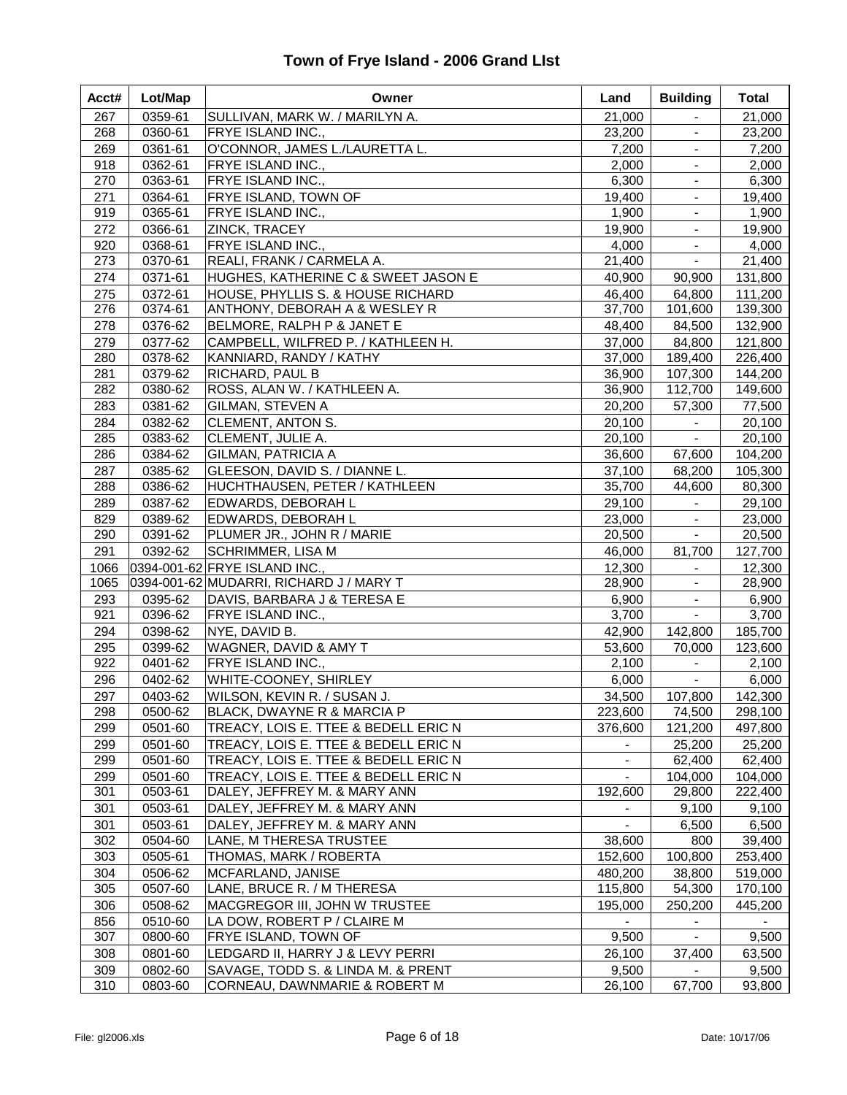| Acct# | Lot/Map | Owner                                   | Land    | <b>Building</b>             | <b>Total</b> |
|-------|---------|-----------------------------------------|---------|-----------------------------|--------------|
| 267   | 0359-61 | SULLIVAN, MARK W. / MARILYN A.          | 21,000  |                             | 21,000       |
| 268   | 0360-61 | <b>FRYE ISLAND INC.,</b>                | 23,200  | $\blacksquare$              | 23,200       |
| 269   | 0361-61 | O'CONNOR, JAMES L./LAURETTA L.          | 7,200   | $\blacksquare$              | 7,200        |
| 918   | 0362-61 | FRYE ISLAND INC.,                       | 2,000   | $\equiv$                    | 2,000        |
| 270   | 0363-61 | <b>FRYE ISLAND INC.,</b>                | 6,300   | $\blacksquare$              | 6,300        |
| 271   | 0364-61 | <b>FRYE ISLAND, TOWN OF</b>             | 19,400  | $\blacksquare$              | 19,400       |
| 919   | 0365-61 | <b>FRYE ISLAND INC.,</b>                | 1,900   | $\blacksquare$              | 1,900        |
| 272   | 0366-61 | ZINCK, TRACEY                           | 19,900  | $\blacksquare$              | 19,900       |
| 920   | 0368-61 | FRYE ISLAND INC.,                       | 4,000   | $\blacksquare$              | 4,000        |
| 273   | 0370-61 | REALI, FRANK / CARMELA A.               | 21,400  | $\blacksquare$              | 21,400       |
| 274   | 0371-61 | HUGHES, KATHERINE C & SWEET JASON E     | 40,900  | 90,900                      | 131,800      |
| 275   | 0372-61 | HOUSE, PHYLLIS S. & HOUSE RICHARD       | 46,400  | 64,800                      | 111,200      |
| 276   | 0374-61 | ANTHONY, DEBORAH A & WESLEY R           | 37,700  | 101,600                     | 139,300      |
| 278   | 0376-62 | BELMORE, RALPH P & JANET E              | 48,400  | 84,500                      | 132,900      |
| 279   | 0377-62 | CAMPBELL, WILFRED P. / KATHLEEN H.      | 37,000  | 84,800                      | 121,800      |
| 280   | 0378-62 | KANNIARD, RANDY / KATHY                 | 37,000  | 189,400                     | 226,400      |
| 281   | 0379-62 | RICHARD, PAUL B                         | 36,900  | 107,300                     | 144,200      |
| 282   | 0380-62 | ROSS, ALAN W. / KATHLEEN A.             | 36,900  | 112,700                     | 149,600      |
| 283   | 0381-62 | <b>GILMAN, STEVEN A</b>                 | 20,200  | 57,300                      | 77,500       |
| 284   | 0382-62 | <b>CLEMENT, ANTON S.</b>                | 20,100  | $\mathcal{L}_{\mathcal{A}}$ | 20,100       |
| 285   | 0383-62 | CLEMENT, JULIE A.                       | 20,100  | $\blacksquare$              | 20,100       |
| 286   | 0384-62 | <b>GILMAN, PATRICIA A</b>               | 36,600  | 67,600                      | 104,200      |
| 287   | 0385-62 | GLEESON, DAVID S. / DIANNE L.           | 37,100  | 68,200                      | 105,300      |
| 288   | 0386-62 | HUCHTHAUSEN, PETER / KATHLEEN           | 35,700  | 44,600                      | 80,300       |
| 289   | 0387-62 | EDWARDS, DEBORAH L                      | 29,100  |                             | 29,100       |
| 829   | 0389-62 | EDWARDS, DEBORAH L                      | 23,000  |                             | 23,000       |
| 290   | 0391-62 | PLUMER JR., JOHN R / MARIE              | 20,500  | $\blacksquare$              | 20,500       |
| 291   | 0392-62 | SCHRIMMER, LISA M                       | 46,000  | 81,700                      | 127,700      |
| 1066  |         | 0394-001-62 FRYE ISLAND INC.,           | 12,300  | $\blacksquare$              | 12,300       |
| 1065  |         | 0394-001-62 MUDARRI, RICHARD J / MARY T | 28,900  |                             | 28,900       |
| 293   | 0395-62 | DAVIS, BARBARA J & TERESA E             | 6,900   |                             | 6,900        |
| 921   | 0396-62 | <b>FRYE ISLAND INC.,</b>                | 3,700   | $\blacksquare$              | 3,700        |
| 294   | 0398-62 | NYE, DAVID B.                           | 42,900  | 142,800                     | 185,700      |
| 295   | 0399-62 | WAGNER, DAVID & AMY T                   | 53,600  | 70,000                      | 123,600      |
| 922   | 0401-62 | <b>FRYE ISLAND INC.,</b>                | 2,100   | $\blacksquare$              | 2,100        |
| 296   | 0402-62 | <b>WHITE-COONEY, SHIRLEY</b>            | 6,000   | $\blacksquare$              | 6,000        |
| 297   | 0403-62 | WILSON, KEVIN R. / SUSAN J.             | 34,500  | 107,800                     | 142,300      |
| 298   | 0500-62 | BLACK, DWAYNE R & MARCIA P              | 223,600 | 74,500                      | 298,100      |
| 299   | 0501-60 | TREACY, LOIS E. TTEE & BEDELL ERIC N    | 376,600 | 121,200                     | 497,800      |
| 299   | 0501-60 | TREACY, LOIS E. TTEE & BEDELL ERIC N    |         | 25,200                      | 25,200       |
| 299   | 0501-60 | TREACY, LOIS E. TTEE & BEDELL ERIC N    |         | 62,400                      | 62,400       |
| 299   | 0501-60 | TREACY, LOIS E. TTEE & BEDELL ERIC N    |         | 104,000                     | 104,000      |
| 301   | 0503-61 | DALEY, JEFFREY M. & MARY ANN            | 192,600 | 29,800                      | 222,400      |
| 301   | 0503-61 | DALEY, JEFFREY M. & MARY ANN            |         | 9,100                       | 9,100        |
| 301   | 0503-61 | DALEY, JEFFREY M. & MARY ANN            |         | 6,500                       | 6,500        |
| 302   | 0504-60 | LANE, M THERESA TRUSTEE                 | 38,600  | 800                         | 39,400       |
| 303   | 0505-61 | THOMAS, MARK / ROBERTA                  | 152,600 | 100,800                     | 253,400      |
| 304   | 0506-62 | MCFARLAND, JANISE                       | 480,200 | 38,800                      | 519,000      |
| 305   | 0507-60 | LANE, BRUCE R. / M THERESA              | 115,800 | 54,300                      | 170,100      |
| 306   | 0508-62 | MACGREGOR III, JOHN W TRUSTEE           | 195,000 | 250,200                     | 445,200      |
| 856   | 0510-60 | LA DOW, ROBERT P / CLAIRE M             |         |                             |              |
| 307   | 0800-60 | <b>FRYE ISLAND, TOWN OF</b>             | 9,500   | $\blacksquare$              | 9,500        |
| 308   | 0801-60 | LEDGARD II, HARRY J & LEVY PERRI        | 26,100  | 37,400                      | 63,500       |
| 309   | 0802-60 | SAVAGE, TODD S. & LINDA M. & PRENT      | 9,500   |                             | 9,500        |
| 310   | 0803-60 | CORNEAU, DAWNMARIE & ROBERT M           | 26,100  | 67,700                      | 93,800       |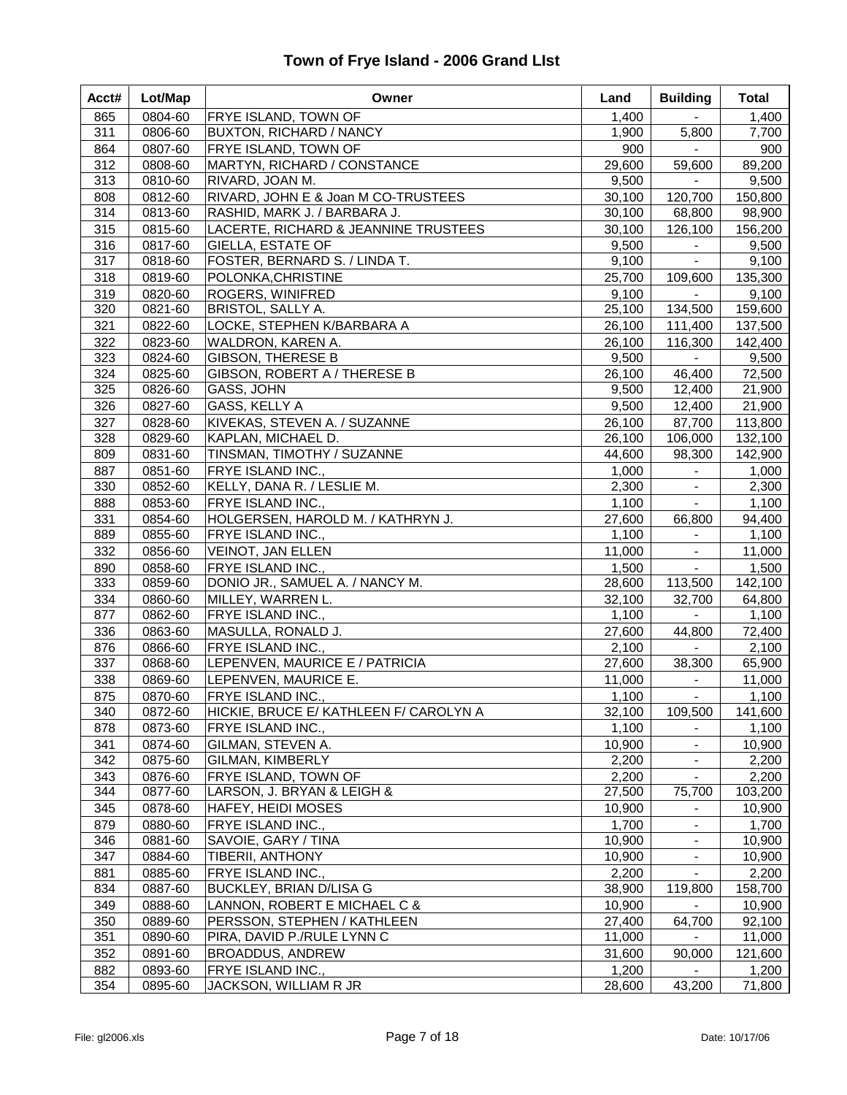| Acct# | Lot/Map | Owner                                  | Land   | <b>Building</b>     | Total   |
|-------|---------|----------------------------------------|--------|---------------------|---------|
| 865   | 0804-60 | FRYE ISLAND, TOWN OF                   | 1,400  |                     | 1,400   |
| 311   | 0806-60 | BUXTON, RICHARD / NANCY                | 1,900  | 5,800               | 7,700   |
| 864   | 0807-60 | FRYE ISLAND, TOWN OF                   | 900    | $\omega$ .          | 900     |
| 312   | 0808-60 | MARTYN, RICHARD / CONSTANCE            | 29,600 | 59,600              | 89,200  |
| 313   | 0810-60 | RIVARD, JOAN M.                        | 9,500  | $\blacksquare$      | 9,500   |
| 808   | 0812-60 | RIVARD, JOHN E & Joan M CO-TRUSTEES    | 30,100 | 120,700             | 150,800 |
| 314   | 0813-60 | RASHID, MARK J. / BARBARA J.           | 30,100 | 68,800              | 98,900  |
| 315   | 0815-60 | LACERTE, RICHARD & JEANNINE TRUSTEES   | 30,100 | 126,100             | 156,200 |
| 316   | 0817-60 | <b>GIELLA, ESTATE OF</b>               | 9,500  | $\blacksquare$      | 9,500   |
| 317   | 0818-60 | FOSTER, BERNARD S. / LINDA T.          | 9,100  | $\blacksquare$      | 9,100   |
| 318   | 0819-60 | POLONKA, CHRISTINE                     | 25,700 | 109,600             | 135,300 |
| 319   | 0820-60 | ROGERS, WINIFRED                       | 9,100  | $\sim 10^{-11}$     | 9,100   |
| 320   | 0821-60 | BRISTOL, SALLY A.                      | 25,100 | 134,500             | 159,600 |
| 321   | 0822-60 | LOCKE, STEPHEN K/BARBARA A             | 26,100 | 111,400             | 137,500 |
| 322   | 0823-60 | WALDRON, KAREN A.                      | 26,100 | 116,300             | 142,400 |
| 323   | 0824-60 | <b>GIBSON, THERESE B</b>               | 9,500  | $\blacksquare$      | 9,500   |
| 324   | 0825-60 | GIBSON, ROBERT A / THERESE B           | 26,100 | 46,400              | 72,500  |
| 325   | 0826-60 | GASS, JOHN                             | 9,500  | 12,400              | 21,900  |
| 326   | 0827-60 | GASS, KELLY A                          | 9,500  | 12,400              | 21,900  |
| 327   | 0828-60 | KIVEKAS, STEVEN A. / SUZANNE           | 26,100 | 87,700              | 113,800 |
| 328   | 0829-60 | KAPLAN, MICHAEL D.                     | 26,100 | 106,000             | 132,100 |
| 809   | 0831-60 | TINSMAN, TIMOTHY / SUZANNE             | 44,600 | 98,300              | 142,900 |
| 887   | 0851-60 | FRYE ISLAND INC.,                      | 1,000  | $\sim$              | 1,000   |
| 330   | 0852-60 | KELLY, DANA R. / LESLIE M.             | 2,300  | $\blacksquare$      | 2,300   |
| 888   | 0853-60 | FRYE ISLAND INC.,                      | 1,100  | $\blacksquare$      | 1,100   |
| 331   | 0854-60 | HOLGERSEN, HAROLD M. / KATHRYN J.      | 27,600 | 66,800              | 94,400  |
| 889   | 0855-60 | FRYE ISLAND INC.,                      | 1,100  | $\blacksquare$      | 1,100   |
| 332   | 0856-60 | VEINOT, JAN ELLEN                      | 11,000 | $\blacksquare$      | 11,000  |
| 890   | 0858-60 | FRYE ISLAND INC.,                      | 1,500  | $\blacksquare$      | 1,500   |
| 333   | 0859-60 | DONIO JR., SAMUEL A. / NANCY M.        | 28,600 | 113,500             | 142,100 |
| 334   | 0860-60 | MILLEY, WARREN L.                      | 32,100 | 32,700              | 64,800  |
| 877   | 0862-60 | FRYE ISLAND INC.,                      | 1,100  | $\blacksquare$      | 1,100   |
| 336   | 0863-60 | MASULLA, RONALD J.                     | 27,600 | 44,800              | 72,400  |
| 876   | 0866-60 | FRYE ISLAND INC.,                      | 2,100  | $\mathcal{L}^{\pm}$ | 2,100   |
| 337   | 0868-60 | LEPENVEN, MAURICE E / PATRICIA         | 27,600 | 38,300              | 65,900  |
| 338   | 0869-60 | LEPENVEN, MAURICE E.                   | 11,000 | $\blacksquare$      | 11,000  |
| 875   | 0870-60 | FRYE ISLAND INC.,                      | 1,100  | $\blacksquare$      | 1,100   |
| 340   | 0872-60 | HICKIE, BRUCE E/ KATHLEEN F/ CAROLYN A | 32,100 | 109,500             | 141,600 |
| 878   | 0873-60 | FRYE ISLAND INC.,                      | 1,100  | $\blacksquare$      | 1,100   |
| 341   | 0874-60 | GILMAN, STEVEN A.                      | 10,900 | $\blacksquare$      | 10,900  |
| 342   | 0875-60 | GILMAN, KIMBERLY                       | 2,200  | $\blacksquare$      | 2,200   |
| 343   | 0876-60 | FRYE ISLAND, TOWN OF                   | 2,200  |                     | 2,200   |
| 344   | 0877-60 | LARSON, J. BRYAN & LEIGH &             | 27,500 | 75,700              | 103,200 |
| 345   | 0878-60 | HAFEY, HEIDI MOSES                     | 10,900 |                     | 10,900  |
| 879   | 0880-60 | FRYE ISLAND INC.,                      | 1,700  |                     | 1,700   |
| 346   | 0881-60 | SAVOIE, GARY / TINA                    | 10,900 |                     | 10,900  |
| 347   | 0884-60 | <b>TIBERII, ANTHONY</b>                | 10,900 |                     | 10,900  |
| 881   | 0885-60 | FRYE ISLAND INC.,                      | 2,200  |                     | 2,200   |
| 834   | 0887-60 | BUCKLEY, BRIAN D/LISA G                | 38,900 | 119,800             | 158,700 |
| 349   | 0888-60 | LANNON, ROBERT E MICHAEL C &           | 10,900 |                     | 10,900  |
| 350   | 0889-60 | PERSSON, STEPHEN / KATHLEEN            | 27,400 | 64,700              | 92,100  |
| 351   | 0890-60 | PIRA, DAVID P./RULE LYNN C             | 11,000 |                     | 11,000  |
| 352   | 0891-60 | BROADDUS, ANDREW                       | 31,600 | 90,000              | 121,600 |
| 882   | 0893-60 | FRYE ISLAND INC.,                      | 1,200  |                     | 1,200   |
| 354   | 0895-60 | JACKSON, WILLIAM R JR                  | 28,600 | 43,200              | 71,800  |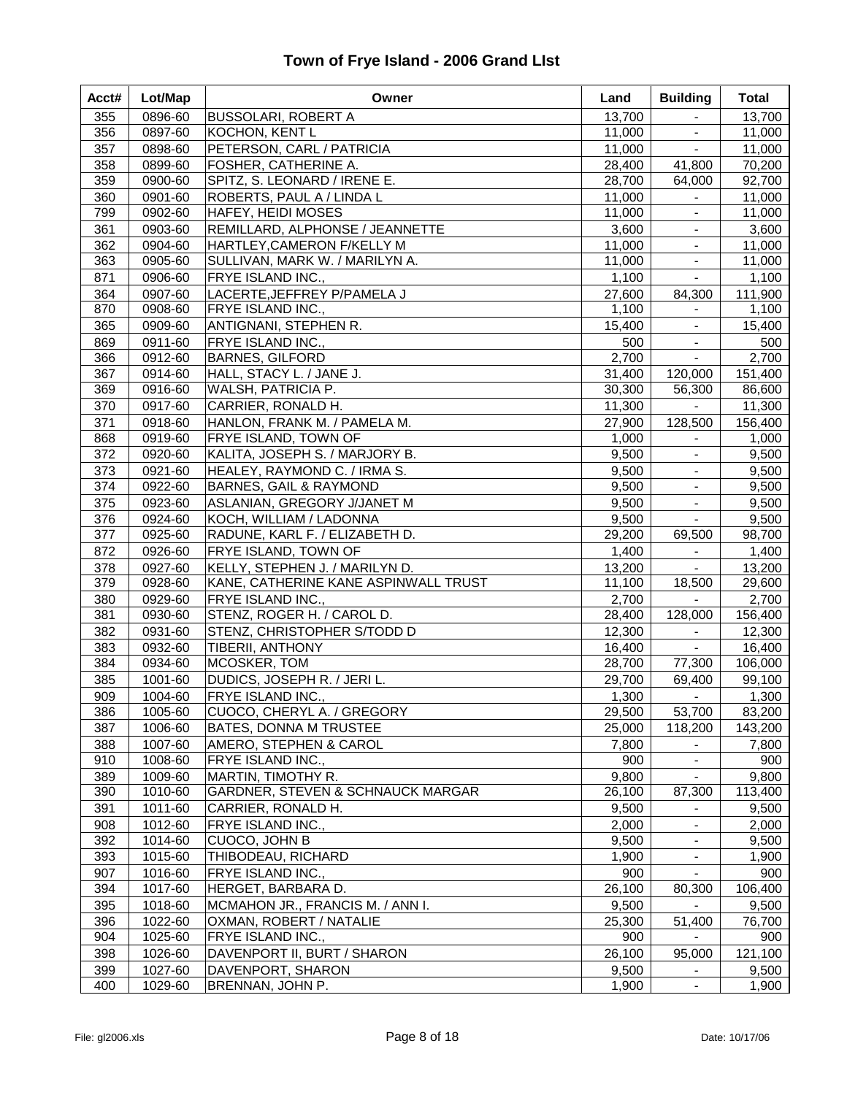| 13,700<br>355<br>0896-60<br><b>BUSSOLARI, ROBERT A</b>                               |                          | <b>Total</b>      |
|--------------------------------------------------------------------------------------|--------------------------|-------------------|
|                                                                                      |                          | 13,700            |
| 356<br>0897-60<br>KOCHON, KENT L<br>11,000                                           | $\blacksquare$           | 11,000            |
| PETERSON, CARL / PATRICIA<br>357<br>0898-60<br>11,000                                | $\blacksquare$           | 11,000            |
| 358<br>0899-60<br>FOSHER, CATHERINE A.<br>28,400                                     | 41,800                   | 70,200            |
| 359<br>0900-60<br>SPITZ, S. LEONARD / IRENE E.<br>28,700                             | 64,000                   | 92,700            |
| 360<br>0901-60<br>ROBERTS, PAUL A / LINDA L<br>11,000                                | $\blacksquare$           | 11,000            |
| 799<br>0902-60<br>11,000<br><b>HAFEY, HEIDI MOSES</b>                                |                          | 11,000            |
| 361<br>0903-60<br>REMILLARD, ALPHONSE / JEANNETTE<br>3,600                           | $\blacksquare$           | 3,600             |
| 362<br>0904-60<br>HARTLEY, CAMERON F/KELLY M<br>11,000                               | $\blacksquare$           | 11,000            |
| 363<br>0905-60<br>11,000<br>SULLIVAN, MARK W. / MARILYN A.                           |                          | 11,000            |
| 871<br>1,100<br>0906-60<br>FRYE ISLAND INC.,                                         | $\blacksquare$           | 1,100             |
| 364<br>0907-60<br>LACERTE, JEFFREY P/PAMELA J<br>27,600                              | 84,300                   | 111,900           |
| 1,100<br>870<br>0908-60<br>FRYE ISLAND INC.,                                         | $\blacksquare$           | 1,100             |
| 365<br>0909-60<br>ANTIGNANI, STEPHEN R.<br>15,400                                    | $\blacksquare$           | 15,400            |
| 869<br>0911-60<br>FRYE ISLAND INC.,<br>500                                           | $\blacksquare$           | 500               |
| <b>BARNES, GILFORD</b><br>2,700<br>366<br>0912-60                                    | $\blacksquare$           | 2,700             |
| 367<br>HALL, STACY L. / JANE J.<br>0914-60<br>31,400                                 | 120,000                  | 151,400           |
| 369<br>WALSH, PATRICIA P.<br>30,300<br>0916-60                                       | 56,300                   | 86,600            |
| 370<br>0917-60<br>CARRIER, RONALD H.<br>11,300                                       | $\sim$                   | 11,300            |
| 371<br>0918-60<br>HANLON, FRANK M. / PAMELA M.<br>27,900                             | 128,500                  | 156,400           |
| 868<br>0919-60<br><b>FRYE ISLAND, TOWN OF</b><br>1,000                               | $\blacksquare$           | 1,000             |
| 372<br>0920-60<br>KALITA, JOSEPH S. / MARJORY B.<br>9,500                            | $\blacksquare$           | 9,500             |
| 0921-60<br>373<br>HEALEY, RAYMOND C. / IRMA S.<br>9,500                              | $\blacksquare$           | 9,500             |
| 374<br>0922-60<br><b>BARNES, GAIL &amp; RAYMOND</b><br>9,500                         | $\blacksquare$           | 9,500             |
| 375<br>0923-60<br>ASLANIAN, GREGORY J/JANET M<br>9,500                               | $\blacksquare$           | 9,500             |
| 376<br>0924-60<br>KOCH, WILLIAM / LADONNA<br>9,500                                   | $\blacksquare$           | 9,500             |
| 377<br>0925-60<br>RADUNE, KARL F. / ELIZABETH D.<br>29,200                           | 69,500                   | 98,700            |
| 872<br>0926-60<br>FRYE ISLAND, TOWN OF<br>1,400                                      | $\blacksquare$           | 1,400             |
| 378<br>0927-60<br>KELLY, STEPHEN J. / MARILYN D.<br>13,200                           | $\sim$                   | 13,200            |
| 379<br>0928-60<br>KANE, CATHERINE KANE ASPINWALL TRUST<br>11,100                     | 18,500                   | 29,600            |
| 380<br>0929-60<br>FRYE ISLAND INC.,<br>2,700                                         | $\mathbf{r}$             | 2,700             |
| 381<br>0930-60<br>STENZ, ROGER H. / CAROL D.<br>28,400                               | 128,000                  | 156,400           |
| 382<br>0931-60<br>STENZ, CHRISTOPHER S/TODD D<br>12,300<br>0932-60                   |                          | 12,300            |
| 383<br><b>TIBERII, ANTHONY</b><br>16,400<br>384<br>0934-60<br>MCOSKER, TOM<br>28,700 | $\blacksquare$<br>77,300 | 16,400<br>106,000 |
| 385<br>1001-60<br>DUDICS, JOSEPH R. / JERI L.<br>29,700                              | 69,400                   | 99,100            |
| 909<br>1,300<br>1004-60<br>FRYE ISLAND INC.,                                         | $\blacksquare$           | 1,300             |
| 386<br>1005-60<br>CUOCO, CHERYL A. / GREGORY<br>29,500                               | 53,700                   | 83,200            |
| 387<br>1006-60<br><b>BATES, DONNA M TRUSTEE</b><br>25,000                            | 118,200                  | 143,200           |
| 1007-60<br>AMERO, STEPHEN & CAROL<br>388<br>7,800                                    | $\blacksquare$           | 7,800             |
| 910<br>1008-60<br>FRYE ISLAND INC.,<br>900                                           | $\blacksquare$           | 900               |
| 389<br>1009-60<br>MARTIN, TIMOTHY R.<br>9,800                                        | $\blacksquare$           | 9,800             |
| 390<br>1010-60<br>GARDNER, STEVEN & SCHNAUCK MARGAR<br>26,100                        | 87,300                   | 113,400           |
| 391<br>1011-60<br>CARRIER, RONALD H.<br>9,500                                        | $\blacksquare$           | 9,500             |
| 908<br>1012-60<br>FRYE ISLAND INC.,<br>2,000                                         |                          | 2,000             |
| 392<br>CUOCO, JOHN B<br>9,500<br>1014-60                                             |                          | 9,500             |
| 393<br>1015-60<br>THIBODEAU, RICHARD<br>1,900                                        | $\blacksquare$           | 1,900             |
| 907<br>1016-60<br><b>FRYE ISLAND INC.,</b><br>900                                    |                          | 900               |
| 26,100<br>394<br>1017-60<br>HERGET, BARBARA D.                                       | 80,300                   | 106,400           |
| 395<br>1018-60<br>MCMAHON JR., FRANCIS M. / ANN I.<br>9,500                          |                          | 9,500             |
| 396<br>25,300<br>1022-60<br>OXMAN, ROBERT / NATALIE                                  | 51,400                   | 76,700            |
| 904<br>1025-60<br>FRYE ISLAND INC.,<br>900                                           |                          | 900               |
| 398<br>26,100<br>1026-60<br>DAVENPORT II, BURT / SHARON                              | 95,000                   | 121,100           |
| 399<br>1027-60<br>DAVENPORT, SHARON<br>9,500                                         |                          | 9,500             |
| 400<br>1029-60<br>1,900<br>BRENNAN, JOHN P.                                          | $\blacksquare$           | 1,900             |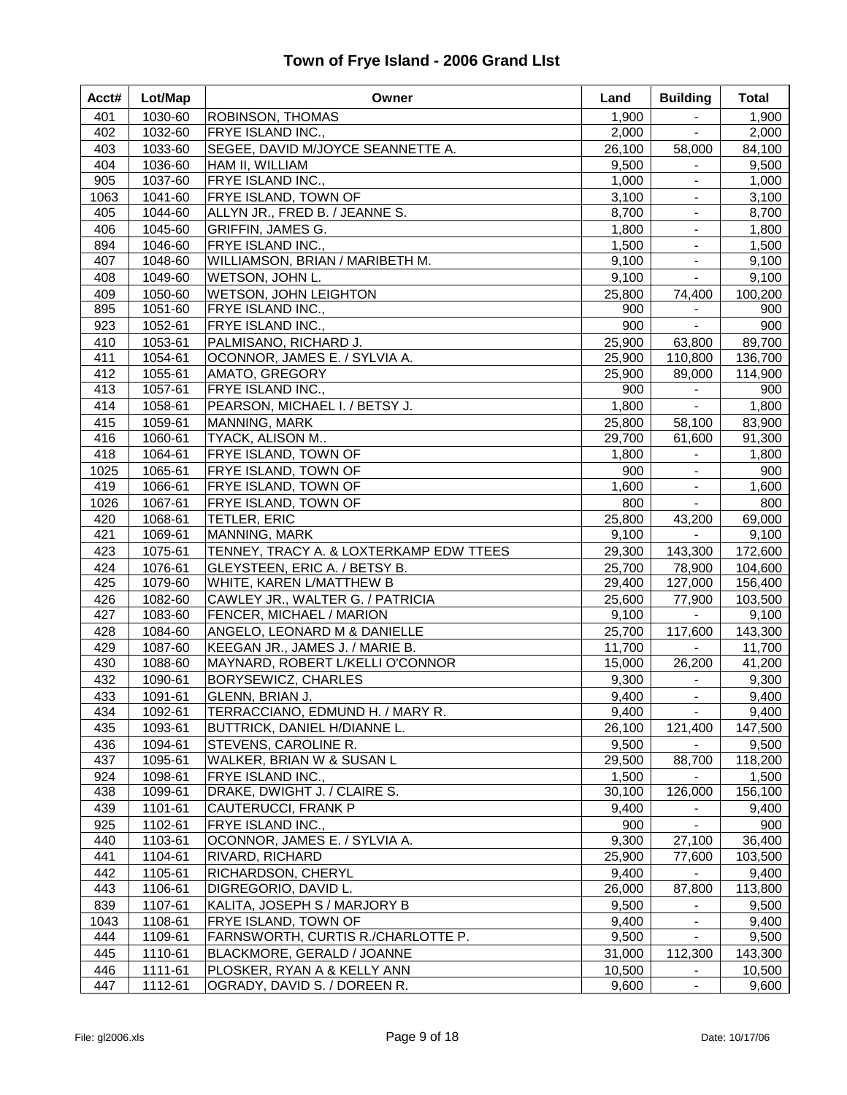| Acct# | Lot/Map | Owner                                   | Land   | <b>Building</b> | Total   |
|-------|---------|-----------------------------------------|--------|-----------------|---------|
| 401   | 1030-60 | ROBINSON, THOMAS                        | 1,900  | $\blacksquare$  | 1,900   |
| 402   | 1032-60 | FRYE ISLAND INC.,                       | 2,000  | $\blacksquare$  | 2,000   |
| 403   | 1033-60 | SEGEE, DAVID M/JOYCE SEANNETTE A.       | 26,100 | 58,000          | 84,100  |
| 404   | 1036-60 | HAM II, WILLIAM                         | 9,500  | $\blacksquare$  | 9,500   |
| 905   | 1037-60 | FRYE ISLAND INC.,                       | 1,000  |                 | 1,000   |
| 1063  | 1041-60 | FRYE ISLAND, TOWN OF                    | 3,100  |                 | 3,100   |
| 405   | 1044-60 | ALLYN JR., FRED B. / JEANNE S.          | 8,700  | $\blacksquare$  | 8,700   |
| 406   | 1045-60 | <b>GRIFFIN, JAMES G.</b>                | 1,800  | $\blacksquare$  | 1,800   |
| 894   | 1046-60 | FRYE ISLAND INC.,                       | 1,500  | $\blacksquare$  | 1,500   |
| 407   | 1048-60 | WILLIAMSON, BRIAN / MARIBETH M.         | 9,100  |                 | 9,100   |
| 408   | 1049-60 | WETSON, JOHN L.                         | 9,100  | $\blacksquare$  | 9,100   |
| 409   | 1050-60 | <b>WETSON, JOHN LEIGHTON</b>            | 25,800 | 74,400          | 100,200 |
| 895   | 1051-60 | FRYE ISLAND INC.,                       | 900    |                 | 900     |
| 923   | 1052-61 | FRYE ISLAND INC.,                       | 900    | $\blacksquare$  | 900     |
| 410   | 1053-61 | PALMISANO, RICHARD J.                   | 25,900 | 63,800          | 89,700  |
| 411   | 1054-61 | OCONNOR, JAMES E. / SYLVIA A.           | 25,900 | 110,800         | 136,700 |
| 412   | 1055-61 | AMATO, GREGORY                          | 25,900 | 89,000          | 114,900 |
| 413   | 1057-61 | FRYE ISLAND INC.,                       | 900    | $\blacksquare$  | 900     |
| 414   | 1058-61 | PEARSON, MICHAEL I. / BETSY J.          | 1,800  | $\sim$          | 1,800   |
| 415   | 1059-61 | MANNING, MARK                           | 25,800 | 58,100          | 83,900  |
| 416   | 1060-61 | TYACK, ALISON M                         | 29,700 | 61,600          | 91,300  |
| 418   | 1064-61 | FRYE ISLAND, TOWN OF                    | 1,800  |                 | 1,800   |
| 1025  | 1065-61 | FRYE ISLAND, TOWN OF                    | 900    |                 | 900     |
| 419   | 1066-61 | FRYE ISLAND, TOWN OF                    | 1,600  | $\blacksquare$  | 1,600   |
| 1026  | 1067-61 | FRYE ISLAND, TOWN OF                    | 800    | $\blacksquare$  | 800     |
| 420   | 1068-61 | TETLER, ERIC                            | 25,800 | 43,200          | 69,000  |
| 421   | 1069-61 | MANNING, MARK                           | 9,100  | $\blacksquare$  | 9,100   |
| 423   | 1075-61 | TENNEY, TRACY A. & LOXTERKAMP EDW TTEES | 29,300 | 143,300         | 172,600 |
| 424   | 1076-61 | GLEYSTEEN, ERIC A. / BETSY B.           | 25,700 | 78,900          | 104,600 |
| 425   | 1079-60 | WHITE, KAREN L/MATTHEW B                | 29,400 | 127,000         | 156,400 |
| 426   | 1082-60 | CAWLEY JR., WALTER G. / PATRICIA        | 25,600 | 77,900          | 103,500 |
| 427   | 1083-60 | FENCER, MICHAEL / MARION                | 9,100  | $\sim$          | 9,100   |
| 428   | 1084-60 | ANGELO, LEONARD M & DANIELLE            | 25,700 | 117,600         | 143,300 |
| 429   | 1087-60 | KEEGAN JR., JAMES J. / MARIE B.         | 11,700 | $\blacksquare$  | 11,700  |
| 430   | 1088-60 | MAYNARD, ROBERT L/KELLI O'CONNOR        | 15,000 | 26,200          | 41,200  |
| 432   | 1090-61 | BORYSEWICZ, CHARLES                     | 9,300  | $\blacksquare$  | 9,300   |
| 433   | 1091-61 | GLENN, BRIAN J.                         | 9,400  | $\sim$          | 9,400   |
| 434   | 1092-61 | TERRACCIANO, EDMUND H. / MARY R.        | 9,400  | $\sim$          | 9,400   |
| 435   | 1093-61 | BUTTRICK, DANIEL H/DIANNE L.            | 26,100 | 121,400         | 147,500 |
| 436   | 1094-61 | STEVENS, CAROLINE R.                    | 9,500  |                 | 9,500   |
| 437   | 1095-61 | WALKER, BRIAN W & SUSAN L               | 29,500 | 88,700          | 118,200 |
| 924   | 1098-61 | FRYE ISLAND INC.,                       | 1,500  |                 | 1,500   |
| 438   | 1099-61 | DRAKE, DWIGHT J. / CLAIRE S.            | 30,100 | 126,000         | 156,100 |
| 439   | 1101-61 | CAUTERUCCI, FRANK P                     | 9,400  |                 | 9,400   |
| 925   | 1102-61 | FRYE ISLAND INC.,                       | 900    |                 | 900     |
| 440   | 1103-61 | OCONNOR, JAMES E. / SYLVIA A.           | 9,300  | 27,100          | 36,400  |
| 441   | 1104-61 | RIVARD, RICHARD                         | 25,900 | 77,600          | 103,500 |
| 442   | 1105-61 | RICHARDSON, CHERYL                      | 9,400  |                 | 9,400   |
| 443   | 1106-61 | DIGREGORIO, DAVID L.                    | 26,000 | 87,800          | 113,800 |
| 839   | 1107-61 | KALITA, JOSEPH S / MARJORY B            | 9,500  | $\blacksquare$  | 9,500   |
| 1043  | 1108-61 | FRYE ISLAND, TOWN OF                    | 9,400  | $\blacksquare$  | 9,400   |
| 444   | 1109-61 | FARNSWORTH, CURTIS R./CHARLOTTE P.      | 9,500  | $\blacksquare$  | 9,500   |
| 445   | 1110-61 | BLACKMORE, GERALD / JOANNE              | 31,000 | 112,300         | 143,300 |
| 446   | 1111-61 | PLOSKER, RYAN A & KELLY ANN             | 10,500 |                 | 10,500  |
| 447   | 1112-61 | OGRADY, DAVID S. / DOREEN R.            | 9,600  | $\blacksquare$  | 9,600   |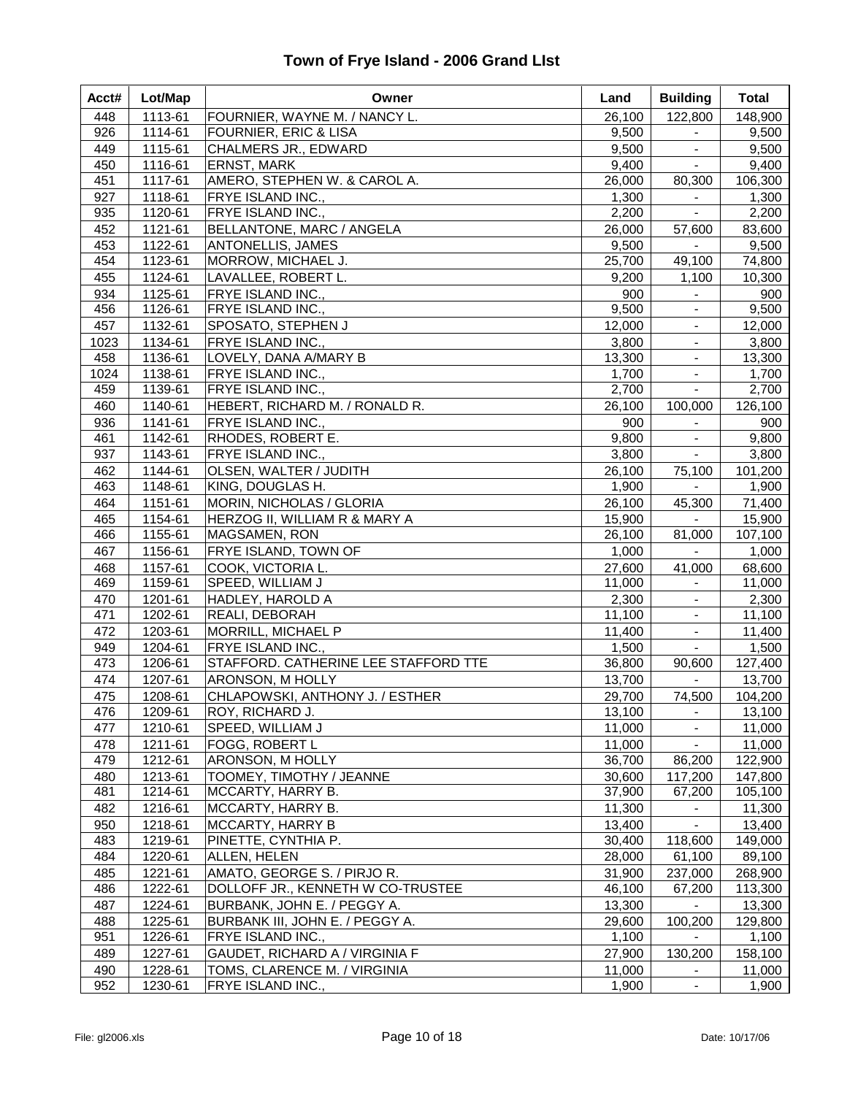| Acct#      | Lot/Map            | Owner                                               | Land            | <b>Building</b>             | <b>Total</b>      |
|------------|--------------------|-----------------------------------------------------|-----------------|-----------------------------|-------------------|
| 448        | 1113-61            | FOURNIER, WAYNE M. / NANCY L.                       | 26,100          | 122,800                     | 148,900           |
| 926        | 1114-61            | <b>FOURNIER, ERIC &amp; LISA</b>                    | 9,500           | $\blacksquare$              | 9,500             |
| 449        | 1115-61            | CHALMERS JR., EDWARD                                | 9,500           | $\blacksquare$              | 9,500             |
| 450        | 1116-61            | <b>ERNST, MARK</b>                                  | 9,400           | $\sim$                      | 9,400             |
| 451        | 1117-61            | AMERO, STEPHEN W. & CAROL A.                        | 26,000          | 80,300                      | 106,300           |
| 927        | 1118-61            | FRYE ISLAND INC.,                                   | 1,300           | $\blacksquare$              | 1,300             |
| 935        | 1120-61            | FRYE ISLAND INC.,                                   | 2,200           | $\blacksquare$              | 2,200             |
| 452        | 1121-61            | BELLANTONE, MARC / ANGELA                           | 26,000          | 57,600                      | 83,600            |
| 453        | 1122-61            | ANTONELLIS, JAMES                                   | 9,500           |                             | 9,500             |
| 454        | 1123-61            | MORROW, MICHAEL J.                                  | 25,700          | 49,100                      | 74,800            |
| 455        | 1124-61            | LAVALLEE, ROBERT L.                                 | 9,200           | 1,100                       | 10,300            |
| 934<br>456 | 1125-61<br>1126-61 | FRYE ISLAND INC.,<br>FRYE ISLAND INC.,              | 900<br>9,500    | $\sim$                      | 900<br>9,500      |
| 457        | 1132-61            | SPOSATO, STEPHEN J                                  | 12,000          | $\blacksquare$              | 12,000            |
| 1023       | 1134-61            | FRYE ISLAND INC.,                                   | 3,800           | $\blacksquare$              | 3,800             |
| 458        | 1136-61            | LOVELY, DANA A/MARY B                               | 13,300          |                             | 13,300            |
| 1024       | 1138-61            | FRYE ISLAND INC.,                                   | 1,700           | $\blacksquare$              | 1,700             |
| 459        | 1139-61            | <b>FRYE ISLAND INC.,</b>                            | 2,700           | $\blacksquare$              | 2,700             |
| 460        | 1140-61            | HEBERT, RICHARD M. / RONALD R.                      | 26,100          | 100,000                     | 126,100           |
| 936        | 1141-61            | FRYE ISLAND INC.,                                   | 900             | $\sim$                      | 900               |
| 461        | 1142-61            | RHODES, ROBERT E.                                   | 9,800           | $\blacksquare$              | 9,800             |
| 937        | 1143-61            | FRYE ISLAND INC.,                                   | 3,800           | $\sim$                      | 3,800             |
| 462        | 1144-61            | OLSEN, WALTER / JUDITH                              | 26,100          | 75,100                      | 101,200           |
| 463        | 1148-61            | KING, DOUGLAS H.                                    | 1,900           | $\sim$                      | 1,900             |
| 464        | 1151-61            | MORIN, NICHOLAS / GLORIA                            | 26,100          | 45,300                      | 71,400            |
| 465        | 1154-61            | <b>HERZOG II, WILLIAM R &amp; MARY A</b>            | 15,900          | $\sim 100$                  | 15,900            |
| 466        | 1155-61            | MAGSAMEN, RON                                       | 26,100          | 81,000                      | 107,100           |
| 467        | 1156-61            | FRYE ISLAND, TOWN OF                                | 1,000           | $\sim$ $-$                  | 1,000             |
| 468        | 1157-61            | COOK, VICTORIA L.                                   | 27,600          | 41,000                      | 68,600            |
| 469        | 1159-61            | SPEED, WILLIAM J                                    | 11,000          | $\blacksquare$              | 11,000            |
| 470        | 1201-61            | HADLEY, HAROLD A                                    | 2,300           |                             | 2,300             |
| 471        | 1202-61            | REALI, DEBORAH                                      | 11,100          |                             | 11,100            |
| 472        | 1203-61            | MORRILL, MICHAEL P                                  | 11,400          |                             | 11,400            |
| 949        | 1204-61            | FRYE ISLAND INC.,                                   | 1,500           | $\mathcal{L}_{\mathcal{A}}$ | 1,500             |
| 473        | 1206-61            | STAFFORD. CATHERINE LEE STAFFORD TTE                | 36,800          | 90,600                      | 127,400           |
| 474        | 1207-61            | ARONSON, M HOLLY                                    | 13,700          | $\sim$                      | 13,700            |
| 475        | 1208-61            | CHLAPOWSKI, ANTHONY J. / ESTHER                     | 29,700          | 74,500                      | 104,200           |
| 476        | 1209-61            | ROY, RICHARD J.                                     | 13,100          | $\blacksquare$              | 13,100            |
| 477        | 1210-61            | SPEED, WILLIAM J                                    | 11,000          | $\blacksquare$              | 11,000            |
| 478        | 1211-61            | FOGG, ROBERT L                                      | 11,000          | $\blacksquare$              | 11,000            |
| 479        | 1212-61            | ARONSON, M HOLLY                                    | 36,700          | 86,200                      | 122,900           |
| 480        | 1213-61            | TOOMEY, TIMOTHY / JEANNE                            | 30,600          | 117,200                     | 147,800           |
| 481        | 1214-61            | MCCARTY, HARRY B.                                   | 37,900          | 67,200                      | 105,100           |
| 482        | 1216-61            | MCCARTY, HARRY B.                                   | 11,300          |                             | 11,300            |
| 950        | 1218-61            | <b>MCCARTY, HARRY B</b>                             | 13,400          |                             | 13,400            |
| 483        | 1219-61            | PINETTE, CYNTHIA P.                                 | 30,400          | 118,600                     | 149,000           |
| 484        | 1220-61            | ALLEN, HELEN                                        | 28,000          | 61,100                      | 89,100            |
| 485        | 1221-61            | AMATO, GEORGE S. / PIRJO R.                         | 31,900          | 237,000                     | 268,900           |
| 486        | 1222-61            | DOLLOFF JR., KENNETH W CO-TRUSTEE                   | 46,100          | 67,200                      | 113,300           |
| 487        | 1224-61            | BURBANK, JOHN E. / PEGGY A.                         | 13,300          |                             | 13,300            |
| 488<br>951 | 1225-61            | BURBANK III, JOHN E. / PEGGY A.                     | 29,600          | 100,200                     | 129,800           |
| 489        | 1226-61<br>1227-61 | FRYE ISLAND INC.,<br>GAUDET, RICHARD A / VIRGINIA F | 1,100<br>27,900 | 130,200                     | 1,100             |
| 490        | 1228-61            | TOMS, CLARENCE M. / VIRGINIA                        | 11,000          |                             | 158,100<br>11,000 |
| 952        | 1230-61            | FRYE ISLAND INC.,                                   | 1,900           | $\blacksquare$              | 1,900             |
|            |                    |                                                     |                 |                             |                   |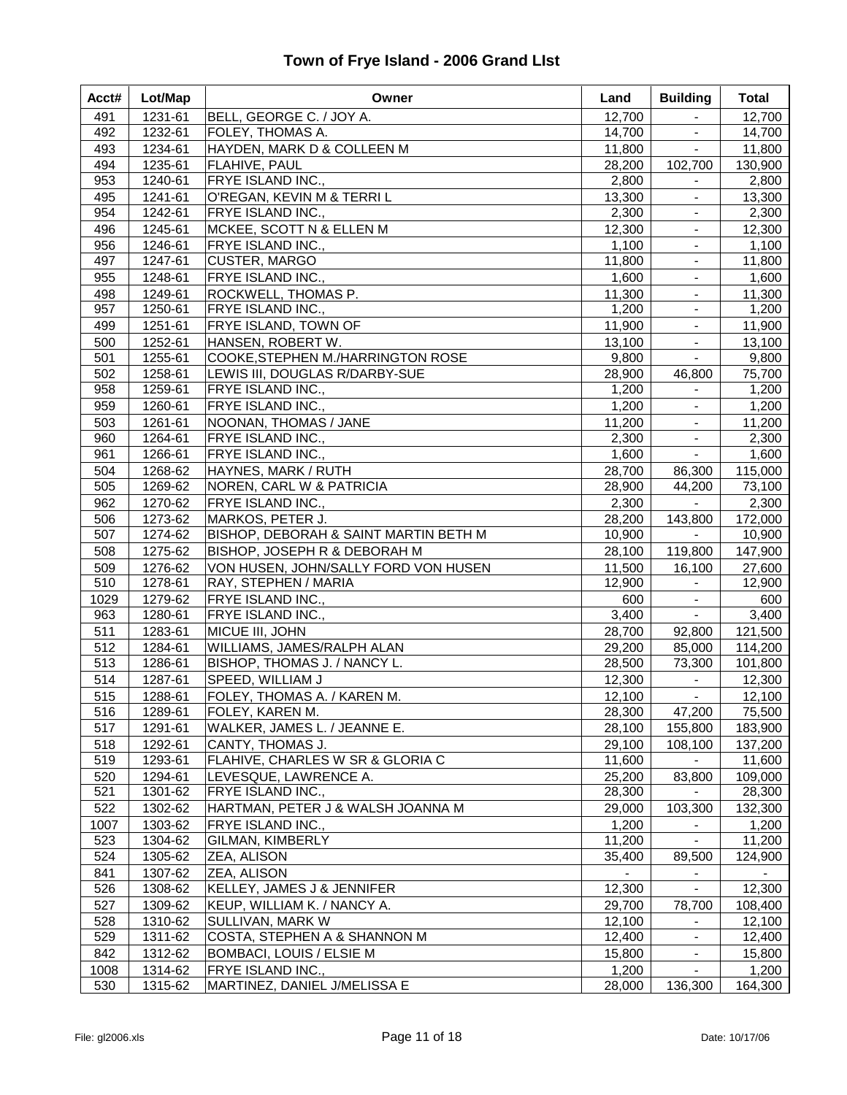| Acct# | Lot/Map | Owner                                 | Land   | <b>Building</b> | <b>Total</b> |
|-------|---------|---------------------------------------|--------|-----------------|--------------|
| 491   | 1231-61 | BELL, GEORGE C. / JOY A.              | 12,700 | $\blacksquare$  | 12,700       |
| 492   | 1232-61 | FOLEY, THOMAS A.                      | 14,700 | $\blacksquare$  | 14,700       |
| 493   | 1234-61 | HAYDEN, MARK D & COLLEEN M            | 11,800 | $\blacksquare$  | 11,800       |
| 494   | 1235-61 | FLAHIVE, PAUL                         | 28,200 | 102,700         | 130,900      |
| 953   | 1240-61 | <b>FRYE ISLAND INC.,</b>              | 2,800  | $\blacksquare$  | 2,800        |
| 495   | 1241-61 | O'REGAN, KEVIN M & TERRI L            | 13,300 | $\blacksquare$  | 13,300       |
| 954   | 1242-61 | <b>FRYE ISLAND INC.,</b>              | 2,300  | $\blacksquare$  | 2,300        |
| 496   | 1245-61 | <b>MCKEE, SCOTT N &amp; ELLEN M</b>   | 12,300 | $\blacksquare$  | 12,300       |
| 956   | 1246-61 | <b>FRYE ISLAND INC.,</b>              | 1,100  | $\blacksquare$  | 1,100        |
| 497   | 1247-61 | CUSTER, MARGO                         | 11,800 |                 | 11,800       |
| 955   | 1248-61 | <b>FRYE ISLAND INC.,</b>              | 1,600  | $\blacksquare$  | 1,600        |
| 498   | 1249-61 | ROCKWELL, THOMAS P.                   | 11,300 | $\blacksquare$  | 11,300       |
| 957   | 1250-61 | <b>FRYE ISLAND INC.,</b>              | 1,200  | $\blacksquare$  | 1,200        |
| 499   | 1251-61 | FRYE ISLAND, TOWN OF                  | 11,900 |                 | 11,900       |
| 500   | 1252-61 | HANSEN, ROBERT W.                     | 13,100 | $\blacksquare$  | 13,100       |
| 501   | 1255-61 | COOKE, STEPHEN M./HARRINGTON ROSE     | 9,800  | $\blacksquare$  | 9,800        |
| 502   | 1258-61 | LEWIS III, DOUGLAS R/DARBY-SUE        | 28,900 | 46,800          | 75,700       |
| 958   | 1259-61 | <b>FRYE ISLAND INC.,</b>              | 1,200  | $\blacksquare$  | 1,200        |
| 959   | 1260-61 | <b>FRYE ISLAND INC.,</b>              | 1,200  | $\blacksquare$  | 1,200        |
| 503   | 1261-61 | NOONAN, THOMAS / JANE                 | 11,200 | $\blacksquare$  | 11,200       |
| 960   | 1264-61 | <b>FRYE ISLAND INC.,</b>              | 2,300  | $\blacksquare$  | 2,300        |
| 961   | 1266-61 | <b>FRYE ISLAND INC.,</b>              | 1,600  | $\sim$          | 1,600        |
| 504   | 1268-62 | HAYNES, MARK / RUTH                   | 28,700 | 86,300          | 115,000      |
| 505   | 1269-62 | NOREN, CARL W & PATRICIA              | 28,900 | 44,200          | 73,100       |
| 962   | 1270-62 | FRYE ISLAND INC.,                     | 2,300  | $\blacksquare$  | 2,300        |
| 506   | 1273-62 | MARKOS, PETER J.                      | 28,200 | 143,800         | 172,000      |
| 507   | 1274-62 | BISHOP, DEBORAH & SAINT MARTIN BETH M | 10,900 | $\blacksquare$  | 10,900       |
| 508   | 1275-62 | BISHOP, JOSEPH R & DEBORAH M          | 28,100 | 119,800         | 147,900      |
| 509   | 1276-62 | VON HUSEN, JOHN/SALLY FORD VON HUSEN  | 11,500 | 16,100          | 27,600       |
| 510   | 1278-61 | RAY, STEPHEN / MARIA                  | 12,900 |                 | 12,900       |
| 1029  | 1279-62 | <b>FRYE ISLAND INC.,</b>              | 600    | $\blacksquare$  | 600          |
| 963   | 1280-61 | <b>FRYE ISLAND INC.,</b>              | 3,400  | $\sim$          | 3,400        |
| 511   | 1283-61 | MICUE III, JOHN                       | 28,700 | 92,800          | 121,500      |
| 512   | 1284-61 | WILLIAMS, JAMES/RALPH ALAN            | 29,200 | 85,000          | 114,200      |
| 513   | 1286-61 | BISHOP, THOMAS J. / NANCY L.          | 28,500 | 73,300          | 101,800      |
| 514   | 1287-61 | SPEED, WILLIAM J                      | 12,300 | $\blacksquare$  | 12,300       |
| 515   | 1288-61 | FOLEY, THOMAS A. / KAREN M.           | 12,100 | $\blacksquare$  | 12,100       |
| 516   | 1289-61 | FOLEY, KAREN M.                       | 28,300 | 47,200          | 75,500       |
| 517   | 1291-61 | WALKER, JAMES L. / JEANNE E.          | 28,100 | 155,800         | 183,900      |
| 518   | 1292-61 | CANTY, THOMAS J.                      | 29,100 | 108,100         | 137,200      |
| 519   | 1293-61 | FLAHIVE, CHARLES W SR & GLORIA C      | 11,600 |                 | 11,600       |
| 520   | 1294-61 | LEVESQUE, LAWRENCE A.                 | 25,200 | 83,800          | 109,000      |
| 521   | 1301-62 | <b>FRYE ISLAND INC.,</b>              | 28,300 |                 | 28,300       |
| 522   | 1302-62 | HARTMAN, PETER J & WALSH JOANNA M     | 29,000 | 103,300         | 132,300      |
| 1007  | 1303-62 | FRYE ISLAND INC.,                     | 1,200  |                 | 1,200        |
| 523   | 1304-62 | GILMAN, KIMBERLY                      | 11,200 |                 | 11,200       |
| 524   | 1305-62 | <b>ZEA, ALISON</b>                    | 35,400 | 89,500          | 124,900      |
| 841   | 1307-62 | <b>ZEA, ALISON</b>                    |        | $\blacksquare$  |              |
| 526   | 1308-62 | KELLEY, JAMES J & JENNIFER            | 12,300 |                 | 12,300       |
| 527   | 1309-62 | KEUP, WILLIAM K. / NANCY A.           | 29,700 | 78,700          | 108,400      |
| 528   | 1310-62 | SULLIVAN, MARK W                      | 12,100 |                 | 12,100       |
| 529   | 1311-62 | COSTA, STEPHEN A & SHANNON M          | 12,400 | $\blacksquare$  | 12,400       |
| 842   | 1312-62 | BOMBACI, LOUIS / ELSIE M              | 15,800 | $\blacksquare$  | 15,800       |
| 1008  | 1314-62 | FRYE ISLAND INC.,                     | 1,200  |                 | 1,200        |
| 530   | 1315-62 | MARTINEZ, DANIEL J/MELISSA E          | 28,000 | 136,300         | 164,300      |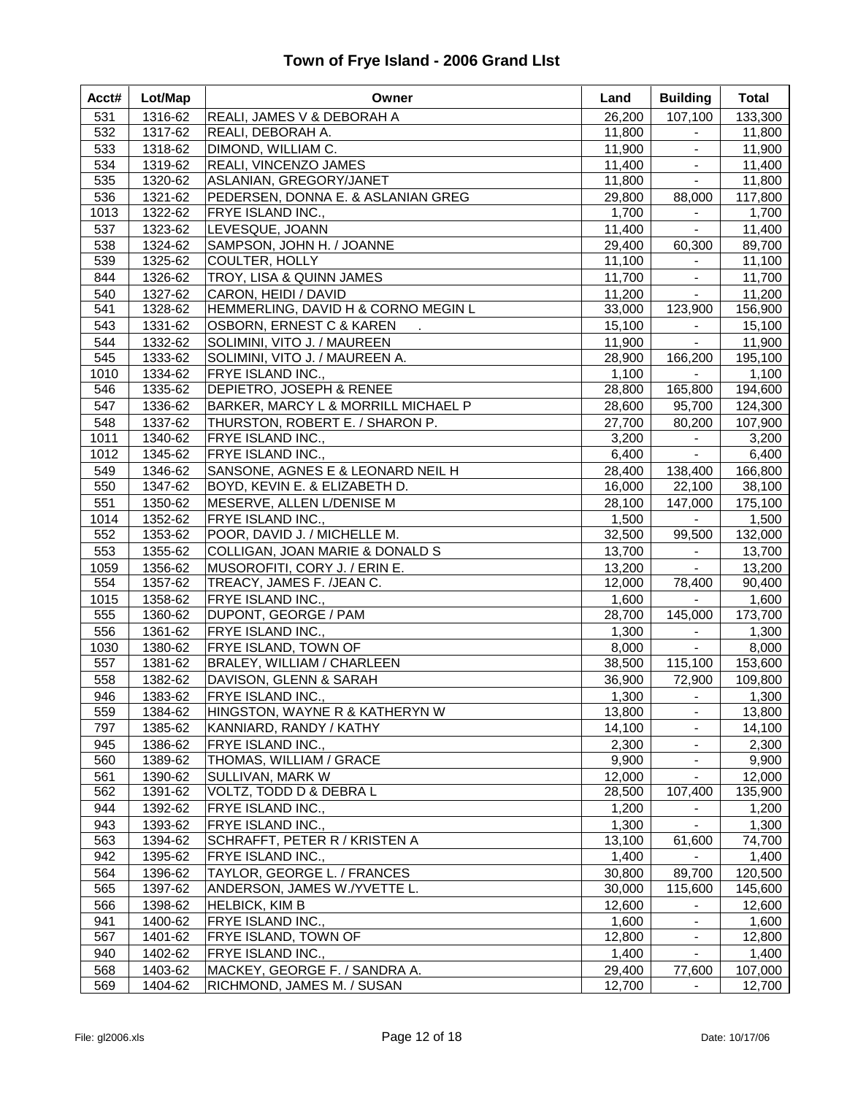| Acct#      | Lot/Map            | Owner                                                       | Land             | <b>Building</b>          | <b>Total</b>     |
|------------|--------------------|-------------------------------------------------------------|------------------|--------------------------|------------------|
| 531        | 1316-62            | REALI, JAMES V & DEBORAH A                                  | 26,200           | 107,100                  | 133,300          |
| 532        | 1317-62            | REALI, DEBORAH A.                                           | 11,800           | $\blacksquare$           | 11,800           |
| 533        | 1318-62            | DIMOND, WILLIAM C.                                          | 11,900           | $\sim$                   | 11,900           |
| 534        | 1319-62            | REALI, VINCENZO JAMES                                       | 11,400           | $\blacksquare$           | 11,400           |
| 535        | 1320-62            | ASLANIAN, GREGORY/JANET                                     | 11,800           | $\sim$                   | 11,800           |
| 536        | 1321-62            | PEDERSEN, DONNA E. & ASLANIAN GREG                          | 29,800           | 88,000                   | 117,800          |
| 1013       | 1322-62            | FRYE ISLAND INC.,                                           | 1,700            |                          | 1,700            |
| 537        | 1323-62            | LEVESQUE, JOANN                                             | 11,400           | $\blacksquare$           | 11,400           |
| 538        | 1324-62            | SAMPSON, JOHN H. / JOANNE                                   | 29,400           | 60,300                   | 89,700           |
| 539        | 1325-62            | COULTER, HOLLY                                              | 11,100           | $\blacksquare$           | 11,100           |
| 844        | 1326-62            | TROY, LISA & QUINN JAMES                                    | 11,700           | $\sim$                   | 11,700           |
| 540        | 1327-62            | CARON, HEIDI / DAVID                                        | 11,200           | $\blacksquare$           | 11,200           |
| 541        | 1328-62            | HEMMERLING, DAVID H & CORNO MEGIN L                         | 33,000           | 123,900                  | 156,900          |
| 543        | 1331-62            | OSBORN, ERNEST C & KAREN                                    | 15,100           | $\sim$                   | 15,100           |
| 544        | 1332-62            | SOLIMINI, VITO J. / MAUREEN                                 | 11,900           | $\equiv$                 | 11,900           |
| 545        | 1333-62            | SOLIMINI, VITO J. / MAUREEN A.                              | 28,900           | 166,200                  | 195,100          |
| 1010       | 1334-62            | FRYE ISLAND INC.,                                           | 1,100            | $\equiv$                 | 1,100            |
| 546        | 1335-62            | DEPIETRO, JOSEPH & RENEE                                    | 28,800           | 165,800                  | 194,600          |
| 547        | 1336-62            | BARKER, MARCY L & MORRILL MICHAEL P                         | 28,600           | 95,700                   | 124,300          |
| 548        | 1337-62            | THURSTON, ROBERT E. / SHARON P.                             | 27,700           | 80,200                   | 107,900          |
| 1011       | 1340-62            | FRYE ISLAND INC.,                                           | 3,200            | $\sim$                   | 3,200            |
| 1012       | 1345-62            | FRYE ISLAND INC.,                                           | 6,400            | $\sim$                   | 6,400            |
| 549        | 1346-62            | SANSONE, AGNES E & LEONARD NEIL H                           | 28,400           | 138,400                  | 166,800          |
| 550        | 1347-62            | BOYD, KEVIN E. & ELIZABETH D.                               | 16,000           | 22,100                   | 38,100           |
| 551        | 1350-62            | MESERVE, ALLEN L/DENISE M                                   | 28,100           | 147,000                  | 175,100          |
| 1014       | 1352-62            | FRYE ISLAND INC.,                                           | 1,500            | $\blacksquare$           | 1,500            |
| 552        | 1353-62            | POOR, DAVID J. / MICHELLE M.                                | 32,500           | 99,500                   | 132,000          |
| 553        | 1355-62            | COLLIGAN, JOAN MARIE & DONALD S                             | 13,700           | $\sim$                   | 13,700           |
| 1059       | 1356-62            | MUSOROFITI, CORY J. / ERIN E.                               | 13,200           | $\sim 100$               | 13,200           |
| 554        | 1357-62            | TREACY, JAMES F. /JEAN C.                                   | 12,000           | 78,400                   | 90,400           |
| 1015       | 1358-62            | FRYE ISLAND INC.,                                           | 1,600            | $\sim$                   | 1,600            |
| 555        | 1360-62            | DUPONT, GEORGE / PAM                                        | 28,700           | 145,000                  | 173,700          |
| 556        | 1361-62            | FRYE ISLAND INC.,                                           | 1,300            | $\blacksquare$           | 1,300            |
| 1030       | 1380-62            | FRYE ISLAND, TOWN OF                                        | 8,000            | $\equiv$                 | 8,000            |
| 557        | 1381-62            | BRALEY, WILLIAM / CHARLEEN                                  | 38,500           | 115,100                  | 153,600          |
| 558        | 1382-62            | DAVISON, GLENN & SARAH                                      | 36,900           | 72,900                   | 109,800          |
| 946        | 1383-62            | FRYE ISLAND INC.,                                           | 1,300            | $\sim 100$               | 1,300            |
| 559        | 1384-62            | HINGSTON, WAYNE R & KATHERYN W                              | 13,800           | $\blacksquare$           | 13,800           |
| 797        | 1385-62            | KANNIARD, RANDY / KATHY                                     | 14,100           | $\blacksquare$           | 14,100           |
| 945        | 1386-62            | FRYE ISLAND INC.,                                           | 2,300            | $\blacksquare$           | 2,300            |
| 560        | 1389-62            | THOMAS, WILLIAM / GRACE                                     | 9,900            | $\blacksquare$           | 9,900            |
| 561        | 1390-62<br>1391-62 | SULLIVAN, MARK W                                            | 12,000           | $\blacksquare$           | 12,000           |
| 562        |                    | VOLTZ, TODD D & DEBRA L                                     | 28,500           | 107,400                  | 135,900          |
| 944        | 1392-62            | FRYE ISLAND INC.,                                           | 1,200            | $\blacksquare$           | 1,200            |
| 943<br>563 | 1393-62<br>1394-62 | FRYE ISLAND INC.,<br>SCHRAFFT, PETER R / KRISTEN A          | 1,300<br>13,100  | 61,600                   | 1,300<br>74,700  |
| 942        |                    |                                                             |                  |                          |                  |
|            | 1395-62            | FRYE ISLAND INC.,                                           | 1,400            |                          | 1,400<br>120,500 |
| 564<br>565 | 1396-62<br>1397-62 | TAYLOR, GEORGE L. / FRANCES<br>ANDERSON, JAMES W./YVETTE L. | 30,800<br>30,000 | 89,700<br>115,600        |                  |
|            |                    |                                                             |                  |                          | 145,600          |
| 566        | 1398-62            | <b>HELBICK, KIM B</b>                                       | 12,600           |                          | 12,600           |
| 941<br>567 | 1400-62<br>1401-62 | FRYE ISLAND INC.,<br>FRYE ISLAND, TOWN OF                   | 1,600<br>12,800  | $\blacksquare$           | 1,600<br>12,800  |
| 940        |                    |                                                             |                  | $\blacksquare$           |                  |
| 568        | 1402-62<br>1403-62 | FRYE ISLAND INC.,<br>MACKEY, GEORGE F. / SANDRA A.          | 1,400<br>29,400  |                          | 1,400<br>107,000 |
| 569        | 1404-62            | RICHMOND, JAMES M. / SUSAN                                  | 12,700           | 77,600<br>$\blacksquare$ | 12,700           |
|            |                    |                                                             |                  |                          |                  |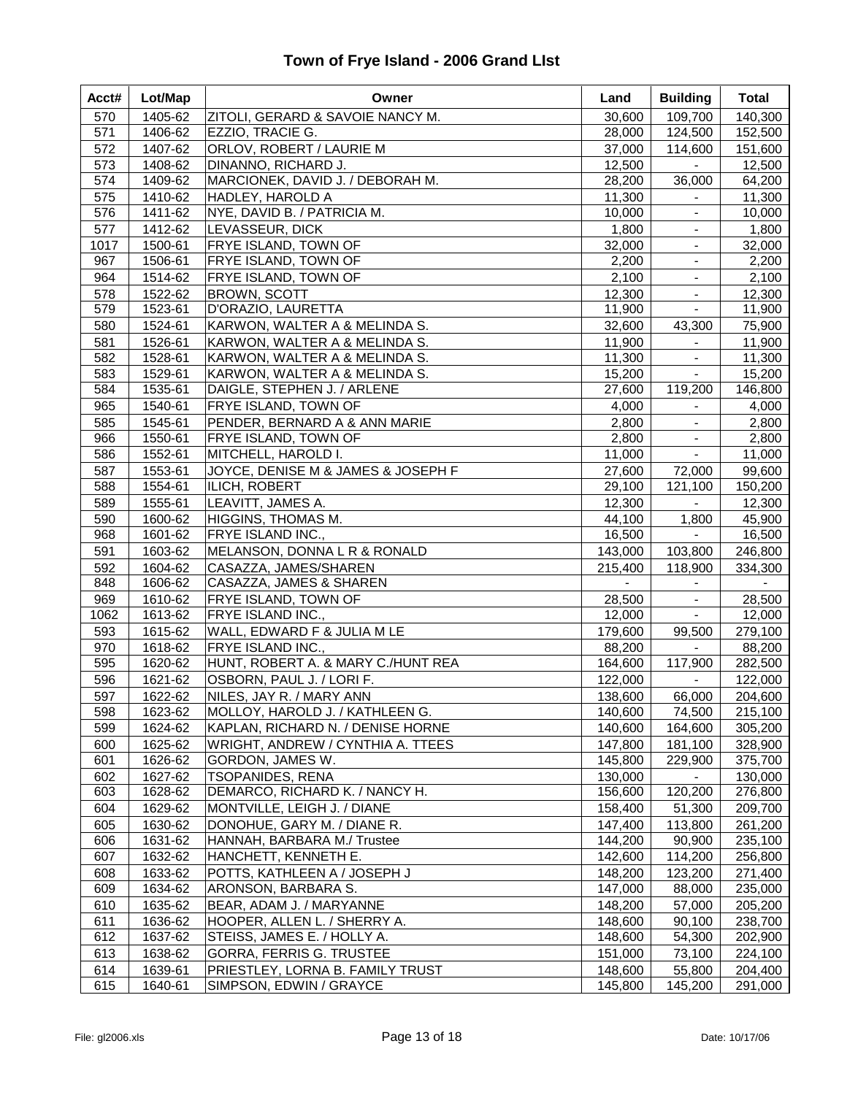| Acct#      | Lot/Map            | Owner                                            | Land                      | <b>Building</b>             | <b>Total</b>              |
|------------|--------------------|--------------------------------------------------|---------------------------|-----------------------------|---------------------------|
| 570        | 1405-62            | ZITOLI, GERARD & SAVOIE NANCY M.                 | 30,600                    | 109,700                     | 140,300                   |
| 571        | 1406-62            | EZZIO, TRACIE G.                                 | 28,000                    | 124,500                     | 152,500                   |
| 572        | 1407-62            | ORLOV, ROBERT / LAURIE M                         | 37,000                    | 114,600                     | 151,600                   |
| 573        | 1408-62            | DINANNO, RICHARD J.                              | 12,500                    | $\blacksquare$              | 12,500                    |
| 574        | 1409-62            | MARCIONEK, DAVID J. / DEBORAH M.                 | 28,200                    | 36,000                      | 64,200                    |
| 575        | 1410-62            | HADLEY, HAROLD A                                 | 11,300                    | $\blacksquare$              | 11,300                    |
| 576        | 1411-62            | NYE, DAVID B. / PATRICIA M.                      | 10,000                    | $\blacksquare$              | 10,000                    |
| 577        | 1412-62            | LEVASSEUR, DICK                                  | 1,800                     | $\blacksquare$              | 1,800                     |
| 1017       | 1500-61            | FRYE ISLAND, TOWN OF                             | 32,000                    | $\blacksquare$              | 32,000                    |
| 967        | 1506-61            | FRYE ISLAND, TOWN OF                             | 2,200                     | $\blacksquare$              | 2,200                     |
| 964        | 1514-62            | FRYE ISLAND, TOWN OF                             | 2,100                     | $\blacksquare$              | 2,100                     |
| 578        | 1522-62            | <b>BROWN, SCOTT</b>                              | 12,300                    | $\blacksquare$              | 12,300                    |
| 579        | 1523-61            | D'ORAZIO, LAURETTA                               | 11,900                    | $\blacksquare$              | 11,900                    |
| 580        | 1524-61            | KARWON, WALTER A & MELINDA S.                    | 32,600                    | 43,300                      | 75,900                    |
| 581        | 1526-61            | KARWON, WALTER A & MELINDA S.                    | 11,900                    | $\blacksquare$              | 11,900                    |
| 582        | 1528-61            | KARWON, WALTER A & MELINDA S.                    | 11,300                    |                             | 11,300                    |
| 583        | 1529-61            | KARWON, WALTER A & MELINDA S.                    | 15,200                    |                             | 15,200                    |
| 584        | 1535-61            | DAIGLE, STEPHEN J. / ARLENE                      | 27,600                    | 119,200                     | 146,800                   |
| 965        | 1540-61            | FRYE ISLAND, TOWN OF                             | 4,000                     | $\sim$                      | 4,000                     |
| 585        | 1545-61            | PENDER, BERNARD A & ANN MARIE                    | 2,800                     | $\blacksquare$              | 2,800                     |
| 966        | 1550-61            | FRYE ISLAND, TOWN OF                             | 2,800                     | $\blacksquare$              | 2,800                     |
| 586        | 1552-61            | MITCHELL, HAROLD I.                              | 11,000                    | $\blacksquare$              | 11,000                    |
| 587        | 1553-61            | JOYCE, DENISE M & JAMES & JOSEPH F               | 27,600                    | 72,000                      | 99,600                    |
| 588        | 1554-61            | ILICH, ROBERT                                    | 29,100                    | 121,100                     | 150,200                   |
| 589        | 1555-61            | LEAVITT, JAMES A.                                | 12,300                    | $\blacksquare$              | 12,300                    |
| 590<br>968 | 1600-62            | HIGGINS, THOMAS M.                               | 44,100                    | 1,800                       | 45,900                    |
|            | 1601-62            | FRYE ISLAND INC.,                                | 16,500                    | $\sim$                      | 16,500                    |
| 591        | 1603-62            | MELANSON, DONNA L R & RONALD                     | 143,000                   | 103,800                     | 246,800                   |
| 592<br>848 | 1604-62<br>1606-62 | CASAZZA, JAMES/SHAREN<br>CASAZZA, JAMES & SHAREN | 215,400<br>$\blacksquare$ | 118,900                     | 334,300<br>$\blacksquare$ |
| 969        | 1610-62            | FRYE ISLAND, TOWN OF                             | 28,500                    | $\blacksquare$              | 28,500                    |
| 1062       | 1613-62            | FRYE ISLAND INC.,                                | 12,000                    | $\blacksquare$              | 12,000                    |
| 593        | 1615-62            | WALL, EDWARD F & JULIA M LE                      | 179,600                   | 99,500                      | 279,100                   |
| 970        | 1618-62            | FRYE ISLAND INC.,                                | 88,200                    | $\blacksquare$              | 88,200                    |
| 595        | 1620-62            | HUNT, ROBERT A. & MARY C./HUNT REA               | 164,600                   | 117,900                     | 282,500                   |
| 596        | 1621-62            | OSBORN, PAUL J. / LORI F.                        | 122,000                   | $\mathcal{L}_{\mathcal{A}}$ | 122,000                   |
| 597        | 1622-62            | NILES, JAY R. / MARY ANN                         | 138,600                   | 66,000                      | 204,600                   |
| 598        | 1623-62            | MOLLOY, HAROLD J. / KATHLEEN G.                  | 140,600                   | 74,500                      | 215,100                   |
| 599        | 1624-62            | KAPLAN, RICHARD N. / DENISE HORNE                | 140,600                   | 164,600                     | 305,200                   |
| 600        | 1625-62            | WRIGHT, ANDREW / CYNTHIA A. TTEES                | 147,800                   | 181,100                     | 328,900                   |
| 601        | 1626-62            | GORDON, JAMES W.                                 | 145,800                   | 229,900                     | 375,700                   |
| 602        | 1627-62            | <b>TSOPANIDES, RENA</b>                          | 130,000                   |                             | 130,000                   |
| 603        | 1628-62            | DEMARCO, RICHARD K. / NANCY H.                   | 156,600                   | 120,200                     | 276,800                   |
| 604        | 1629-62            | MONTVILLE, LEIGH J. / DIANE                      | 158,400                   | 51,300                      | 209,700                   |
| 605        | 1630-62            | DONOHUE, GARY M. / DIANE R.                      | 147,400                   | 113,800                     | 261,200                   |
| 606        | 1631-62            | HANNAH, BARBARA M./ Trustee                      | 144,200                   | 90,900                      | 235,100                   |
| 607        | 1632-62            | HANCHETT, KENNETH E.                             | 142,600                   | 114,200                     | 256,800                   |
| 608        | 1633-62            | POTTS, KATHLEEN A / JOSEPH J                     | 148,200                   | 123,200                     | 271,400                   |
| 609        | 1634-62            | ARONSON, BARBARA S.                              | 147,000                   | 88,000                      | 235,000                   |
| 610        | 1635-62            | BEAR, ADAM J. / MARYANNE                         | 148,200                   | 57,000                      | 205,200                   |
| 611        | 1636-62            | HOOPER, ALLEN L. / SHERRY A.                     | 148,600                   | 90,100                      | 238,700                   |
| 612        | 1637-62            | STEISS, JAMES E. / HOLLY A.                      | 148,600                   | 54,300                      | 202,900                   |
| 613        | 1638-62            | <b>GORRA, FERRIS G. TRUSTEE</b>                  | 151,000                   | 73,100                      | 224,100                   |
| 614        | 1639-61            | PRIESTLEY, LORNA B. FAMILY TRUST                 | 148,600                   | 55,800                      | 204,400                   |
| 615        | 1640-61            | SIMPSON, EDWIN / GRAYCE                          | 145,800                   | 145,200                     | 291,000                   |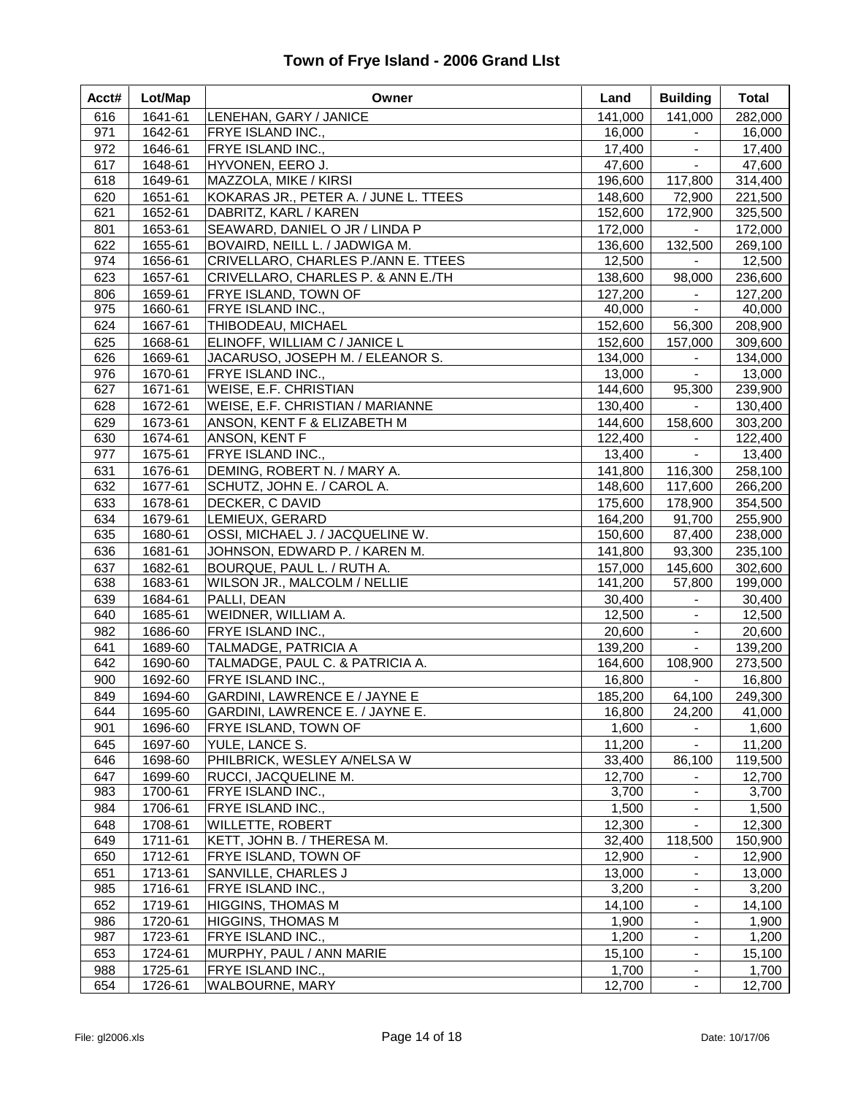| Acct#      | Lot/Map            | Owner                                                      | Land               | <b>Building</b>   | <b>Total</b>       |
|------------|--------------------|------------------------------------------------------------|--------------------|-------------------|--------------------|
| 616        | 1641-61            | LENEHAN, GARY / JANICE                                     | 141,000            | 141,000           | 282,000            |
| 971        | 1642-61            | <b>FRYE ISLAND INC.,</b>                                   | 16,000             |                   | 16,000             |
| 972        | 1646-61            | FRYE ISLAND INC.,                                          | 17,400             |                   | 17,400             |
| 617        | 1648-61            | HYVONEN, EERO J.                                           | 47,600             | $\blacksquare$    | 47,600             |
| 618        | 1649-61            | MAZZOLA, MIKE / KIRSI                                      | 196,600            | 117,800           | 314,400            |
| 620        | 1651-61            | KOKARAS JR., PETER A. / JUNE L. TTEES                      | 148,600            | 72,900            | 221,500            |
| 621        | 1652-61            | DABRITZ, KARL / KAREN                                      | 152,600            | 172,900           | 325,500            |
| 801        | 1653-61            | SEAWARD, DANIEL O JR / LINDA P                             | 172,000            | $\sim$            | 172,000            |
| 622        | 1655-61            | BOVAIRD, NEILL L. / JADWIGA M.                             | 136,600            | 132,500           | 269,100            |
| 974        | 1656-61            | CRIVELLARO, CHARLES P./ANN E. TTEES                        | 12,500             |                   | 12,500             |
| 623        | 1657-61            | CRIVELLARO, CHARLES P. & ANN E./TH                         | 138,600            | 98,000            | 236,600            |
| 806        | 1659-61            | FRYE ISLAND, TOWN OF                                       | 127,200            |                   | 127,200            |
| 975        | 1660-61            | <b>FRYE ISLAND INC.,</b>                                   | 40,000             | $\sim$            | 40,000             |
| 624        | 1667-61            | THIBODEAU, MICHAEL                                         | 152,600            | 56,300            | 208,900            |
| 625        | 1668-61            | ELINOFF, WILLIAM C / JANICE L                              | 152,600            | 157,000           | 309,600            |
| 626        | 1669-61            | JACARUSO, JOSEPH M. / ELEANOR S.                           | 134,000            | $\blacksquare$    | 134,000            |
| 976        | 1670-61            | FRYE ISLAND INC.,                                          | 13,000             | $\blacksquare$    | 13,000             |
| 627        | 1671-61            | <b>WEISE, E.F. CHRISTIAN</b>                               | 144,600            | 95,300            | 239,900            |
| 628        | 1672-61            | WEISE, E.F. CHRISTIAN / MARIANNE                           | 130,400            | $\omega_{\rm c}$  | 130,400            |
| 629        | 1673-61            | ANSON, KENT F & ELIZABETH M                                | 144,600            | 158,600           | 303,200            |
| 630        | 1674-61            | ANSON, KENT F                                              | 122,400            | $\sim$            | 122,400            |
| 977        | 1675-61            | <b>FRYE ISLAND INC.,</b>                                   | 13,400             | $\sim$            | 13,400             |
| 631        | 1676-61            | DEMING, ROBERT N. / MARY A.                                | 141,800<br>148,600 | 116,300           | 258,100            |
| 632        | 1677-61            | SCHUTZ, JOHN E. / CAROL A.                                 |                    | 117,600           | 266,200            |
| 633        | 1678-61            | DECKER, C DAVID                                            | 175,600            | 178,900           | 354,500            |
| 634<br>635 | 1679-61<br>1680-61 | LEMIEUX, GERARD<br>OSSI, MICHAEL J. / JACQUELINE W.        | 164,200<br>150,600 | 91,700<br>87,400  | 255,900            |
| 636        | 1681-61            | JOHNSON, EDWARD P. / KAREN M.                              |                    | 93,300            | 238,000<br>235,100 |
|            |                    |                                                            | 141,800            |                   |                    |
| 637<br>638 | 1682-61<br>1683-61 | BOURQUE, PAUL L. / RUTH A.<br>WILSON JR., MALCOLM / NELLIE | 157,000<br>141,200 | 145,600<br>57,800 | 302,600<br>199,000 |
| 639        | 1684-61            | PALLI, DEAN                                                | 30,400             | $\blacksquare$    | 30,400             |
| 640        | 1685-61            | WEIDNER, WILLIAM A.                                        | 12,500             |                   | 12,500             |
| 982        | 1686-60            | FRYE ISLAND INC.,                                          | 20,600             | $\blacksquare$    | 20,600             |
| 641        | 1689-60            | TALMADGE, PATRICIA A                                       | 139,200            | $\blacksquare$    | 139,200            |
| 642        | 1690-60            | TALMADGE, PAUL C. & PATRICIA A.                            | 164,600            | 108,900           | 273,500            |
| 900        | 1692-60            | FRYE ISLAND INC.,                                          | 16,800             | $\blacksquare$    | 16,800             |
| 849        | 1694-60            | GARDINI, LAWRENCE E / JAYNE E                              | 185,200            | 64,100            | 249,300            |
| 644        | 1695-60            | GARDINI, LAWRENCE E. / JAYNE E.                            | 16,800             | 24,200            | 41,000             |
| 901        | 1696-60            | FRYE ISLAND, TOWN OF                                       | 1,600              | $\blacksquare$    | 1,600              |
| 645        | 1697-60            | YULE, LANCE S.                                             | 11,200             | $\blacksquare$    | 11,200             |
| 646        | 1698-60            | PHILBRICK, WESLEY A/NELSA W                                | 33,400             | 86,100            | 119,500            |
| 647        | 1699-60            | RUCCI, JACQUELINE M.                                       | 12,700             | $\blacksquare$    | 12,700             |
| 983        | 1700-61            | FRYE ISLAND INC.,                                          | 3,700              | $\blacksquare$    | 3,700              |
| 984        | 1706-61            | FRYE ISLAND INC.,                                          | 1,500              | $\blacksquare$    | 1,500              |
| 648        | 1708-61            | <b>WILLETTE, ROBERT</b>                                    | 12,300             |                   | 12,300             |
| 649        | 1711-61            | KETT, JOHN B. / THERESA M.                                 | 32,400             | 118,500           | 150,900            |
| 650        | 1712-61            | FRYE ISLAND, TOWN OF                                       | 12,900             | $\blacksquare$    | 12,900             |
| 651        | 1713-61            | SANVILLE, CHARLES J                                        | 13,000             | $\blacksquare$    | 13,000             |
| 985        | 1716-61            | FRYE ISLAND INC.,                                          | 3,200              |                   | 3,200              |
| 652        | 1719-61            | <b>HIGGINS, THOMAS M</b>                                   | 14,100             |                   | 14,100             |
| 986        | 1720-61            | <b>HIGGINS, THOMAS M</b>                                   | 1,900              |                   | 1,900              |
| 987        | 1723-61            | FRYE ISLAND INC.,                                          | 1,200              |                   | 1,200              |
| 653        | 1724-61            | MURPHY, PAUL / ANN MARIE                                   | 15,100             |                   | 15,100             |
| 988        | 1725-61            | FRYE ISLAND INC.,                                          | 1,700              | $\blacksquare$    | 1,700              |
| 654        | 1726-61            | WALBOURNE, MARY                                            | 12,700             | $\blacksquare$    | 12,700             |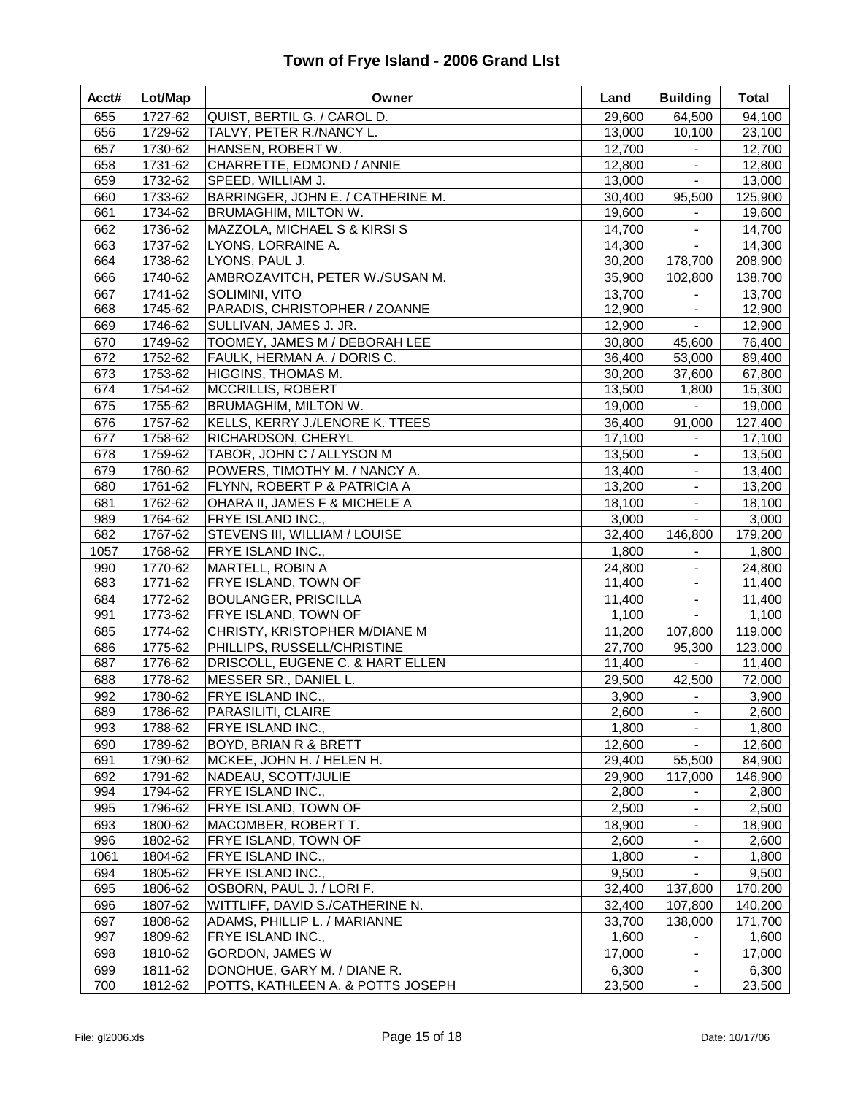| Acct# | Lot/Map | Owner                             | Land   | <b>Building</b>     | <b>Total</b> |
|-------|---------|-----------------------------------|--------|---------------------|--------------|
| 655   | 1727-62 | QUIST, BERTIL G. / CAROL D.       | 29,600 | 64,500              | 94,100       |
| 656   | 1729-62 | TALVY, PETER R./NANCY L.          | 13,000 | 10,100              | 23,100       |
| 657   | 1730-62 | HANSEN, ROBERT W.                 | 12,700 | $\sim$              | 12,700       |
| 658   | 1731-62 | CHARRETTE, EDMOND / ANNIE         | 12,800 | $\blacksquare$      | 12,800       |
| 659   | 1732-62 | SPEED, WILLIAM J.                 | 13,000 | $\blacksquare$      | 13,000       |
| 660   | 1733-62 | BARRINGER, JOHN E. / CATHERINE M. | 30,400 | 95,500              | 125,900      |
| 661   | 1734-62 | BRUMAGHIM, MILTON W.              | 19,600 |                     | 19,600       |
| 662   | 1736-62 | MAZZOLA, MICHAEL S & KIRSI S      | 14,700 | $\blacksquare$      | 14,700       |
| 663   | 1737-62 | LYONS, LORRAINE A.                | 14,300 | $\blacksquare$      | 14,300       |
| 664   | 1738-62 | LYONS, PAUL J.                    | 30,200 | 178,700             | 208,900      |
| 666   | 1740-62 | AMBROZAVITCH, PETER W./SUSAN M.   | 35,900 | 102,800             | 138,700      |
| 667   | 1741-62 | SOLIMINI, VITO                    | 13,700 | $\blacksquare$      | 13,700       |
| 668   | 1745-62 | PARADIS, CHRISTOPHER / ZOANNE     | 12,900 |                     | 12,900       |
| 669   | 1746-62 | SULLIVAN, JAMES J. JR.            | 12,900 | $\blacksquare$      | 12,900       |
| 670   | 1749-62 | TOOMEY, JAMES M / DEBORAH LEE     | 30,800 | 45,600              | 76,400       |
| 672   | 1752-62 | FAULK, HERMAN A. / DORIS C.       | 36,400 | 53,000              | 89,400       |
| 673   | 1753-62 | HIGGINS, THOMAS M.                | 30,200 | 37,600              | 67,800       |
| 674   | 1754-62 | MCCRILLIS, ROBERT                 | 13,500 | 1,800               | 15,300       |
| 675   | 1755-62 | <b>BRUMAGHIM, MILTON W.</b>       | 19,000 | $\omega_{\rm{max}}$ | 19,000       |
| 676   | 1757-62 | KELLS, KERRY J./LENORE K. TTEES   | 36,400 | 91,000              | 127,400      |
| 677   | 1758-62 | RICHARDSON, CHERYL                | 17,100 | $\sim$              | 17,100       |
| 678   | 1759-62 | TABOR, JOHN C / ALLYSON M         | 13,500 | $\blacksquare$      | 13,500       |
| 679   | 1760-62 | POWERS, TIMOTHY M. / NANCY A.     | 13,400 | $\blacksquare$      | 13,400       |
| 680   | 1761-62 | FLYNN, ROBERT P & PATRICIA A      | 13,200 | $\blacksquare$      | 13,200       |
| 681   | 1762-62 | OHARA II, JAMES F & MICHELE A     | 18,100 | $\blacksquare$      | 18,100       |
| 989   | 1764-62 | FRYE ISLAND INC.,                 | 3,000  | $\blacksquare$      | 3,000        |
| 682   | 1767-62 | STEVENS III, WILLIAM / LOUISE     | 32,400 | 146,800             | 179,200      |
| 1057  | 1768-62 | FRYE ISLAND INC.,                 | 1,800  | $\blacksquare$      | 1,800        |
| 990   | 1770-62 | MARTELL, ROBIN A                  | 24,800 | $\blacksquare$      | 24,800       |
| 683   | 1771-62 | FRYE ISLAND, TOWN OF              | 11,400 |                     | 11,400       |
| 684   | 1772-62 | <b>BOULANGER, PRISCILLA</b>       | 11,400 | $\blacksquare$      | 11,400       |
| 991   | 1773-62 | FRYE ISLAND, TOWN OF              | 1,100  | $\blacksquare$      | 1,100        |
| 685   | 1774-62 | CHRISTY, KRISTOPHER M/DIANE M     | 11,200 | 107,800             | 119,000      |
| 686   | 1775-62 | PHILLIPS, RUSSELL/CHRISTINE       | 27,700 | 95,300              | 123,000      |
| 687   | 1776-62 | DRISCOLL, EUGENE C. & HART ELLEN  | 11,400 | $\sim$              | 11,400       |
| 688   | 1778-62 | MESSER SR., DANIEL L.             | 29,500 | 42,500              | 72,000       |
| 992   | 1780-62 | FRYE ISLAND INC.,                 | 3,900  | $\blacksquare$      | 3,900        |
| 689   | 1786-62 | PARASILITI, CLAIRE                | 2,600  | $\blacksquare$      | 2,600        |
| 993   | 1788-62 | FRYE ISLAND INC.,                 | 1,800  | $\blacksquare$      | 1,800        |
| 690   | 1789-62 | BOYD, BRIAN R & BRETT             | 12,600 | $\blacksquare$      | 12,600       |
| 691   | 1790-62 | MCKEE, JOHN H. / HELEN H.         | 29,400 | 55,500              | 84,900       |
| 692   | 1791-62 | NADEAU, SCOTT/JULIE               | 29,900 | 117,000             | 146,900      |
| 994   | 1794-62 | FRYE ISLAND INC.,                 | 2,800  |                     | 2,800        |
| 995   | 1796-62 | FRYE ISLAND, TOWN OF              | 2,500  | $\blacksquare$      | 2,500        |
| 693   | 1800-62 | MACOMBER, ROBERT T.               | 18,900 |                     | 18,900       |
| 996   | 1802-62 | FRYE ISLAND, TOWN OF              | 2,600  |                     | 2,600        |
| 1061  | 1804-62 | FRYE ISLAND INC.,                 | 1,800  |                     | 1,800        |
| 694   | 1805-62 | FRYE ISLAND INC.,                 | 9,500  |                     | 9,500        |
| 695   | 1806-62 | OSBORN, PAUL J. / LORI F.         | 32,400 | 137,800             | 170,200      |
| 696   | 1807-62 | WITTLIFF, DAVID S./CATHERINE N.   | 32,400 | 107,800             | 140,200      |
| 697   | 1808-62 | ADAMS, PHILLIP L. / MARIANNE      | 33,700 | 138,000             | 171,700      |
| 997   | 1809-62 | FRYE ISLAND INC.,                 | 1,600  | $\blacksquare$      | 1,600        |
| 698   | 1810-62 | GORDON, JAMES W                   | 17,000 | $\blacksquare$      | 17,000       |
| 699   | 1811-62 | DONOHUE, GARY M. / DIANE R.       | 6,300  |                     | 6,300        |
| 700   | 1812-62 | POTTS, KATHLEEN A. & POTTS JOSEPH | 23,500 | $\blacksquare$      | 23,500       |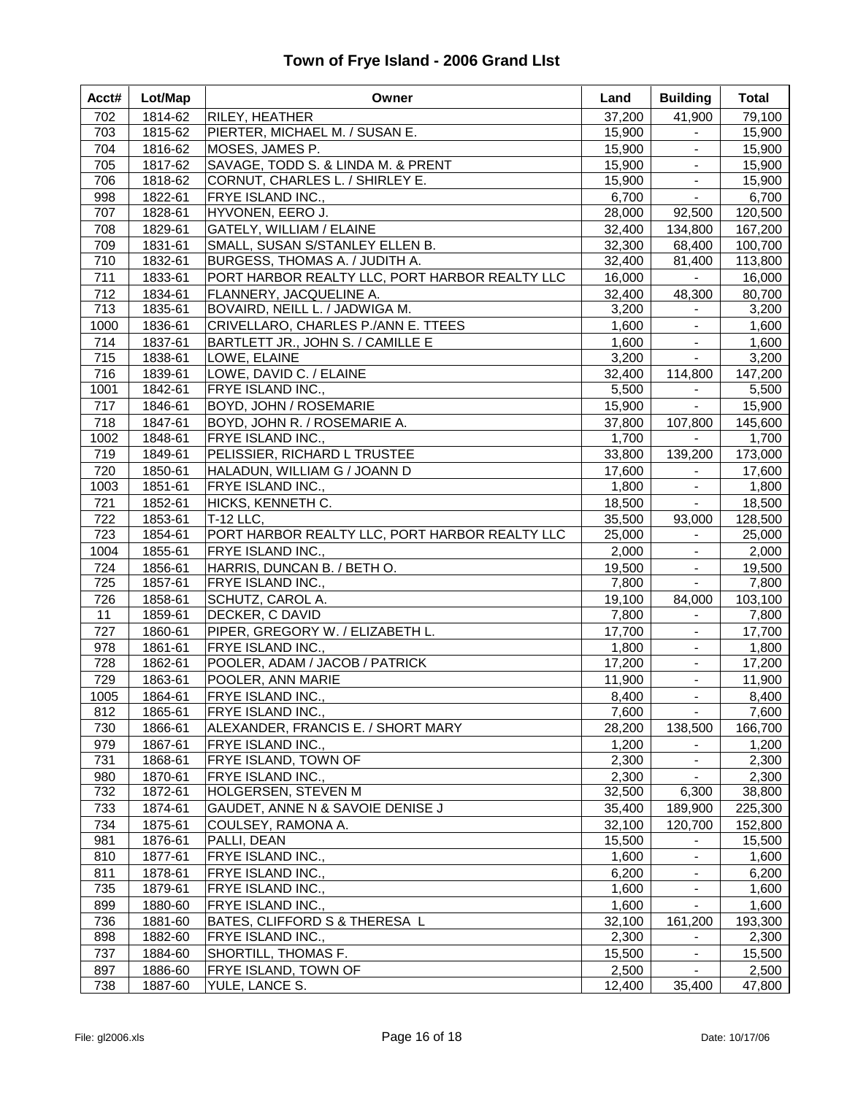| Acct#      | Lot/Map            | Owner                                            | Land             | <b>Building</b>     | <b>Total</b>     |
|------------|--------------------|--------------------------------------------------|------------------|---------------------|------------------|
| 702<br>703 | 1814-62            | RILEY, HEATHER<br>PIERTER, MICHAEL M. / SUSAN E. | 37,200           | 41,900<br>$\sim$    | 79,100           |
| 704        | 1815-62<br>1816-62 | MOSES, JAMES P.                                  | 15,900<br>15,900 | $\omega_{\rm{eff}}$ | 15,900<br>15,900 |
| 705        | 1817-62            | SAVAGE, TODD S. & LINDA M. & PRENT               | 15,900           | $\blacksquare$      | 15,900           |
| 706        | 1818-62            | CORNUT, CHARLES L. / SHIRLEY E.                  | 15,900           | $\blacksquare$      | 15,900           |
| 998        | 1822-61            | FRYE ISLAND INC.,                                | 6,700            | $\blacksquare$      | 6,700            |
| 707        | 1828-61            | HYVONEN, EERO J.                                 | 28,000           | 92,500              | 120,500          |
| 708        | 1829-61            | GATELY, WILLIAM / ELAINE                         | 32,400           | 134,800             | 167,200          |
| 709        | 1831-61            | SMALL, SUSAN S/STANLEY ELLEN B.                  | 32,300           | 68,400              | 100,700          |
| 710        | 1832-61            | BURGESS, THOMAS A. / JUDITH A.                   | 32,400           | 81,400              | 113,800          |
| 711        | 1833-61            | PORT HARBOR REALTY LLC, PORT HARBOR REALTY LLC   | 16,000           | $\sim$              | 16,000           |
| 712        | 1834-61            | FLANNERY, JACQUELINE A.                          | 32,400           | 48,300              | 80,700           |
| 713        | 1835-61            | BOVAIRD, NEILL L. / JADWIGA M.                   | 3,200            | $\blacksquare$      | 3,200            |
| 1000       | 1836-61            | CRIVELLARO, CHARLES P./ANN E. TTEES              | 1,600            | $\blacksquare$      | 1,600            |
| 714        | 1837-61            | BARTLETT JR., JOHN S. / CAMILLE E                | 1,600            | $\blacksquare$      | 1,600            |
| 715        | 1838-61            | LOWE, ELAINE                                     | 3,200            | $\blacksquare$      | 3,200            |
| 716        | 1839-61            | LOWE, DAVID C. / ELAINE                          | 32,400           | 114,800             | 147,200          |
| 1001       | 1842-61            | FRYE ISLAND INC.,                                | 5,500            | $\sim 100$          | 5,500            |
| 717        | 1846-61            | BOYD, JOHN / ROSEMARIE                           | 15,900           | $\sim$              | 15,900           |
| 718        | 1847-61            | BOYD, JOHN R. / ROSEMARIE A.                     | 37,800           | 107,800             | 145,600          |
| 1002       | 1848-61            | FRYE ISLAND INC.,                                | 1,700            | $\sim$              | 1,700            |
| 719        | 1849-61            | PELISSIER, RICHARD L TRUSTEE                     | 33,800           | 139,200             | 173,000          |
| 720        | 1850-61            | HALADUN, WILLIAM G / JOANN D                     | 17,600           | $\sim$              | 17,600           |
| 1003       | 1851-61            | FRYE ISLAND INC.,                                | 1,800            |                     | 1,800            |
| 721        | 1852-61            | HICKS, KENNETH C.                                | 18,500           | $\blacksquare$      | 18,500           |
| 722        | 1853-61            | <b>T-12 LLC,</b>                                 | 35,500           | 93,000              | 128,500          |
| 723        | 1854-61            | PORT HARBOR REALTY LLC, PORT HARBOR REALTY LLC   | 25,000           | $\sim$              | 25,000           |
| 1004       | 1855-61            | FRYE ISLAND INC.,                                | 2,000            | $\blacksquare$      | 2,000            |
| 724        | 1856-61            | HARRIS, DUNCAN B. / BETH O.                      | 19,500           | $\sim$              | 19,500           |
| 725        | 1857-61            | FRYE ISLAND INC.,                                | 7,800            | $\sim$              | 7,800            |
| 726        | 1858-61            | SCHUTZ, CAROL A.                                 | 19,100           | 84,000              | 103,100          |
| 11         | 1859-61            | DECKER, C DAVID                                  | 7,800            |                     | 7,800            |
| 727        | 1860-61            | PIPER, GREGORY W. / ELIZABETH L.                 | 17,700           |                     | 17,700           |
| 978        | 1861-61            | FRYE ISLAND INC.,                                | 1,800            | $\blacksquare$      | 1,800            |
| 728        | 1862-61            | POOLER, ADAM / JACOB / PATRICK                   | 17,200           | $\blacksquare$      | 17,200           |
| 729        | 1863-61            | POOLER, ANN MARIE                                | 11,900           | $\blacksquare$      | 11,900           |
| 1005       | 1864-61            | FRYE ISLAND INC.,                                | 8,400            | $\omega$ .          | 8,400            |
| 812        | 1865-61            | FRYE ISLAND INC.,                                | 7,600            | $\sim$              | 7,600            |
| 730        | 1866-61            | ALEXANDER, FRANCIS E. / SHORT MARY               | 28,200           | 138,500             | 166,700          |
| 979        | 1867-61            | FRYE ISLAND INC.,                                | 1,200            | $\blacksquare$      | 1,200            |
| 731        | 1868-61            | FRYE ISLAND, TOWN OF                             | 2,300            |                     | 2,300            |
| 980        | 1870-61            | FRYE ISLAND INC.,                                | 2,300            |                     | 2,300            |
| 732        | 1872-61            | HOLGERSEN, STEVEN M                              | 32,500           | 6,300               | 38,800           |
| 733        | 1874-61            | GAUDET, ANNE N & SAVOIE DENISE J                 | 35,400           | 189,900             | 225,300          |
| 734        | 1875-61            | COULSEY, RAMONA A.                               | 32,100           | 120,700             | 152,800          |
| 981        | 1876-61            | PALLI, DEAN                                      | 15,500           |                     | 15,500           |
| 810        | 1877-61            | FRYE ISLAND INC.,                                | 1,600            |                     | 1,600            |
| 811        | 1878-61            | FRYE ISLAND INC.,                                | 6,200            |                     | 6,200            |
| 735        | 1879-61            | FRYE ISLAND INC.,                                | 1,600            |                     | 1,600            |
| 899        | 1880-60            | FRYE ISLAND INC.,                                | 1,600            |                     | 1,600            |
| 736        | 1881-60            | BATES, CLIFFORD S & THERESA L                    | 32,100           | 161,200             | 193,300          |
| 898        | 1882-60            | FRYE ISLAND INC.,                                | 2,300            | $\blacksquare$      | 2,300            |
| 737        | 1884-60            | SHORTILL, THOMAS F.                              | 15,500           | $\blacksquare$      | 15,500           |
| 897        | 1886-60            | FRYE ISLAND, TOWN OF                             | 2,500            | $\blacksquare$      | 2,500            |
| 738        | 1887-60            | YULE, LANCE S.                                   | 12,400           | 35,400              | 47,800           |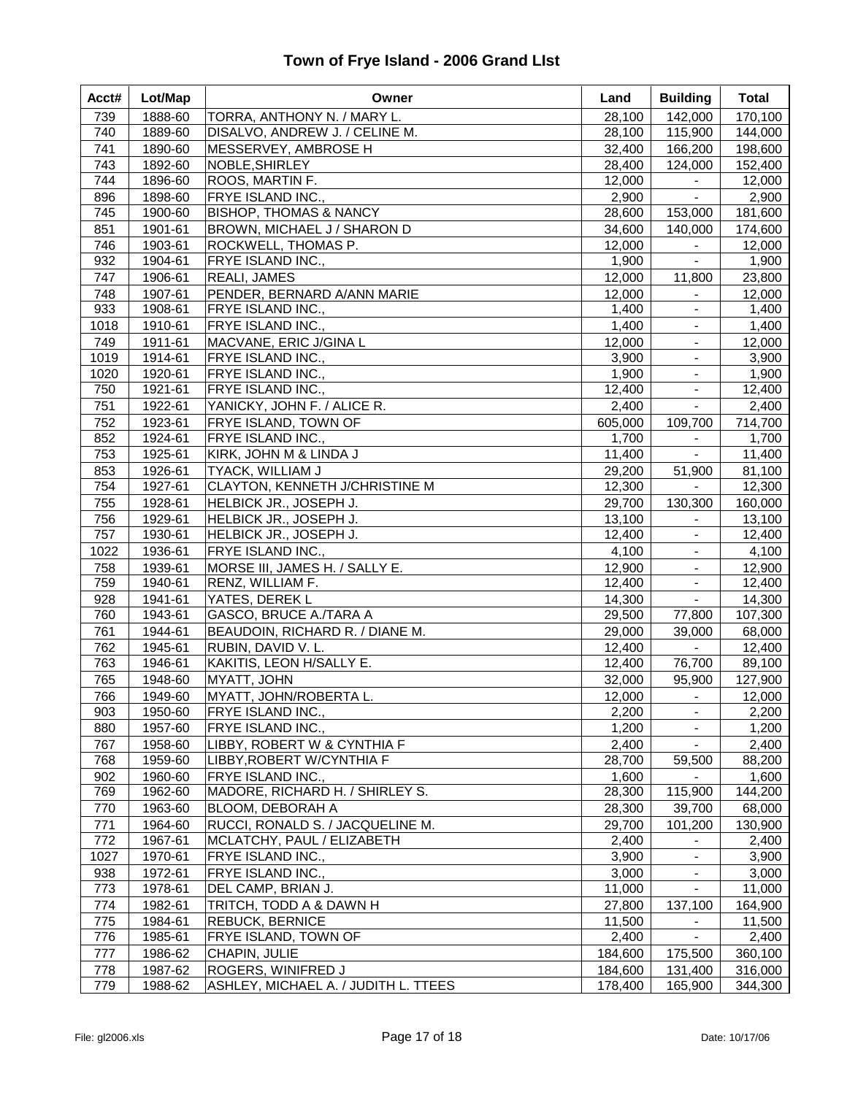| Acct#       | Lot/Map            | Owner                                  | Land            | <b>Building</b>                  | <b>Total</b>    |
|-------------|--------------------|----------------------------------------|-----------------|----------------------------------|-----------------|
| 739         | 1888-60            | TORRA, ANTHONY N. / MARY L.            | 28,100          | 142,000                          | 170,100         |
| 740         | 1889-60            | DISALVO, ANDREW J. / CELINE M.         | 28,100          | 115,900                          | 144,000         |
| 741         | 1890-60            | MESSERVEY, AMBROSE H                   | 32,400          | 166,200                          | 198,600         |
| 743         | 1892-60            | NOBLE, SHIRLEY                         | 28,400          | 124,000                          | 152,400         |
| 744         | 1896-60            | ROOS, MARTIN F.                        | 12,000          | $\blacksquare$                   | 12,000          |
| 896         | 1898-60            | FRYE ISLAND INC.,                      | 2,900           | $\blacksquare$                   | 2,900           |
| 745         | 1900-60            | <b>BISHOP, THOMAS &amp; NANCY</b>      | 28,600          | 153,000                          | 181,600         |
| 851         | 1901-61            | BROWN, MICHAEL J / SHARON D            | 34,600          | 140,000                          | 174,600         |
| 746         | 1903-61            | ROCKWELL, THOMAS P.                    | 12,000          |                                  | 12,000          |
| 932         | 1904-61            | FRYE ISLAND INC.,                      | 1,900           | $\blacksquare$                   | 1,900           |
| 747         | 1906-61            | REALI, JAMES                           | 12,000          | 11,800                           | 23,800          |
| 748         | 1907-61            | PENDER, BERNARD A/ANN MARIE            | 12,000          | $\blacksquare$                   | 12,000          |
| 933         | 1908-61            | FRYE ISLAND INC.,                      | 1,400           | $\blacksquare$                   | 1,400           |
| 1018        | 1910-61            | FRYE ISLAND INC.,                      | 1,400           |                                  | 1,400           |
| 749         | 1911-61<br>1914-61 | MACVANE, ERIC J/GINA L                 | 12,000          | $\blacksquare$<br>$\blacksquare$ | 12,000          |
| 1019        |                    | FRYE ISLAND INC.,                      | 3,900           |                                  | 3,900           |
| 1020<br>750 | 1920-61<br>1921-61 | FRYE ISLAND INC.,<br>FRYE ISLAND INC., | 1,900<br>12,400 | $\blacksquare$<br>$\blacksquare$ | 1,900<br>12,400 |
| 751         | 1922-61            | YANICKY, JOHN F. / ALICE R.            | 2,400           | $\blacksquare$                   | 2,400           |
| 752         | 1923-61            | <b>FRYE ISLAND, TOWN OF</b>            | 605,000         | 109,700                          | 714,700         |
| 852         | 1924-61            | <b>FRYE ISLAND INC.,</b>               | 1,700           | $\blacksquare$                   | 1,700           |
| 753         | 1925-61            | KIRK, JOHN M & LINDA J                 | 11,400          | $\sim$                           | 11,400          |
| 853         | 1926-61            | TYACK, WILLIAM J                       | 29,200          | 51,900                           | 81,100          |
| 754         | 1927-61            | CLAYTON, KENNETH J/CHRISTINE M         | 12,300          | $\blacksquare$                   | 12,300          |
| 755         | 1928-61            | HELBICK JR., JOSEPH J.                 | 29,700          | 130,300                          | 160,000         |
| 756         | 1929-61            | HELBICK JR., JOSEPH J.                 | 13,100          |                                  | 13,100          |
| 757         | 1930-61            | HELBICK JR., JOSEPH J.                 | 12,400          | $\blacksquare$                   | 12,400          |
| 1022        | 1936-61            | FRYE ISLAND INC.,                      | 4,100           | $\blacksquare$                   | 4,100           |
| 758         | 1939-61            | MORSE III, JAMES H. / SALLY E.         | 12,900          | $\blacksquare$                   | 12,900          |
| 759         | 1940-61            | RENZ, WILLIAM F.                       | 12,400          | $\blacksquare$                   | 12,400          |
| 928         | 1941-61            | YATES, DEREK L                         | 14,300          | $\blacksquare$                   | 14,300          |
| 760         | 1943-61            | GASCO, BRUCE A./TARA A                 | 29,500          | 77,800                           | 107,300         |
| 761         | 1944-61            | BEAUDOIN, RICHARD R. / DIANE M.        | 29,000          | 39,000                           | 68,000          |
| 762         | 1945-61            | RUBIN, DAVID V. L.                     | 12,400          | $\blacksquare$                   | 12,400          |
| 763         | 1946-61            | KAKITIS, LEON H/SALLY E.               | 12,400          | 76,700                           | 89,100          |
| 765         | 1948-60            | MYATT, JOHN                            | 32,000          | 95,900                           | 127,900         |
| 766         | 1949-60            | MYATT, JOHN/ROBERTA L.                 | 12,000          | $\sim$                           | 12,000          |
| 903         | 1950-60            | FRYE ISLAND INC.,                      | 2,200           | $\blacksquare$                   | 2,200           |
| 880         | 1957-60            | FRYE ISLAND INC.,                      | 1,200           | $\blacksquare$                   | 1,200           |
| 767         | 1958-60            | LIBBY, ROBERT W & CYNTHIA F            | 2,400           | $\blacksquare$                   | 2,400           |
| 768         | 1959-60            | LIBBY, ROBERT W/CYNTHIA F              | 28,700          | 59,500                           | 88,200          |
| 902         | 1960-60            | FRYE ISLAND INC.,                      | 1,600           |                                  | 1,600           |
| 769         | 1962-60            | MADORE, RICHARD H. / SHIRLEY S.        | 28,300          | 115,900                          | 144,200         |
| 770         | 1963-60            | BLOOM, DEBORAH A                       | 28,300          | 39,700                           | 68,000          |
| 771         | 1964-60            | RUCCI, RONALD S. / JACQUELINE M.       | 29,700          | 101,200                          | 130,900         |
| 772         | 1967-61            | MCLATCHY, PAUL / ELIZABETH             | 2,400           |                                  | 2,400           |
| 1027        | 1970-61            | FRYE ISLAND INC.,                      | 3,900           |                                  | 3,900           |
| 938         | 1972-61            | FRYE ISLAND INC.,                      | 3,000           |                                  | 3,000           |
| 773         | 1978-61            | DEL CAMP, BRIAN J.                     | 11,000          |                                  | 11,000          |
| 774         | 1982-61            | TRITCH, TODD A & DAWN H                | 27,800          | 137,100                          | 164,900         |
| 775         | 1984-61            | REBUCK, BERNICE                        | 11,500          |                                  | 11,500          |
| 776         | 1985-61            | FRYE ISLAND, TOWN OF                   | 2,400           | $\blacksquare$                   | 2,400           |
| 777         | 1986-62            | CHAPIN, JULIE                          | 184,600         | 175,500                          | 360,100         |
| 778         | 1987-62            | ROGERS, WINIFRED J                     | 184,600         | 131,400                          | 316,000         |
| 779         | 1988-62            | ASHLEY, MICHAEL A. / JUDITH L. TTEES   | 178,400         | 165,900                          | 344,300         |